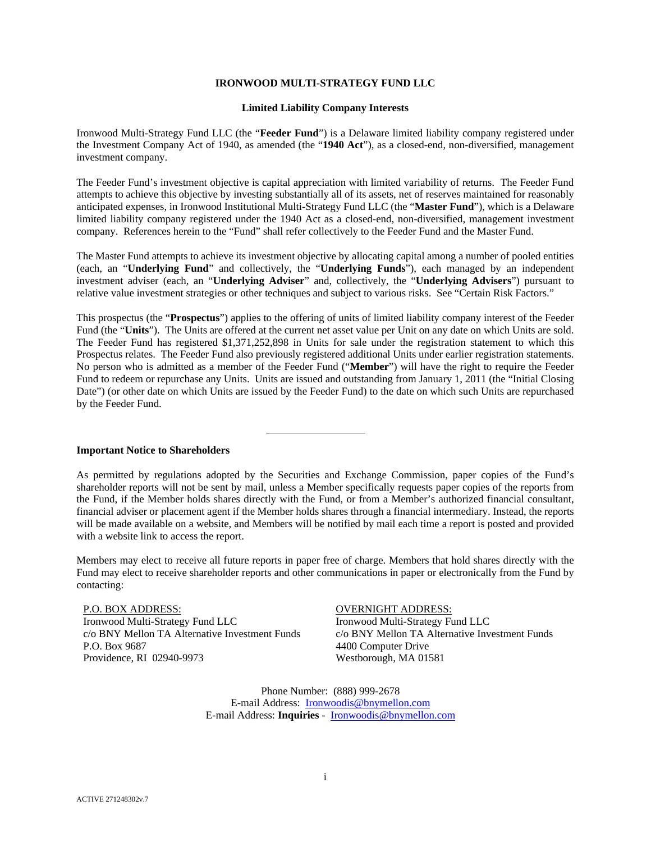## **IRONWOOD MULTI-STRATEGY FUND LLC**

### **Limited Liability Company Interests**

Ironwood Multi-Strategy Fund LLC (the "**Feeder Fund**") is a Delaware limited liability company registered under the Investment Company Act of 1940, as amended (the "**1940 Act**"), as a closed-end, non-diversified, management investment company.

The Feeder Fund's investment objective is capital appreciation with limited variability of returns. The Feeder Fund attempts to achieve this objective by investing substantially all of its assets, net of reserves maintained for reasonably anticipated expenses, in Ironwood Institutional Multi-Strategy Fund LLC (the "**Master Fund**"), which is a Delaware limited liability company registered under the 1940 Act as a closed-end, non-diversified, management investment company. References herein to the "Fund" shall refer collectively to the Feeder Fund and the Master Fund.

The Master Fund attempts to achieve its investment objective by allocating capital among a number of pooled entities (each, an "**Underlying Fund**" and collectively, the "**Underlying Funds**"), each managed by an independent investment adviser (each, an "**Underlying Adviser**" and, collectively, the "**Underlying Advisers**") pursuant to relative value investment strategies or other techniques and subject to various risks. See "Certain Risk Factors."

This prospectus (the "**Prospectus**") applies to the offering of units of limited liability company interest of the Feeder Fund (the "**Units**"). The Units are offered at the current net asset value per Unit on any date on which Units are sold. The Feeder Fund has registered \$1,371,252,898 in Units for sale under the registration statement to which this Prospectus relates.The Feeder Fund also previously registered additional Units under earlier registration statements. No person who is admitted as a member of the Feeder Fund ("**Member**") will have the right to require the Feeder Fund to redeem or repurchase any Units. Units are issued and outstanding from January 1, 2011 (the "Initial Closing Date") (or other date on which Units are issued by the Feeder Fund) to the date on which such Units are repurchased by the Feeder Fund.

## **Important Notice to Shareholders**

As permitted by regulations adopted by the Securities and Exchange Commission, paper copies of the Fund's shareholder reports will not be sent by mail, unless a Member specifically requests paper copies of the reports from the Fund, if the Member holds shares directly with the Fund, or from a Member's authorized financial consultant, financial adviser or placement agent if the Member holds shares through a financial intermediary. Instead, the reports will be made available on a website, and Members will be notified by mail each time a report is posted and provided with a website link to access the report.

Members may elect to receive all future reports in paper free of charge. Members that hold shares directly with the Fund may elect to receive shareholder reports and other communications in paper or electronically from the Fund by contacting:

P.O. BOX ADDRESS: Ironwood Multi-Strategy Fund LLC c/o BNY Mellon TA Alternative Investment Funds P.O. Box 9687 Providence, RI 02940-9973

#### OVERNIGHT ADDRESS:

Ironwood Multi-Strategy Fund LLC c/o BNY Mellon TA Alternative Investment Funds 4400 Computer Drive Westborough, MA 01581

Phone Number: (888) 999-2678 E-mail Address: [Ironwoodis@bnymellon.com](mailto:Ironwoodis@bnymellon.com) E-mail Address: **Inquiries** - [Ironwoodis@bnymellon.com](mailto:Ironwoodis@bnymellon.com)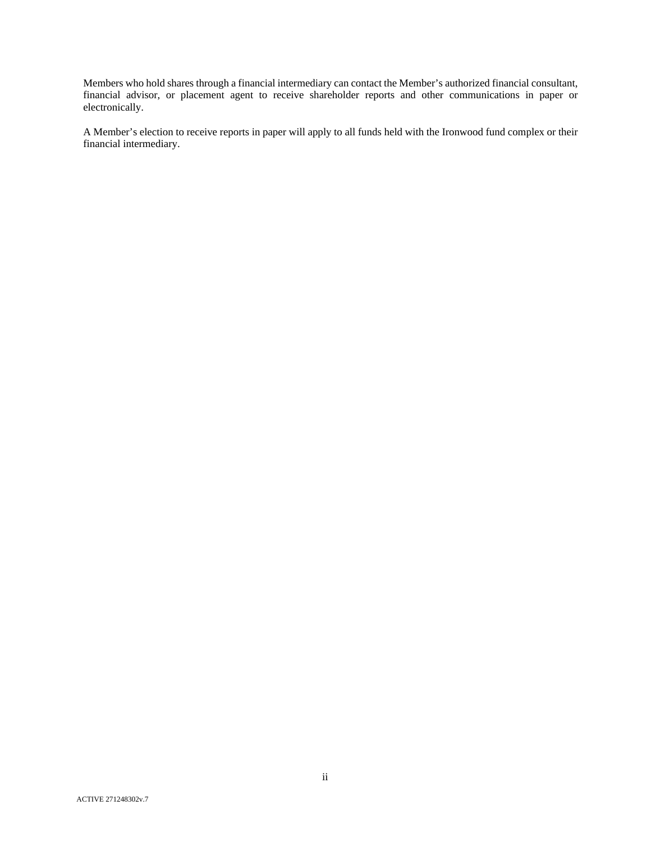Members who hold shares through a financial intermediary can contact the Member's authorized financial consultant, financial advisor, or placement agent to receive shareholder reports and other communications in paper or electronically.

A Member's election to receive reports in paper will apply to all funds held with the Ironwood fund complex or their financial intermediary.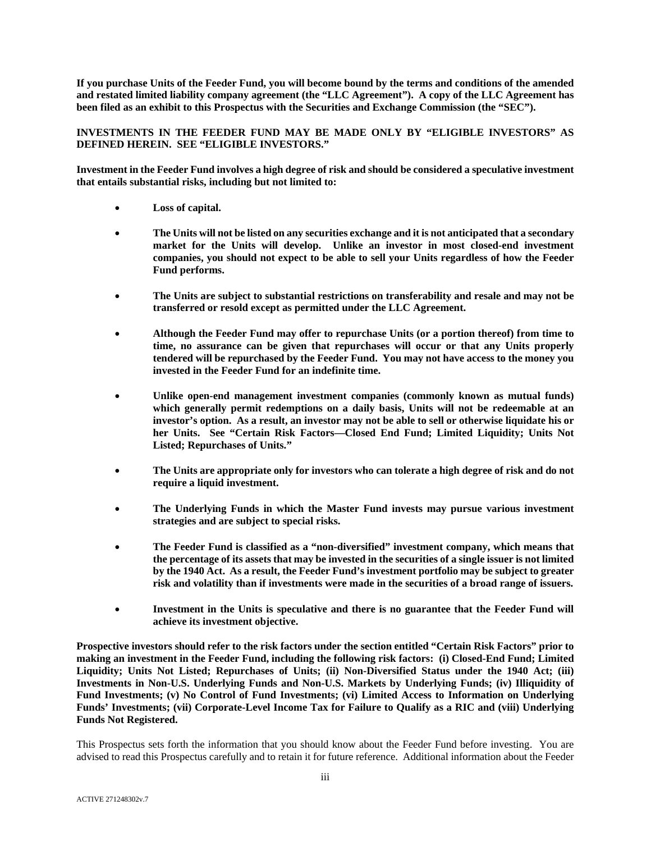**If you purchase Units of the Feeder Fund, you will become bound by the terms and conditions of the amended and restated limited liability company agreement (the "LLC Agreement"). A copy of the LLC Agreement has been filed as an exhibit to this Prospectus with the Securities and Exchange Commission (the "SEC").**

**INVESTMENTS IN THE FEEDER FUND MAY BE MADE ONLY BY "ELIGIBLE INVESTORS" AS DEFINED HEREIN. SEE "ELIGIBLE INVESTORS."**

**Investment in the Feeder Fund involves a high degree of risk and should be considered a speculative investment that entails substantial risks, including but not limited to:**

- **Loss of capital.**
- **The Units will not be listed on any securities exchange and it is not anticipated that a secondary market for the Units will develop. Unlike an investor in most closed-end investment companies, you should not expect to be able to sell your Units regardless of how the Feeder Fund performs.**
- **The Units are subject to substantial restrictions on transferability and resale and may not be transferred or resold except as permitted under the LLC Agreement.**
- **Although the Feeder Fund may offer to repurchase Units (or a portion thereof) from time to time, no assurance can be given that repurchases will occur or that any Units properly tendered will be repurchased by the Feeder Fund. You may not have access to the money you invested in the Feeder Fund for an indefinite time.**
- **Unlike open-end management investment companies (commonly known as mutual funds) which generally permit redemptions on a daily basis, Units will not be redeemable at an investor's option. As a result, an investor may not be able to sell or otherwise liquidate his or her Units. See "Certain Risk Factors—Closed End Fund; Limited Liquidity; Units Not Listed; Repurchases of Units."**
- **The Units are appropriate only for investors who can tolerate a high degree of risk and do not require a liquid investment.**
- **The Underlying Funds in which the Master Fund invests may pursue various investment strategies and are subject to special risks.**
- **The Feeder Fund is classified as a "non-diversified" investment company, which means that the percentage of its assets that may be invested in the securities of a single issuer is not limited by the 1940 Act. As a result, the Feeder Fund's investment portfolio may be subject to greater risk and volatility than if investments were made in the securities of a broad range of issuers.**
- **Investment in the Units is speculative and there is no guarantee that the Feeder Fund will achieve its investment objective.**

**Prospective investors should refer to the risk factors under the section entitled "Certain Risk Factors" prior to making an investment in the Feeder Fund, including the following risk factors: (i) Closed-End Fund; Limited Liquidity; Units Not Listed; Repurchases of Units; (ii) Non-Diversified Status under the 1940 Act; (iii) Investments in Non-U.S. Underlying Funds and Non-U.S. Markets by Underlying Funds; (iv) Illiquidity of Fund Investments; (v) No Control of Fund Investments; (vi) Limited Access to Information on Underlying Funds' Investments; (vii) Corporate-Level Income Tax for Failure to Qualify as a RIC and (viii) Underlying Funds Not Registered.**

This Prospectus sets forth the information that you should know about the Feeder Fund before investing. You are advised to read this Prospectus carefully and to retain it for future reference. Additional information about the Feeder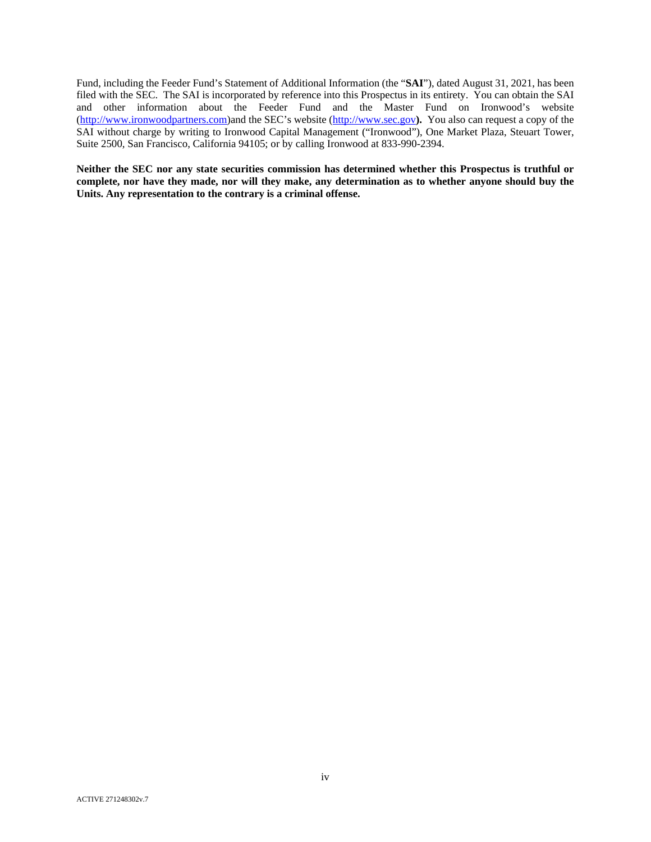Fund, including the Feeder Fund's Statement of Additional Information (the "**SAI**"), dated August 31, 2021, has been filed with the SEC. The SAI is incorporated by reference into this Prospectus in its entirety. You can obtain the SAI and other information about the Feeder Fund and the Master Fund on Ironwood's website [\(http://www.ironwoodpartners.com\)](http://www.ironwoodpartners.com/)and the SEC's website [\(http://www.sec.gov](http://www.sec.gov/)**).** You also can request a copy of the SAI without charge by writing to Ironwood Capital Management ("Ironwood"), One Market Plaza, Steuart Tower, Suite 2500, San Francisco, California 94105; or by calling Ironwood at 833-990-2394.

**Neither the SEC nor any state securities commission has determined whether this Prospectus is truthful or complete, nor have they made, nor will they make, any determination as to whether anyone should buy the Units. Any representation to the contrary is a criminal offense.**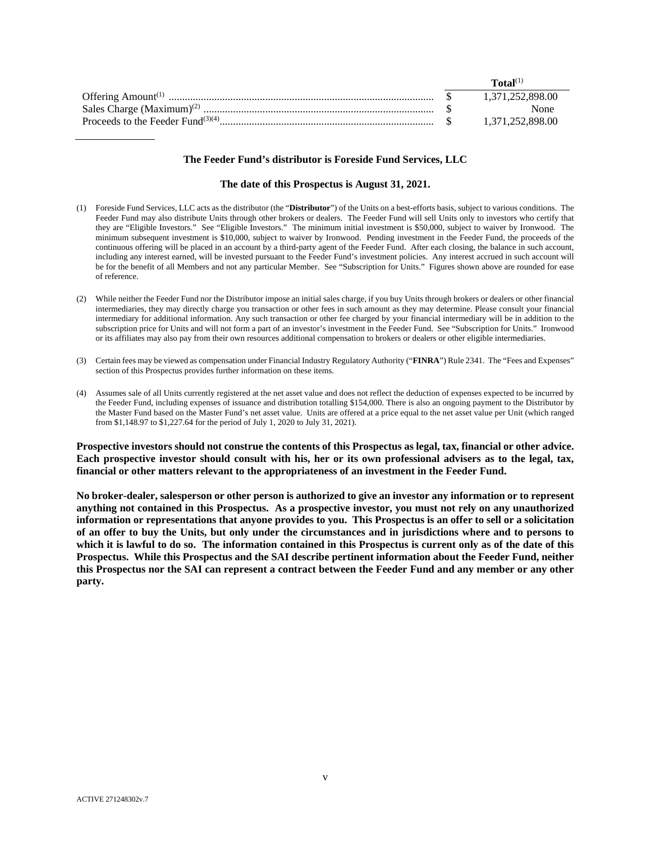|                                        | $\textbf{Total}^{(1)}$ |
|----------------------------------------|------------------------|
|                                        | 1.371.252.898.00       |
|                                        | None                   |
| Proceeds to the Feeder Fund $(3)(4)$ . | 1.371.252.898.00       |

#### **The Feeder Fund's distributor is Foreside Fund Services, LLC**

#### **The date of this Prospectus is August 31, 2021.**

- (1) Foreside Fund Services, LLC acts as the distributor (the "**Distributor**") of the Units on a best-efforts basis, subject to various conditions. The Feeder Fund may also distribute Units through other brokers or dealers. The Feeder Fund will sell Units only to investors who certify that they are "Eligible Investors." See "Eligible Investors." The minimum initial investment is \$50,000, subject to waiver by Ironwood. The minimum subsequent investment is \$10,000, subject to waiver by Ironwood. Pending investment in the Feeder Fund, the proceeds of the continuous offering will be placed in an account by a third-party agent of the Feeder Fund. After each closing, the balance in such account, including any interest earned, will be invested pursuant to the Feeder Fund's investment policies. Any interest accrued in such account will be for the benefit of all Members and not any particular Member. See "Subscription for Units." Figures shown above are rounded for ease of reference.
- (2) While neither the Feeder Fund nor the Distributor impose an initial sales charge, if you buy Units through brokers or dealers or other financial intermediaries, they may directly charge you transaction or other fees in such amount as they may determine. Please consult your financial intermediary for additional information. Any such transaction or other fee charged by your financial intermediary will be in addition to the subscription price for Units and will not form a part of an investor's investment in the Feeder Fund. See "Subscription for Units." Ironwood or its affiliates may also pay from their own resources additional compensation to brokers or dealers or other eligible intermediaries.
- (3) Certain fees may be viewed as compensation under Financial Industry Regulatory Authority ("**FINRA**") Rule 2341. The "Fees and Expenses" section of this Prospectus provides further information on these items.
- (4) Assumes sale of all Units currently registered at the net asset value and does not reflect the deduction of expenses expected to be incurred by the Feeder Fund, including expenses of issuance and distribution totalling \$154,000. There is also an ongoing payment to the Distributor by the Master Fund based on the Master Fund's net asset value. Units are offered at a price equal to the net asset value per Unit (which ranged from \$1,148.97 to \$1,227.64 for the period of July 1, 2020 to July 31, 2021).

**Prospective investors should not construe the contents of this Prospectus as legal, tax, financial or other advice. Each prospective investor should consult with his, her or its own professional advisers as to the legal, tax, financial or other matters relevant to the appropriateness of an investment in the Feeder Fund.**

**No broker-dealer, salesperson or other person is authorized to give an investor any information or to represent anything not contained in this Prospectus. As a prospective investor, you must not rely on any unauthorized information or representations that anyone provides to you. This Prospectus is an offer to sell or a solicitation of an offer to buy the Units, but only under the circumstances and in jurisdictions where and to persons to which it is lawful to do so. The information contained in this Prospectus is current only as of the date of this Prospectus. While this Prospectus and the SAI describe pertinent information about the Feeder Fund, neither this Prospectus nor the SAI can represent a contract between the Feeder Fund and any member or any other party.**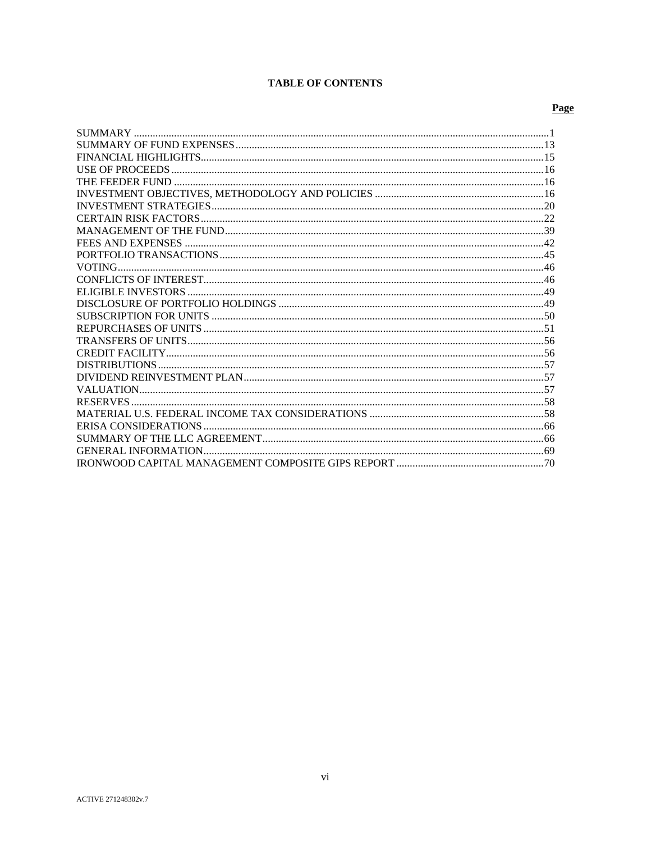# **TABLE OF CONTENTS**

# Page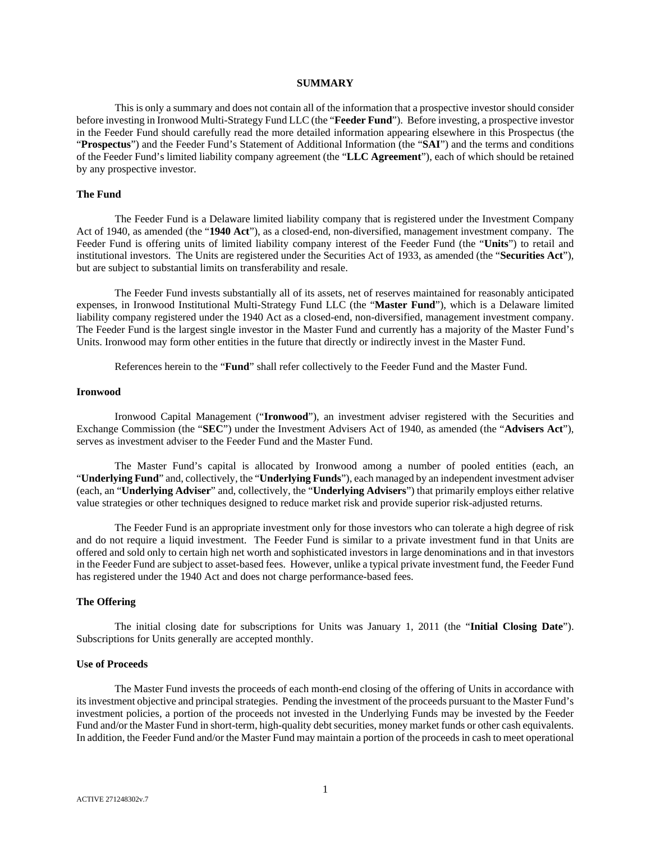## **SUMMARY**

<span id="page-6-0"></span>This is only a summary and does not contain all of the information that a prospective investor should consider before investing in Ironwood Multi-Strategy Fund LLC (the "**Feeder Fund**"). Before investing, a prospective investor in the Feeder Fund should carefully read the more detailed information appearing elsewhere in this Prospectus (the "**Prospectus**") and the Feeder Fund's Statement of Additional Information (the "**SAI**") and the terms and conditions of the Feeder Fund's limited liability company agreement (the "**LLC Agreement**"), each of which should be retained by any prospective investor.

## **The Fund**

The Feeder Fund is a Delaware limited liability company that is registered under the Investment Company Act of 1940, as amended (the "**1940 Act**"), as a closed-end, non-diversified, management investment company. The Feeder Fund is offering units of limited liability company interest of the Feeder Fund (the "**Units**") to retail and institutional investors. The Units are registered under the Securities Act of 1933, as amended (the "**Securities Act**"), but are subject to substantial limits on transferability and resale.

The Feeder Fund invests substantially all of its assets, net of reserves maintained for reasonably anticipated expenses, in Ironwood Institutional Multi-Strategy Fund LLC (the "**Master Fund**"), which is a Delaware limited liability company registered under the 1940 Act as a closed-end, non-diversified, management investment company. The Feeder Fund is the largest single investor in the Master Fund and currently has a majority of the Master Fund's Units. Ironwood may form other entities in the future that directly or indirectly invest in the Master Fund.

References herein to the "**Fund**" shall refer collectively to the Feeder Fund and the Master Fund.

#### **Ironwood**

Ironwood Capital Management ("**Ironwood**"), an investment adviser registered with the Securities and Exchange Commission (the "**SEC**") under the Investment Advisers Act of 1940, as amended (the "**Advisers Act**"), serves as investment adviser to the Feeder Fund and the Master Fund.

The Master Fund's capital is allocated by Ironwood among a number of pooled entities (each, an "**Underlying Fund**" and, collectively, the "**Underlying Funds**"), each managed by an independent investment adviser (each, an "**Underlying Adviser**" and, collectively, the "**Underlying Advisers**") that primarily employs either relative value strategies or other techniques designed to reduce market risk and provide superior risk-adjusted returns.

The Feeder Fund is an appropriate investment only for those investors who can tolerate a high degree of risk and do not require a liquid investment. The Feeder Fund is similar to a private investment fund in that Units are offered and sold only to certain high net worth and sophisticated investors in large denominations and in that investors in the Feeder Fund are subject to asset-based fees. However, unlike a typical private investment fund, the Feeder Fund has registered under the 1940 Act and does not charge performance-based fees.

## **The Offering**

The initial closing date for subscriptions for Units was January 1, 2011 (the "**Initial Closing Date**"). Subscriptions for Units generally are accepted monthly.

## **Use of Proceeds**

The Master Fund invests the proceeds of each month-end closing of the offering of Units in accordance with its investment objective and principal strategies. Pending the investment of the proceeds pursuant to the Master Fund's investment policies, a portion of the proceeds not invested in the Underlying Funds may be invested by the Feeder Fund and/or the Master Fund in short-term, high-quality debt securities, money market funds or other cash equivalents. In addition, the Feeder Fund and/or the Master Fund may maintain a portion of the proceeds in cash to meet operational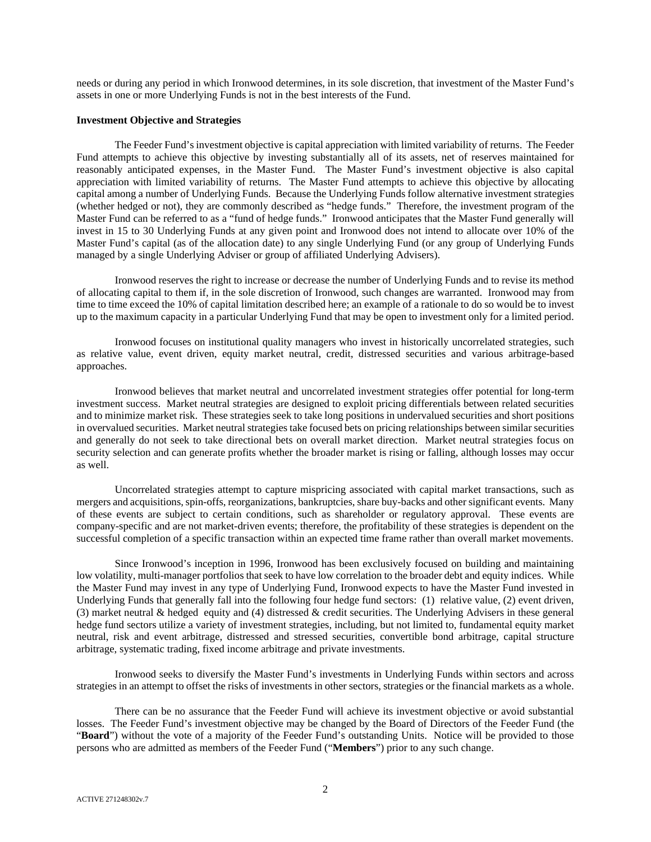needs or during any period in which Ironwood determines, in its sole discretion, that investment of the Master Fund's assets in one or more Underlying Funds is not in the best interests of the Fund.

### **Investment Objective and Strategies**

The Feeder Fund's investment objective is capital appreciation with limited variability of returns. The Feeder Fund attempts to achieve this objective by investing substantially all of its assets, net of reserves maintained for reasonably anticipated expenses, in the Master Fund. The Master Fund's investment objective is also capital appreciation with limited variability of returns. The Master Fund attempts to achieve this objective by allocating capital among a number of Underlying Funds. Because the Underlying Funds follow alternative investment strategies (whether hedged or not), they are commonly described as "hedge funds." Therefore, the investment program of the Master Fund can be referred to as a "fund of hedge funds." Ironwood anticipates that the Master Fund generally will invest in 15 to 30 Underlying Funds at any given point and Ironwood does not intend to allocate over 10% of the Master Fund's capital (as of the allocation date) to any single Underlying Fund (or any group of Underlying Funds managed by a single Underlying Adviser or group of affiliated Underlying Advisers).

Ironwood reserves the right to increase or decrease the number of Underlying Funds and to revise its method of allocating capital to them if, in the sole discretion of Ironwood, such changes are warranted. Ironwood may from time to time exceed the 10% of capital limitation described here; an example of a rationale to do so would be to invest up to the maximum capacity in a particular Underlying Fund that may be open to investment only for a limited period.

Ironwood focuses on institutional quality managers who invest in historically uncorrelated strategies, such as relative value, event driven, equity market neutral, credit, distressed securities and various arbitrage-based approaches.

Ironwood believes that market neutral and uncorrelated investment strategies offer potential for long-term investment success. Market neutral strategies are designed to exploit pricing differentials between related securities and to minimize market risk. These strategies seek to take long positions in undervalued securities and short positions in overvalued securities. Market neutral strategies take focused bets on pricing relationships between similar securities and generally do not seek to take directional bets on overall market direction. Market neutral strategies focus on security selection and can generate profits whether the broader market is rising or falling, although losses may occur as well.

Uncorrelated strategies attempt to capture mispricing associated with capital market transactions, such as mergers and acquisitions, spin-offs, reorganizations, bankruptcies, share buy-backs and other significant events. Many of these events are subject to certain conditions, such as shareholder or regulatory approval. These events are company-specific and are not market-driven events; therefore, the profitability of these strategies is dependent on the successful completion of a specific transaction within an expected time frame rather than overall market movements.

Since Ironwood's inception in 1996, Ironwood has been exclusively focused on building and maintaining low volatility, multi-manager portfolios that seek to have low correlation to the broader debt and equity indices. While the Master Fund may invest in any type of Underlying Fund, Ironwood expects to have the Master Fund invested in Underlying Funds that generally fall into the following four hedge fund sectors: (1) relative value, (2) event driven, (3) market neutral & hedged equity and (4) distressed & credit securities. The Underlying Advisers in these general hedge fund sectors utilize a variety of investment strategies, including, but not limited to, fundamental equity market neutral, risk and event arbitrage, distressed and stressed securities, convertible bond arbitrage, capital structure arbitrage, systematic trading, fixed income arbitrage and private investments.

Ironwood seeks to diversify the Master Fund's investments in Underlying Funds within sectors and across strategies in an attempt to offset the risks of investments in other sectors, strategies or the financial markets as a whole.

There can be no assurance that the Feeder Fund will achieve its investment objective or avoid substantial losses. The Feeder Fund's investment objective may be changed by the Board of Directors of the Feeder Fund (the "Board") without the vote of a majority of the Feeder Fund's outstanding Units. Notice will be provided to those persons who are admitted as members of the Feeder Fund ("**Members**") prior to any such change.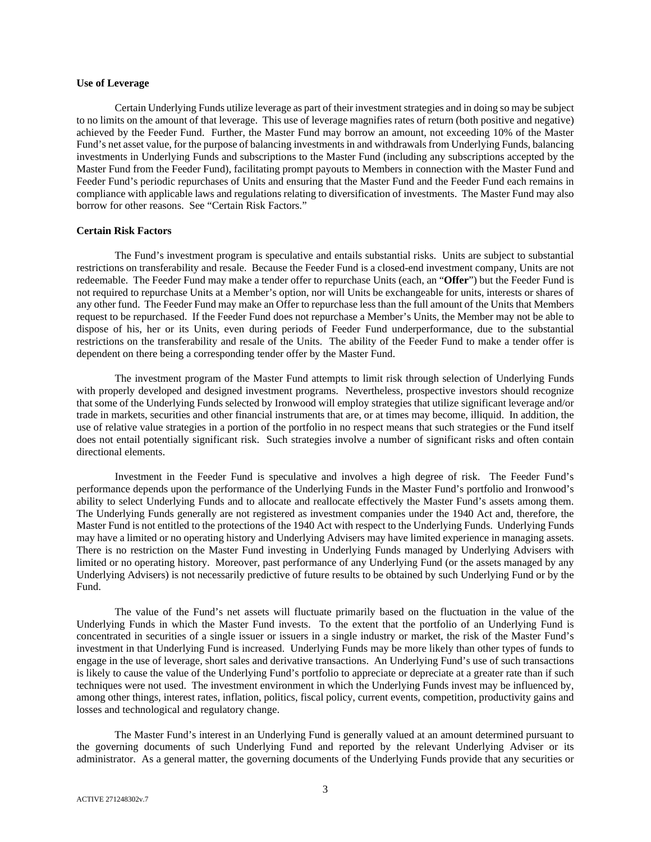#### **Use of Leverage**

Certain Underlying Funds utilize leverage as part of their investment strategies and in doing so may be subject to no limits on the amount of that leverage. This use of leverage magnifies rates of return (both positive and negative) achieved by the Feeder Fund. Further, the Master Fund may borrow an amount, not exceeding 10% of the Master Fund's net asset value, for the purpose of balancing investments in and withdrawals from Underlying Funds, balancing investments in Underlying Funds and subscriptions to the Master Fund (including any subscriptions accepted by the Master Fund from the Feeder Fund), facilitating prompt payouts to Members in connection with the Master Fund and Feeder Fund's periodic repurchases of Units and ensuring that the Master Fund and the Feeder Fund each remains in compliance with applicable laws and regulations relating to diversification of investments. The Master Fund may also borrow for other reasons. See "Certain Risk Factors."

#### **Certain Risk Factors**

The Fund's investment program is speculative and entails substantial risks. Units are subject to substantial restrictions on transferability and resale. Because the Feeder Fund is a closed-end investment company, Units are not redeemable. The Feeder Fund may make a tender offer to repurchase Units (each, an "**Offer**") but the Feeder Fund is not required to repurchase Units at a Member's option, nor will Units be exchangeable for units, interests or shares of any other fund. The Feeder Fund may make an Offer to repurchase less than the full amount of the Units that Members request to be repurchased. If the Feeder Fund does not repurchase a Member's Units, the Member may not be able to dispose of his, her or its Units, even during periods of Feeder Fund underperformance, due to the substantial restrictions on the transferability and resale of the Units. The ability of the Feeder Fund to make a tender offer is dependent on there being a corresponding tender offer by the Master Fund.

The investment program of the Master Fund attempts to limit risk through selection of Underlying Funds with properly developed and designed investment programs. Nevertheless, prospective investors should recognize that some of the Underlying Funds selected by Ironwood will employ strategies that utilize significant leverage and/or trade in markets, securities and other financial instruments that are, or at times may become, illiquid. In addition, the use of relative value strategies in a portion of the portfolio in no respect means that such strategies or the Fund itself does not entail potentially significant risk. Such strategies involve a number of significant risks and often contain directional elements.

Investment in the Feeder Fund is speculative and involves a high degree of risk. The Feeder Fund's performance depends upon the performance of the Underlying Funds in the Master Fund's portfolio and Ironwood's ability to select Underlying Funds and to allocate and reallocate effectively the Master Fund's assets among them. The Underlying Funds generally are not registered as investment companies under the 1940 Act and, therefore, the Master Fund is not entitled to the protections of the 1940 Act with respect to the Underlying Funds. Underlying Funds may have a limited or no operating history and Underlying Advisers may have limited experience in managing assets. There is no restriction on the Master Fund investing in Underlying Funds managed by Underlying Advisers with limited or no operating history. Moreover, past performance of any Underlying Fund (or the assets managed by any Underlying Advisers) is not necessarily predictive of future results to be obtained by such Underlying Fund or by the Fund.

The value of the Fund's net assets will fluctuate primarily based on the fluctuation in the value of the Underlying Funds in which the Master Fund invests. To the extent that the portfolio of an Underlying Fund is concentrated in securities of a single issuer or issuers in a single industry or market, the risk of the Master Fund's investment in that Underlying Fund is increased. Underlying Funds may be more likely than other types of funds to engage in the use of leverage, short sales and derivative transactions. An Underlying Fund's use of such transactions is likely to cause the value of the Underlying Fund's portfolio to appreciate or depreciate at a greater rate than if such techniques were not used. The investment environment in which the Underlying Funds invest may be influenced by, among other things, interest rates, inflation, politics, fiscal policy, current events, competition, productivity gains and losses and technological and regulatory change.

The Master Fund's interest in an Underlying Fund is generally valued at an amount determined pursuant to the governing documents of such Underlying Fund and reported by the relevant Underlying Adviser or its administrator. As a general matter, the governing documents of the Underlying Funds provide that any securities or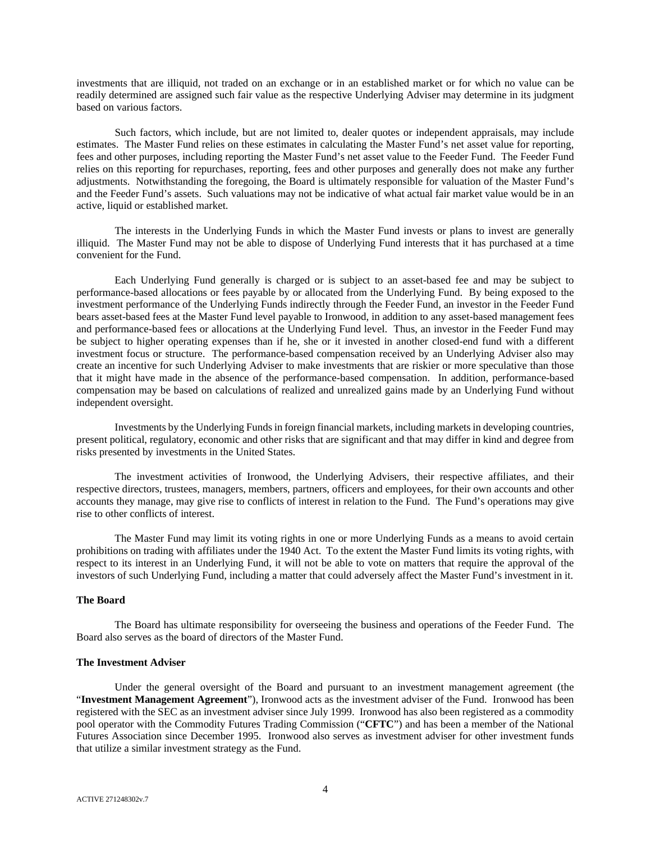investments that are illiquid, not traded on an exchange or in an established market or for which no value can be readily determined are assigned such fair value as the respective Underlying Adviser may determine in its judgment based on various factors.

Such factors, which include, but are not limited to, dealer quotes or independent appraisals, may include estimates. The Master Fund relies on these estimates in calculating the Master Fund's net asset value for reporting, fees and other purposes, including reporting the Master Fund's net asset value to the Feeder Fund. The Feeder Fund relies on this reporting for repurchases, reporting, fees and other purposes and generally does not make any further adjustments. Notwithstanding the foregoing, the Board is ultimately responsible for valuation of the Master Fund's and the Feeder Fund's assets. Such valuations may not be indicative of what actual fair market value would be in an active, liquid or established market.

The interests in the Underlying Funds in which the Master Fund invests or plans to invest are generally illiquid. The Master Fund may not be able to dispose of Underlying Fund interests that it has purchased at a time convenient for the Fund.

Each Underlying Fund generally is charged or is subject to an asset-based fee and may be subject to performance-based allocations or fees payable by or allocated from the Underlying Fund. By being exposed to the investment performance of the Underlying Funds indirectly through the Feeder Fund, an investor in the Feeder Fund bears asset-based fees at the Master Fund level payable to Ironwood, in addition to any asset-based management fees and performance-based fees or allocations at the Underlying Fund level. Thus, an investor in the Feeder Fund may be subject to higher operating expenses than if he, she or it invested in another closed-end fund with a different investment focus or structure. The performance-based compensation received by an Underlying Adviser also may create an incentive for such Underlying Adviser to make investments that are riskier or more speculative than those that it might have made in the absence of the performance-based compensation. In addition, performance-based compensation may be based on calculations of realized and unrealized gains made by an Underlying Fund without independent oversight.

Investments by the Underlying Funds in foreign financial markets, including markets in developing countries, present political, regulatory, economic and other risks that are significant and that may differ in kind and degree from risks presented by investments in the United States.

The investment activities of Ironwood, the Underlying Advisers, their respective affiliates, and their respective directors, trustees, managers, members, partners, officers and employees, for their own accounts and other accounts they manage, may give rise to conflicts of interest in relation to the Fund. The Fund's operations may give rise to other conflicts of interest.

The Master Fund may limit its voting rights in one or more Underlying Funds as a means to avoid certain prohibitions on trading with affiliates under the 1940 Act. To the extent the Master Fund limits its voting rights, with respect to its interest in an Underlying Fund, it will not be able to vote on matters that require the approval of the investors of such Underlying Fund, including a matter that could adversely affect the Master Fund's investment in it.

## **The Board**

The Board has ultimate responsibility for overseeing the business and operations of the Feeder Fund. The Board also serves as the board of directors of the Master Fund.

#### **The Investment Adviser**

Under the general oversight of the Board and pursuant to an investment management agreement (the "**Investment Management Agreement**"), Ironwood acts as the investment adviser of the Fund. Ironwood has been registered with the SEC as an investment adviser since July 1999. Ironwood has also been registered as a commodity pool operator with the Commodity Futures Trading Commission ("**CFTC**") and has been a member of the National Futures Association since December 1995. Ironwood also serves as investment adviser for other investment funds that utilize a similar investment strategy as the Fund.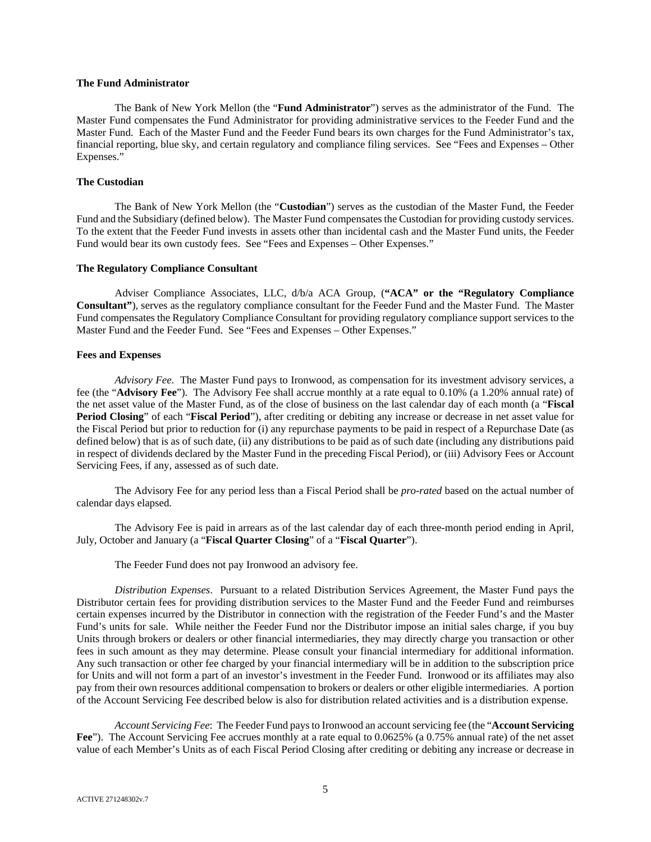## **The Fund Administrator**

The Bank of New York Mellon (the "**Fund Administrator**") serves as the administrator of the Fund. The Master Fund compensates the Fund Administrator for providing administrative services to the Feeder Fund and the Master Fund. Each of the Master Fund and the Feeder Fund bears its own charges for the Fund Administrator's tax, financial reporting, blue sky, and certain regulatory and compliance filing services. See "Fees and Expenses – Other Expenses."

## **The Custodian**

The Bank of New York Mellon (the "**Custodian**") serves as the custodian of the Master Fund, the Feeder Fund and the Subsidiary (defined below). The Master Fund compensates the Custodian for providing custody services. To the extent that the Feeder Fund invests in assets other than incidental cash and the Master Fund units, the Feeder Fund would bear its own custody fees. See "Fees and Expenses – Other Expenses."

### **The Regulatory Compliance Consultant**

Adviser Compliance Associates, LLC, d/b/a ACA Group, (**"ACA" or the "Regulatory Compliance Consultant"**), serves as the regulatory compliance consultant for the Feeder Fund and the Master Fund. The Master Fund compensates the Regulatory Compliance Consultant for providing regulatory compliance support services to the Master Fund and the Feeder Fund. See "Fees and Expenses – Other Expenses."

#### **Fees and Expenses**

*Advisory Fee*. The Master Fund pays to Ironwood, as compensation for its investment advisory services, a fee (the "**Advisory Fee**"). The Advisory Fee shall accrue monthly at a rate equal to 0.10% (a 1.20% annual rate) of the net asset value of the Master Fund, as of the close of business on the last calendar day of each month (a "**Fiscal Period Closing**" of each "**Fiscal Period**"), after crediting or debiting any increase or decrease in net asset value for the Fiscal Period but prior to reduction for (i) any repurchase payments to be paid in respect of a Repurchase Date (as defined below) that is as of such date, (ii) any distributions to be paid as of such date (including any distributions paid in respect of dividends declared by the Master Fund in the preceding Fiscal Period), or (iii) Advisory Fees or Account Servicing Fees, if any, assessed as of such date.

The Advisory Fee for any period less than a Fiscal Period shall be *pro-rated* based on the actual number of calendar days elapsed.

The Advisory Fee is paid in arrears as of the last calendar day of each three-month period ending in April, July, October and January (a "**Fiscal Quarter Closing**" of a "**Fiscal Quarter**").

The Feeder Fund does not pay Ironwood an advisory fee.

*Distribution Expenses*. Pursuant to a related Distribution Services Agreement, the Master Fund pays the Distributor certain fees for providing distribution services to the Master Fund and the Feeder Fund and reimburses certain expenses incurred by the Distributor in connection with the registration of the Feeder Fund's and the Master Fund's units for sale. While neither the Feeder Fund nor the Distributor impose an initial sales charge, if you buy Units through brokers or dealers or other financial intermediaries, they may directly charge you transaction or other fees in such amount as they may determine. Please consult your financial intermediary for additional information. Any such transaction or other fee charged by your financial intermediary will be in addition to the subscription price for Units and will not form a part of an investor's investment in the Feeder Fund. Ironwood or its affiliates may also pay from their own resources additional compensation to brokers or dealers or other eligible intermediaries. A portion of the Account Servicing Fee described below is also for distribution related activities and is a distribution expense.

*Account Servicing Fee*: The Feeder Fund pays to Ironwood an account servicing fee (the "**Account Servicing Fee**"). The Account Servicing Fee accrues monthly at a rate equal to 0.0625% (a 0.75% annual rate) of the net asset value of each Member's Units as of each Fiscal Period Closing after crediting or debiting any increase or decrease in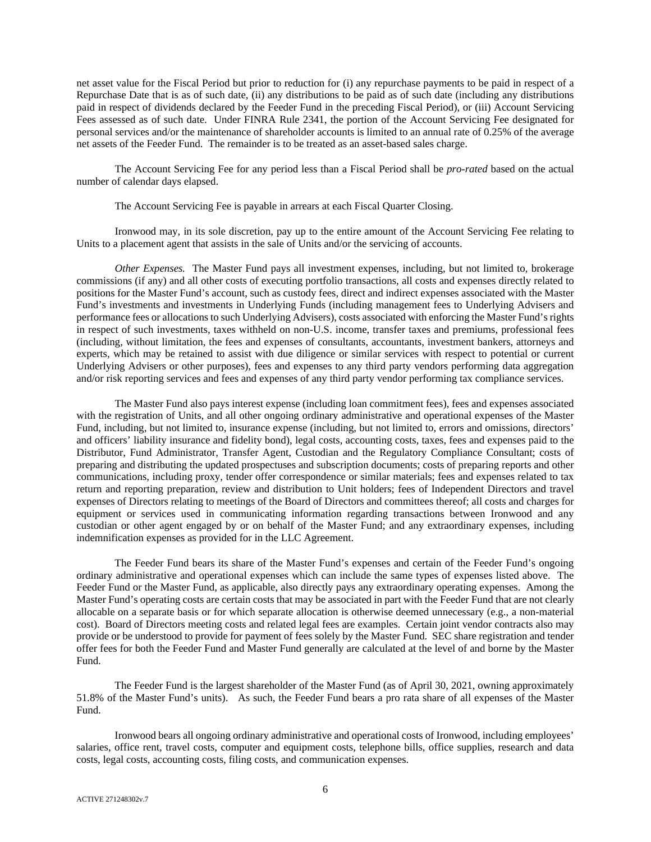net asset value for the Fiscal Period but prior to reduction for (i) any repurchase payments to be paid in respect of a Repurchase Date that is as of such date, (ii) any distributions to be paid as of such date (including any distributions paid in respect of dividends declared by the Feeder Fund in the preceding Fiscal Period), or (iii) Account Servicing Fees assessed as of such date. Under FINRA Rule 2341, the portion of the Account Servicing Fee designated for personal services and/or the maintenance of shareholder accounts is limited to an annual rate of 0.25% of the average net assets of the Feeder Fund. The remainder is to be treated as an asset-based sales charge.

The Account Servicing Fee for any period less than a Fiscal Period shall be *pro-rated* based on the actual number of calendar days elapsed.

The Account Servicing Fee is payable in arrears at each Fiscal Quarter Closing.

Ironwood may, in its sole discretion, pay up to the entire amount of the Account Servicing Fee relating to Units to a placement agent that assists in the sale of Units and/or the servicing of accounts.

*Other Expenses.* The Master Fund pays all investment expenses, including, but not limited to, brokerage commissions (if any) and all other costs of executing portfolio transactions, all costs and expenses directly related to positions for the Master Fund's account, such as custody fees, direct and indirect expenses associated with the Master Fund's investments and investments in Underlying Funds (including management fees to Underlying Advisers and performance fees or allocations to such Underlying Advisers), costs associated with enforcing the Master Fund's rights in respect of such investments, taxes withheld on non-U.S. income, transfer taxes and premiums, professional fees (including, without limitation, the fees and expenses of consultants, accountants, investment bankers, attorneys and experts, which may be retained to assist with due diligence or similar services with respect to potential or current Underlying Advisers or other purposes), fees and expenses to any third party vendors performing data aggregation and/or risk reporting services and fees and expenses of any third party vendor performing tax compliance services.

The Master Fund also pays interest expense (including loan commitment fees), fees and expenses associated with the registration of Units, and all other ongoing ordinary administrative and operational expenses of the Master Fund, including, but not limited to, insurance expense (including, but not limited to, errors and omissions, directors' and officers' liability insurance and fidelity bond), legal costs, accounting costs, taxes, fees and expenses paid to the Distributor, Fund Administrator, Transfer Agent, Custodian and the Regulatory Compliance Consultant; costs of preparing and distributing the updated prospectuses and subscription documents; costs of preparing reports and other communications, including proxy, tender offer correspondence or similar materials; fees and expenses related to tax return and reporting preparation, review and distribution to Unit holders; fees of Independent Directors and travel expenses of Directors relating to meetings of the Board of Directors and committees thereof; all costs and charges for equipment or services used in communicating information regarding transactions between Ironwood and any custodian or other agent engaged by or on behalf of the Master Fund; and any extraordinary expenses, including indemnification expenses as provided for in the LLC Agreement.

The Feeder Fund bears its share of the Master Fund's expenses and certain of the Feeder Fund's ongoing ordinary administrative and operational expenses which can include the same types of expenses listed above. The Feeder Fund or the Master Fund, as applicable, also directly pays any extraordinary operating expenses. Among the Master Fund's operating costs are certain costs that may be associated in part with the Feeder Fund that are not clearly allocable on a separate basis or for which separate allocation is otherwise deemed unnecessary (e.g., a non-material cost). Board of Directors meeting costs and related legal fees are examples. Certain joint vendor contracts also may provide or be understood to provide for payment of fees solely by the Master Fund. SEC share registration and tender offer fees for both the Feeder Fund and Master Fund generally are calculated at the level of and borne by the Master Fund.

The Feeder Fund is the largest shareholder of the Master Fund (as of April 30, 2021, owning approximately 51.8% of the Master Fund's units). As such, the Feeder Fund bears a pro rata share of all expenses of the Master Fund.

Ironwood bears all ongoing ordinary administrative and operational costs of Ironwood, including employees' salaries, office rent, travel costs, computer and equipment costs, telephone bills, office supplies, research and data costs, legal costs, accounting costs, filing costs, and communication expenses.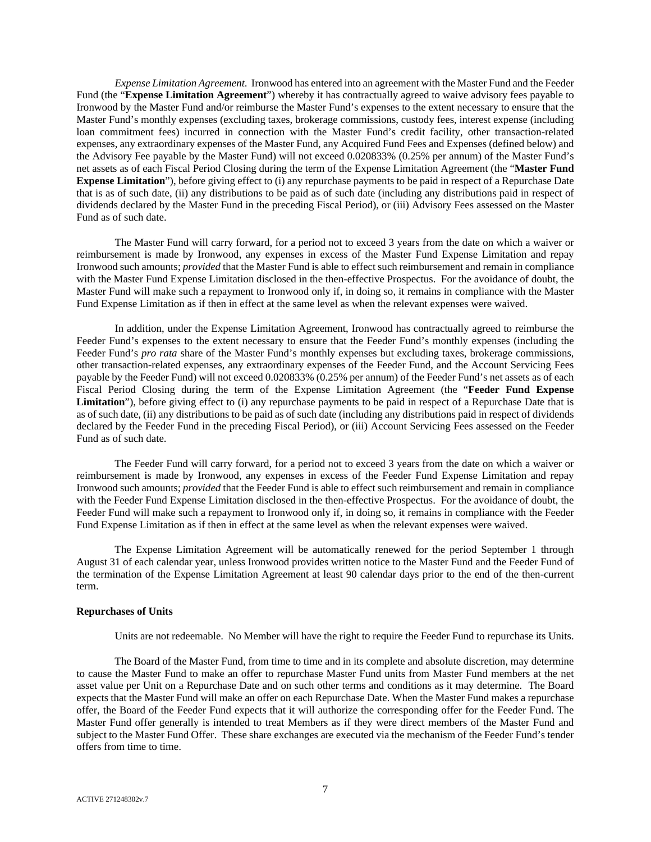*Expense Limitation Agreement*. Ironwood has entered into an agreement with the Master Fund and the Feeder Fund (the "**Expense Limitation Agreement**") whereby it has contractually agreed to waive advisory fees payable to Ironwood by the Master Fund and/or reimburse the Master Fund's expenses to the extent necessary to ensure that the Master Fund's monthly expenses (excluding taxes, brokerage commissions, custody fees, interest expense (including loan commitment fees) incurred in connection with the Master Fund's credit facility, other transaction-related expenses, any extraordinary expenses of the Master Fund, any Acquired Fund Fees and Expenses (defined below) and the Advisory Fee payable by the Master Fund) will not exceed 0.020833% (0.25% per annum) of the Master Fund's net assets as of each Fiscal Period Closing during the term of the Expense Limitation Agreement (the "**Master Fund Expense Limitation**"), before giving effect to (i) any repurchase payments to be paid in respect of a Repurchase Date that is as of such date, (ii) any distributions to be paid as of such date (including any distributions paid in respect of dividends declared by the Master Fund in the preceding Fiscal Period), or (iii) Advisory Fees assessed on the Master Fund as of such date.

The Master Fund will carry forward, for a period not to exceed 3 years from the date on which a waiver or reimbursement is made by Ironwood, any expenses in excess of the Master Fund Expense Limitation and repay Ironwood such amounts; *provided* that the Master Fund is able to effect such reimbursement and remain in compliance with the Master Fund Expense Limitation disclosed in the then-effective Prospectus. For the avoidance of doubt, the Master Fund will make such a repayment to Ironwood only if, in doing so, it remains in compliance with the Master Fund Expense Limitation as if then in effect at the same level as when the relevant expenses were waived.

In addition, under the Expense Limitation Agreement, Ironwood has contractually agreed to reimburse the Feeder Fund's expenses to the extent necessary to ensure that the Feeder Fund's monthly expenses (including the Feeder Fund's *pro rata* share of the Master Fund's monthly expenses but excluding taxes, brokerage commissions, other transaction-related expenses, any extraordinary expenses of the Feeder Fund, and the Account Servicing Fees payable by the Feeder Fund) will not exceed 0.020833% (0.25% per annum) of the Feeder Fund's net assets as of each Fiscal Period Closing during the term of the Expense Limitation Agreement (the "**Feeder Fund Expense Limitation**"), before giving effect to (i) any repurchase payments to be paid in respect of a Repurchase Date that is as of such date, (ii) any distributions to be paid as of such date (including any distributions paid in respect of dividends declared by the Feeder Fund in the preceding Fiscal Period), or (iii) Account Servicing Fees assessed on the Feeder Fund as of such date.

The Feeder Fund will carry forward, for a period not to exceed 3 years from the date on which a waiver or reimbursement is made by Ironwood, any expenses in excess of the Feeder Fund Expense Limitation and repay Ironwood such amounts; *provided* that the Feeder Fund is able to effect such reimbursement and remain in compliance with the Feeder Fund Expense Limitation disclosed in the then-effective Prospectus. For the avoidance of doubt, the Feeder Fund will make such a repayment to Ironwood only if, in doing so, it remains in compliance with the Feeder Fund Expense Limitation as if then in effect at the same level as when the relevant expenses were waived.

The Expense Limitation Agreement will be automatically renewed for the period September 1 through August 31 of each calendar year, unless Ironwood provides written notice to the Master Fund and the Feeder Fund of the termination of the Expense Limitation Agreement at least 90 calendar days prior to the end of the then-current term.

## **Repurchases of Units**

Units are not redeemable. No Member will have the right to require the Feeder Fund to repurchase its Units.

The Board of the Master Fund, from time to time and in its complete and absolute discretion, may determine to cause the Master Fund to make an offer to repurchase Master Fund units from Master Fund members at the net asset value per Unit on a Repurchase Date and on such other terms and conditions as it may determine. The Board expects that the Master Fund will make an offer on each Repurchase Date. When the Master Fund makes a repurchase offer, the Board of the Feeder Fund expects that it will authorize the corresponding offer for the Feeder Fund. The Master Fund offer generally is intended to treat Members as if they were direct members of the Master Fund and subject to the Master Fund Offer. These share exchanges are executed via the mechanism of the Feeder Fund's tender offers from time to time.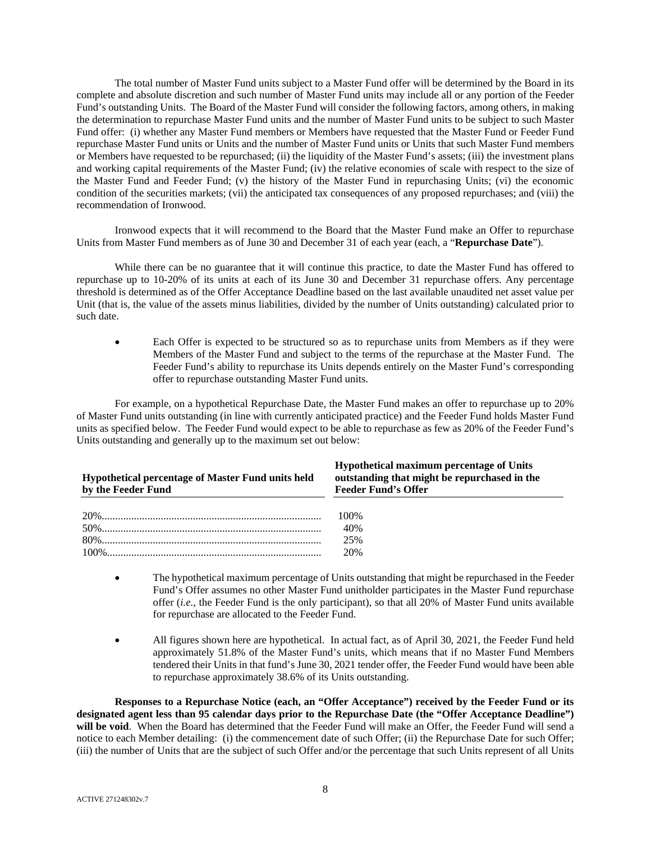The total number of Master Fund units subject to a Master Fund offer will be determined by the Board in its complete and absolute discretion and such number of Master Fund units may include all or any portion of the Feeder Fund's outstanding Units. The Board of the Master Fund will consider the following factors, among others, in making the determination to repurchase Master Fund units and the number of Master Fund units to be subject to such Master Fund offer: (i) whether any Master Fund members or Members have requested that the Master Fund or Feeder Fund repurchase Master Fund units or Units and the number of Master Fund units or Units that such Master Fund members or Members have requested to be repurchased; (ii) the liquidity of the Master Fund's assets; (iii) the investment plans and working capital requirements of the Master Fund; (iv) the relative economies of scale with respect to the size of the Master Fund and Feeder Fund; (v) the history of the Master Fund in repurchasing Units; (vi) the economic condition of the securities markets; (vii) the anticipated tax consequences of any proposed repurchases; and (viii) the recommendation of Ironwood.

Ironwood expects that it will recommend to the Board that the Master Fund make an Offer to repurchase Units from Master Fund members as of June 30 and December 31 of each year (each, a "**Repurchase Date**").

While there can be no guarantee that it will continue this practice, to date the Master Fund has offered to repurchase up to 10-20% of its units at each of its June 30 and December 31 repurchase offers. Any percentage threshold is determined as of the Offer Acceptance Deadline based on the last available unaudited net asset value per Unit (that is, the value of the assets minus liabilities, divided by the number of Units outstanding) calculated prior to such date.

• Each Offer is expected to be structured so as to repurchase units from Members as if they were Members of the Master Fund and subject to the terms of the repurchase at the Master Fund. The Feeder Fund's ability to repurchase its Units depends entirely on the Master Fund's corresponding offer to repurchase outstanding Master Fund units.

For example, on a hypothetical Repurchase Date, the Master Fund makes an offer to repurchase up to 20% of Master Fund units outstanding (in line with currently anticipated practice) and the Feeder Fund holds Master Fund units as specified below. The Feeder Fund would expect to be able to repurchase as few as 20% of the Feeder Fund's Units outstanding and generally up to the maximum set out below:

| <b>Hypothetical percentage of Master Fund units held</b><br>by the Feeder Fund | <b>Hypothetical maximum percentage of Units</b><br>outstanding that might be repurchased in the<br><b>Feeder Fund's Offer</b> |
|--------------------------------------------------------------------------------|-------------------------------------------------------------------------------------------------------------------------------|
|                                                                                | 100\%                                                                                                                         |
|                                                                                | 40%                                                                                                                           |
|                                                                                | 25%                                                                                                                           |
|                                                                                | 20%                                                                                                                           |

- The hypothetical maximum percentage of Units outstanding that might be repurchased in the Feeder Fund's Offer assumes no other Master Fund unitholder participates in the Master Fund repurchase offer (*i.e.*, the Feeder Fund is the only participant), so that all 20% of Master Fund units available for repurchase are allocated to the Feeder Fund.
- All figures shown here are hypothetical. In actual fact, as of April 30, 2021, the Feeder Fund held approximately 51.8% of the Master Fund's units, which means that if no Master Fund Members tendered their Units in that fund's June 30, 2021 tender offer, the Feeder Fund would have been able to repurchase approximately 38.6% of its Units outstanding.

**Responses to a Repurchase Notice (each, an "Offer Acceptance") received by the Feeder Fund or its designated agent less than 95 calendar days prior to the Repurchase Date (the "Offer Acceptance Deadline") will be void**. When the Board has determined that the Feeder Fund will make an Offer, the Feeder Fund will send a notice to each Member detailing: (i) the commencement date of such Offer; (ii) the Repurchase Date for such Offer; (iii) the number of Units that are the subject of such Offer and/or the percentage that such Units represent of all Units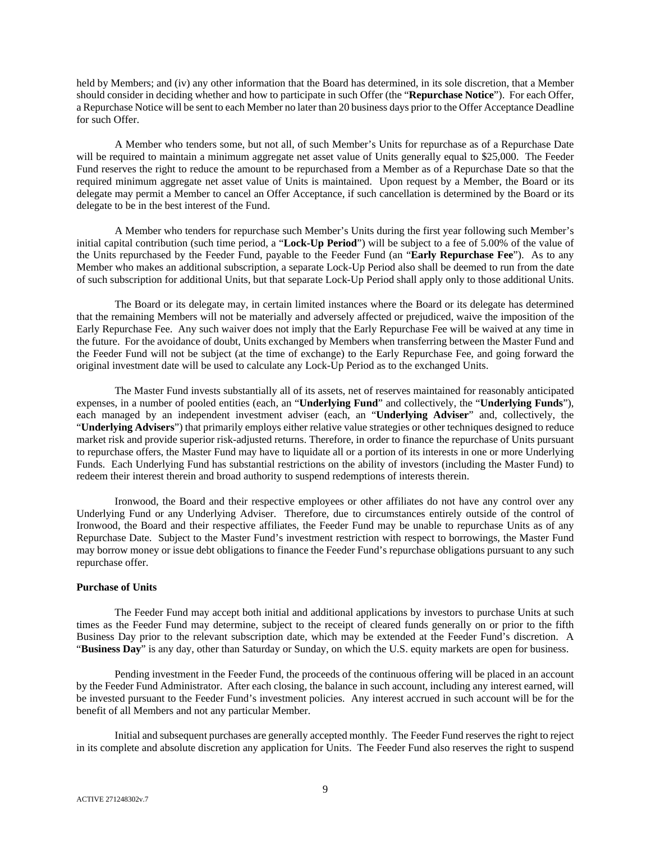held by Members; and (iv) any other information that the Board has determined, in its sole discretion, that a Member should consider in deciding whether and how to participate in such Offer (the "**Repurchase Notice**"). For each Offer, a Repurchase Notice will be sent to each Member no later than 20 business days prior to the Offer Acceptance Deadline for such Offer.

A Member who tenders some, but not all, of such Member's Units for repurchase as of a Repurchase Date will be required to maintain a minimum aggregate net asset value of Units generally equal to \$25,000. The Feeder Fund reserves the right to reduce the amount to be repurchased from a Member as of a Repurchase Date so that the required minimum aggregate net asset value of Units is maintained. Upon request by a Member, the Board or its delegate may permit a Member to cancel an Offer Acceptance, if such cancellation is determined by the Board or its delegate to be in the best interest of the Fund.

A Member who tenders for repurchase such Member's Units during the first year following such Member's initial capital contribution (such time period, a "**Lock-Up Period**") will be subject to a fee of 5.00% of the value of the Units repurchased by the Feeder Fund, payable to the Feeder Fund (an "**Early Repurchase Fee**"). As to any Member who makes an additional subscription, a separate Lock-Up Period also shall be deemed to run from the date of such subscription for additional Units, but that separate Lock-Up Period shall apply only to those additional Units.

The Board or its delegate may, in certain limited instances where the Board or its delegate has determined that the remaining Members will not be materially and adversely affected or prejudiced, waive the imposition of the Early Repurchase Fee. Any such waiver does not imply that the Early Repurchase Fee will be waived at any time in the future. For the avoidance of doubt, Units exchanged by Members when transferring between the Master Fund and the Feeder Fund will not be subject (at the time of exchange) to the Early Repurchase Fee, and going forward the original investment date will be used to calculate any Lock-Up Period as to the exchanged Units.

The Master Fund invests substantially all of its assets, net of reserves maintained for reasonably anticipated expenses, in a number of pooled entities (each, an "**Underlying Fund**" and collectively, the "**Underlying Funds**"), each managed by an independent investment adviser (each, an "**Underlying Adviser**" and, collectively, the "**Underlying Advisers**") that primarily employs either relative value strategies or other techniques designed to reduce market risk and provide superior risk-adjusted returns. Therefore, in order to finance the repurchase of Units pursuant to repurchase offers, the Master Fund may have to liquidate all or a portion of its interests in one or more Underlying Funds. Each Underlying Fund has substantial restrictions on the ability of investors (including the Master Fund) to redeem their interest therein and broad authority to suspend redemptions of interests therein.

Ironwood, the Board and their respective employees or other affiliates do not have any control over any Underlying Fund or any Underlying Adviser. Therefore, due to circumstances entirely outside of the control of Ironwood, the Board and their respective affiliates, the Feeder Fund may be unable to repurchase Units as of any Repurchase Date. Subject to the Master Fund's investment restriction with respect to borrowings, the Master Fund may borrow money or issue debt obligations to finance the Feeder Fund's repurchase obligations pursuant to any such repurchase offer.

## **Purchase of Units**

The Feeder Fund may accept both initial and additional applications by investors to purchase Units at such times as the Feeder Fund may determine, subject to the receipt of cleared funds generally on or prior to the fifth Business Day prior to the relevant subscription date, which may be extended at the Feeder Fund's discretion. A "**Business Day**" is any day, other than Saturday or Sunday, on which the U.S. equity markets are open for business.

Pending investment in the Feeder Fund, the proceeds of the continuous offering will be placed in an account by the Feeder Fund Administrator. After each closing, the balance in such account, including any interest earned, will be invested pursuant to the Feeder Fund's investment policies. Any interest accrued in such account will be for the benefit of all Members and not any particular Member.

Initial and subsequent purchases are generally accepted monthly. The Feeder Fund reserves the right to reject in its complete and absolute discretion any application for Units. The Feeder Fund also reserves the right to suspend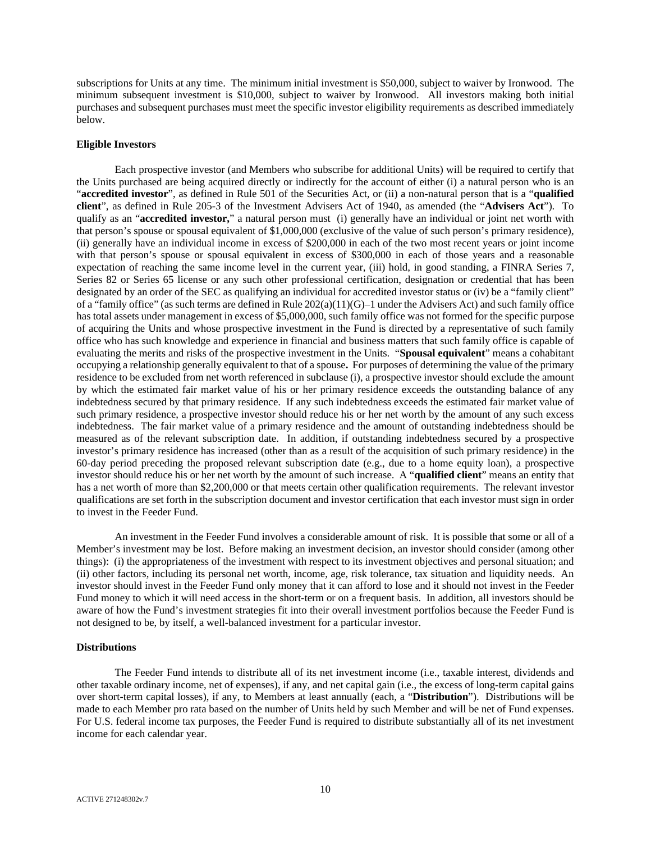subscriptions for Units at any time. The minimum initial investment is \$50,000, subject to waiver by Ironwood. The minimum subsequent investment is \$10,000, subject to waiver by Ironwood. All investors making both initial purchases and subsequent purchases must meet the specific investor eligibility requirements as described immediately below.

## **Eligible Investors**

Each prospective investor (and Members who subscribe for additional Units) will be required to certify that the Units purchased are being acquired directly or indirectly for the account of either (i) a natural person who is an "**accredited investor**", as defined in Rule 501 of the Securities Act, or (ii) a non-natural person that is a "**qualified client**", as defined in Rule 205-3 of the Investment Advisers Act of 1940, as amended (the "**Advisers Act**"). To qualify as an "**accredited investor,**" a natural person must (i) generally have an individual or joint net worth with that person's spouse or spousal equivalent of \$1,000,000 (exclusive of the value of such person's primary residence), (ii) generally have an individual income in excess of \$200,000 in each of the two most recent years or joint income with that person's spouse or spousal equivalent in excess of \$300,000 in each of those years and a reasonable expectation of reaching the same income level in the current year, (iii) hold, in good standing, a FINRA Series 7, Series 82 or Series 65 license or any such other professional certification, designation or credential that has been designated by an order of the SEC as qualifying an individual for accredited investor status or (iv) be a "family client" of a "family office" (as such terms are defined in Rule 202(a)(11)(G)–1 under the Advisers Act) and such family office has total assets under management in excess of \$5,000,000, such family office was not formed for the specific purpose of acquiring the Units and whose prospective investment in the Fund is directed by a representative of such family office who has such knowledge and experience in financial and business matters that such family office is capable of evaluating the merits and risks of the prospective investment in the Units. "**Spousal equivalent**" means a cohabitant occupying a relationship generally equivalent to that of a spouse**.** For purposes of determining the value of the primary residence to be excluded from net worth referenced in subclause (i), a prospective investor should exclude the amount by which the estimated fair market value of his or her primary residence exceeds the outstanding balance of any indebtedness secured by that primary residence. If any such indebtedness exceeds the estimated fair market value of such primary residence, a prospective investor should reduce his or her net worth by the amount of any such excess indebtedness. The fair market value of a primary residence and the amount of outstanding indebtedness should be measured as of the relevant subscription date. In addition, if outstanding indebtedness secured by a prospective investor's primary residence has increased (other than as a result of the acquisition of such primary residence) in the 60-day period preceding the proposed relevant subscription date (e.g., due to a home equity loan), a prospective investor should reduce his or her net worth by the amount of such increase. A "**qualified client**" means an entity that has a net worth of more than \$2,200,000 or that meets certain other qualification requirements. The relevant investor qualifications are set forth in the subscription document and investor certification that each investor must sign in order to invest in the Feeder Fund.

An investment in the Feeder Fund involves a considerable amount of risk. It is possible that some or all of a Member's investment may be lost. Before making an investment decision, an investor should consider (among other things): (i) the appropriateness of the investment with respect to its investment objectives and personal situation; and (ii) other factors, including its personal net worth, income, age, risk tolerance, tax situation and liquidity needs. An investor should invest in the Feeder Fund only money that it can afford to lose and it should not invest in the Feeder Fund money to which it will need access in the short-term or on a frequent basis. In addition, all investors should be aware of how the Fund's investment strategies fit into their overall investment portfolios because the Feeder Fund is not designed to be, by itself, a well-balanced investment for a particular investor.

## **Distributions**

The Feeder Fund intends to distribute all of its net investment income (i.e., taxable interest, dividends and other taxable ordinary income, net of expenses), if any, and net capital gain (i.e., the excess of long-term capital gains over short-term capital losses), if any, to Members at least annually (each, a "**Distribution**"). Distributions will be made to each Member pro rata based on the number of Units held by such Member and will be net of Fund expenses. For U.S. federal income tax purposes, the Feeder Fund is required to distribute substantially all of its net investment income for each calendar year.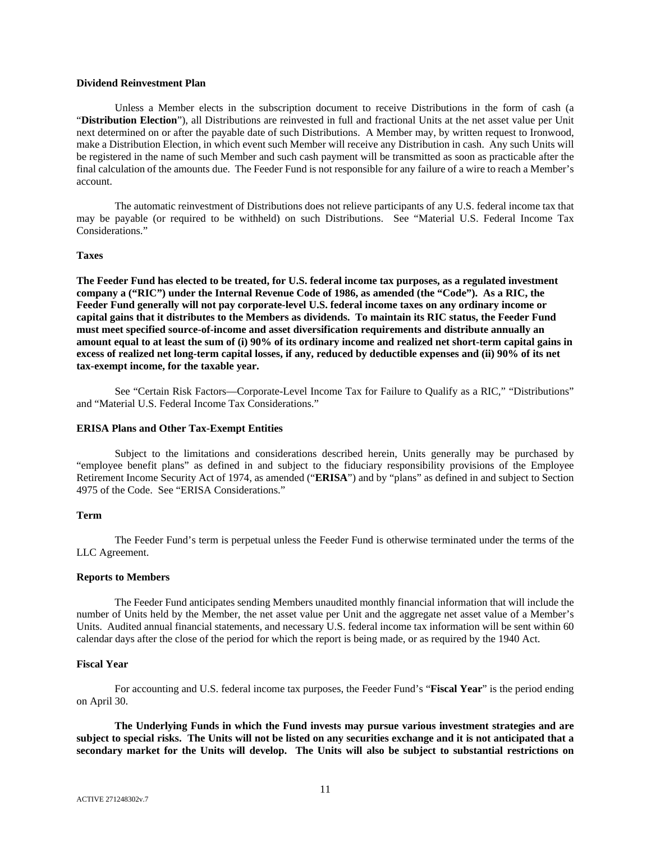### **Dividend Reinvestment Plan**

Unless a Member elects in the subscription document to receive Distributions in the form of cash (a "**Distribution Election**"), all Distributions are reinvested in full and fractional Units at the net asset value per Unit next determined on or after the payable date of such Distributions. A Member may, by written request to Ironwood, make a Distribution Election, in which event such Member will receive any Distribution in cash. Any such Units will be registered in the name of such Member and such cash payment will be transmitted as soon as practicable after the final calculation of the amounts due. The Feeder Fund is not responsible for any failure of a wire to reach a Member's account.

The automatic reinvestment of Distributions does not relieve participants of any U.S. federal income tax that may be payable (or required to be withheld) on such Distributions. See "Material U.S. Federal Income Tax Considerations."

#### **Taxes**

**The Feeder Fund has elected to be treated, for U.S. federal income tax purposes, as a regulated investment company a ("RIC") under the Internal Revenue Code of 1986, as amended (the "Code"). As a RIC, the Feeder Fund generally will not pay corporate-level U.S. federal income taxes on any ordinary income or capital gains that it distributes to the Members as dividends. To maintain its RIC status, the Feeder Fund must meet specified source-of-income and asset diversification requirements and distribute annually an amount equal to at least the sum of (i) 90% of its ordinary income and realized net short-term capital gains in excess of realized net long-term capital losses, if any, reduced by deductible expenses and (ii) 90% of its net tax-exempt income, for the taxable year.**

See "Certain Risk Factors—Corporate-Level Income Tax for Failure to Qualify as a RIC," "Distributions" and "Material U.S. Federal Income Tax Considerations."

#### **ERISA Plans and Other Tax-Exempt Entities**

Subject to the limitations and considerations described herein, Units generally may be purchased by "employee benefit plans" as defined in and subject to the fiduciary responsibility provisions of the Employee Retirement Income Security Act of 1974, as amended ("**ERISA**") and by "plans" as defined in and subject to Section 4975 of the Code. See "ERISA Considerations."

## **Term**

The Feeder Fund's term is perpetual unless the Feeder Fund is otherwise terminated under the terms of the LLC Agreement.

#### **Reports to Members**

The Feeder Fund anticipates sending Members unaudited monthly financial information that will include the number of Units held by the Member, the net asset value per Unit and the aggregate net asset value of a Member's Units. Audited annual financial statements, and necessary U.S. federal income tax information will be sent within 60 calendar days after the close of the period for which the report is being made, or as required by the 1940 Act.

#### **Fiscal Year**

For accounting and U.S. federal income tax purposes, the Feeder Fund's "**Fiscal Year**" is the period ending on April 30.

**The Underlying Funds in which the Fund invests may pursue various investment strategies and are subject to special risks. The Units will not be listed on any securities exchange and it is not anticipated that a secondary market for the Units will develop. The Units will also be subject to substantial restrictions on**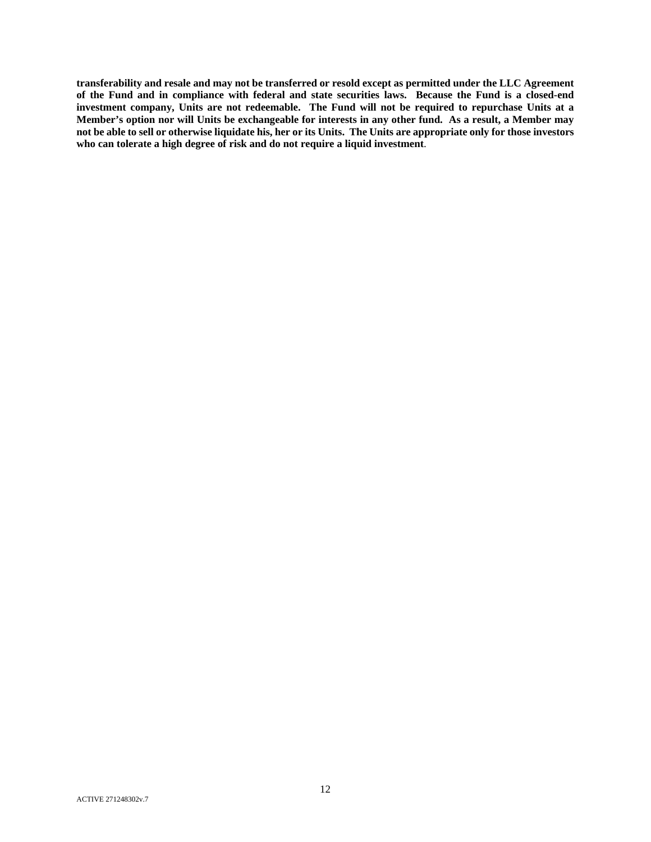**transferability and resale and may not be transferred or resold except as permitted under the LLC Agreement of the Fund and in compliance with federal and state securities laws. Because the Fund is a closed-end investment company, Units are not redeemable. The Fund will not be required to repurchase Units at a Member's option nor will Units be exchangeable for interests in any other fund. As a result, a Member may not be able to sell or otherwise liquidate his, her or its Units. The Units are appropriate only for those investors who can tolerate a high degree of risk and do not require a liquid investment**.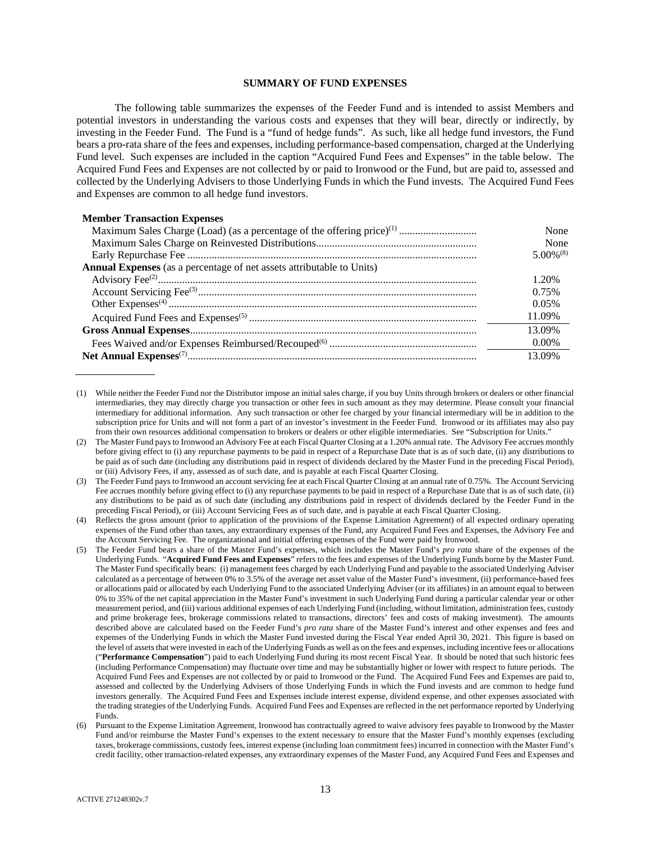## **SUMMARY OF FUND EXPENSES**

<span id="page-18-0"></span>The following table summarizes the expenses of the Feeder Fund and is intended to assist Members and potential investors in understanding the various costs and expenses that they will bear, directly or indirectly, by investing in the Feeder Fund. The Fund is a "fund of hedge funds". As such, like all hedge fund investors, the Fund bears a pro-rata share of the fees and expenses, including performance-based compensation, charged at the Underlying Fund level. Such expenses are included in the caption "Acquired Fund Fees and Expenses" in the table below. The Acquired Fund Fees and Expenses are not collected by or paid to Ironwood or the Fund, but are paid to, assessed and collected by the Underlying Advisers to those Underlying Funds in which the Fund invests. The Acquired Fund Fees and Expenses are common to all hedge fund investors.

## **Member Transaction Expenses**

|                                                                       | None           |
|-----------------------------------------------------------------------|----------------|
|                                                                       | None           |
|                                                                       | $5.00\%^{(8)}$ |
| Annual Expenses (as a percentage of net assets attributable to Units) |                |
|                                                                       | 1.20%          |
|                                                                       | 0.75%          |
|                                                                       | 0.05%          |
|                                                                       | 11.09%         |
|                                                                       | 13.09%         |
|                                                                       | 0.00%          |
|                                                                       | 13.09%         |

<sup>(1)</sup> While neither the Feeder Fund nor the Distributor impose an initial sales charge, if you buy Units through brokers or dealers or other financial intermediaries, they may directly charge you transaction or other fees in such amount as they may determine. Please consult your financial intermediary for additional information. Any such transaction or other fee charged by your financial intermediary will be in addition to the subscription price for Units and will not form a part of an investor's investment in the Feeder Fund. Ironwood or its affiliates may also pay from their own resources additional compensation to brokers or dealers or other eligible intermediaries. See "Subscription for Units."

<sup>(2)</sup> The Master Fund pays to Ironwood an Advisory Fee at each Fiscal Quarter Closing at a 1.20% annual rate. The Advisory Fee accrues monthly before giving effect to (i) any repurchase payments to be paid in respect of a Repurchase Date that is as of such date, (ii) any distributions to be paid as of such date (including any distributions paid in respect of dividends declared by the Master Fund in the preceding Fiscal Period), or (iii) Advisory Fees, if any, assessed as of such date, and is payable at each Fiscal Quarter Closing.

<sup>(3)</sup> The Feeder Fund pays to Ironwood an account servicing fee at each Fiscal Quarter Closing at an annual rate of 0.75%. The Account Servicing Fee accrues monthly before giving effect to (i) any repurchase payments to be paid in respect of a Repurchase Date that is as of such date, (ii) any distributions to be paid as of such date (including any distributions paid in respect of dividends declared by the Feeder Fund in the preceding Fiscal Period), or (iii) Account Servicing Fees as of such date, and is payable at each Fiscal Quarter Closing.

<sup>(4)</sup> Reflects the gross amount (prior to application of the provisions of the Expense Limitation Agreement) of all expected ordinary operating expenses of the Fund other than taxes, any extraordinary expenses of the Fund, any Acquired Fund Fees and Expenses, the Advisory Fee and the Account Servicing Fee. The organizational and initial offering expenses of the Fund were paid by Ironwood.

<sup>(5)</sup> The Feeder Fund bears a share of the Master Fund's expenses, which includes the Master Fund's *pro rata* share of the expenses of the Underlying Funds. "**Acquired Fund Fees and Expenses**" refers to the fees and expenses of the Underlying Funds borne by the Master Fund. The Master Fund specifically bears: (i) management fees charged by each Underlying Fund and payable to the associated Underlying Adviser calculated as a percentage of between 0% to 3.5% of the average net asset value of the Master Fund's investment, (ii) performance-based fees or allocations paid or allocated by each Underlying Fund to the associated Underlying Adviser (or its affiliates) in an amount equal to between 0% to 35% of the net capital appreciation in the Master Fund's investment in such Underlying Fund during a particular calendar year or other measurement period, and (iii) various additional expenses of each Underlying Fund (including, without limitation, administration fees, custody and prime brokerage fees, brokerage commissions related to transactions, directors' fees and costs of making investment). The amounts described above are calculated based on the Feeder Fund's *pro rata* share of the Master Fund's interest and other expenses and fees and expenses of the Underlying Funds in which the Master Fund invested during the Fiscal Year ended April 30, 2021. This figure is based on the level of assets that were invested in each of the Underlying Funds as well as on the fees and expenses, including incentive fees or allocations ("**Performance Compensation**") paid to each Underlying Fund during its most recent Fiscal Year. It should be noted that such historic fees (including Performance Compensation) may fluctuate over time and may be substantially higher or lower with respect to future periods. The Acquired Fund Fees and Expenses are not collected by or paid to Ironwood or the Fund. The Acquired Fund Fees and Expenses are paid to, assessed and collected by the Underlying Advisers of those Underlying Funds in which the Fund invests and are common to hedge fund investors generally. The Acquired Fund Fees and Expenses include interest expense, dividend expense, and other expenses associated with the trading strategies of the Underlying Funds. Acquired Fund Fees and Expenses are reflected in the net performance reported by Underlying Funds.

<sup>(6)</sup> Pursuant to the Expense Limitation Agreement, Ironwood has contractually agreed to waive advisory fees payable to Ironwood by the Master Fund and/or reimburse the Master Fund's expenses to the extent necessary to ensure that the Master Fund's monthly expenses (excluding taxes, brokerage commissions, custody fees, interest expense (including loan commitment fees) incurred in connection with the Master Fund's credit facility, other transaction-related expenses, any extraordinary expenses of the Master Fund, any Acquired Fund Fees and Expenses and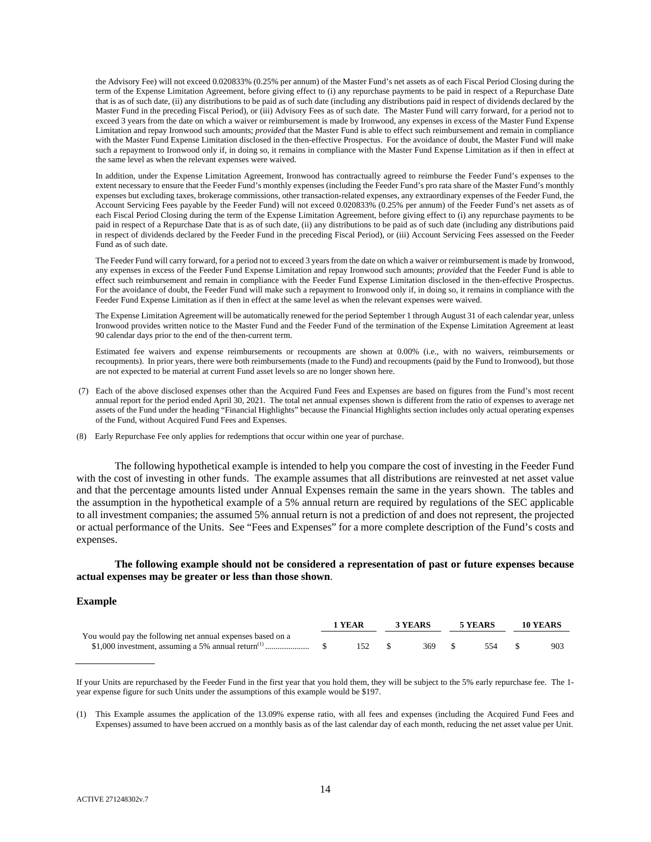the Advisory Fee) will not exceed 0.020833% (0.25% per annum) of the Master Fund's net assets as of each Fiscal Period Closing during the term of the Expense Limitation Agreement, before giving effect to (i) any repurchase payments to be paid in respect of a Repurchase Date that is as of such date, (ii) any distributions to be paid as of such date (including any distributions paid in respect of dividends declared by the Master Fund in the preceding Fiscal Period), or (iii) Advisory Fees as of such date. The Master Fund will carry forward, for a period not to exceed 3 years from the date on which a waiver or reimbursement is made by Ironwood, any expenses in excess of the Master Fund Expense Limitation and repay Ironwood such amounts; *provided* that the Master Fund is able to effect such reimbursement and remain in compliance with the Master Fund Expense Limitation disclosed in the then-effective Prospectus. For the avoidance of doubt, the Master Fund will make such a repayment to Ironwood only if, in doing so, it remains in compliance with the Master Fund Expense Limitation as if then in effect at the same level as when the relevant expenses were waived.

In addition, under the Expense Limitation Agreement, Ironwood has contractually agreed to reimburse the Feeder Fund's expenses to the extent necessary to ensure that the Feeder Fund's monthly expenses (including the Feeder Fund's pro rata share of the Master Fund's monthly expenses but excluding taxes, brokerage commissions, other transaction-related expenses, any extraordinary expenses of the Feeder Fund, the Account Servicing Fees payable by the Feeder Fund) will not exceed 0.020833% (0.25% per annum) of the Feeder Fund's net assets as of each Fiscal Period Closing during the term of the Expense Limitation Agreement, before giving effect to (i) any repurchase payments to be paid in respect of a Repurchase Date that is as of such date, (ii) any distributions to be paid as of such date (including any distributions paid in respect of dividends declared by the Feeder Fund in the preceding Fiscal Period), or (iii) Account Servicing Fees assessed on the Feeder Fund as of such date.

The Feeder Fund will carry forward, for a period not to exceed 3 years from the date on which a waiver or reimbursement is made by Ironwood, any expenses in excess of the Feeder Fund Expense Limitation and repay Ironwood such amounts; *provided* that the Feeder Fund is able to effect such reimbursement and remain in compliance with the Feeder Fund Expense Limitation disclosed in the then-effective Prospectus. For the avoidance of doubt, the Feeder Fund will make such a repayment to Ironwood only if, in doing so, it remains in compliance with the Feeder Fund Expense Limitation as if then in effect at the same level as when the relevant expenses were waived.

The Expense Limitation Agreement will be automatically renewed for the period September 1 through August 31 of each calendar year, unless Ironwood provides written notice to the Master Fund and the Feeder Fund of the termination of the Expense Limitation Agreement at least 90 calendar days prior to the end of the then-current term.

Estimated fee waivers and expense reimbursements or recoupments are shown at 0.00% (i.e., with no waivers, reimbursements or recoupments). In prior years, there were both reimbursements (made to the Fund) and recoupments (paid by the Fund to Ironwood), but those are not expected to be material at current Fund asset levels so are no longer shown here.

- (7) Each of the above disclosed expenses other than the Acquired Fund Fees and Expenses are based on figures from the Fund's most recent annual report for the period ended April 30, 2021. The total net annual expenses shown is different from the ratio of expenses to average net assets of the Fund under the heading "Financial Highlights" because the Financial Highlights section includes only actual operating expenses of the Fund, without Acquired Fund Fees and Expenses.
- (8) Early Repurchase Fee only applies for redemptions that occur within one year of purchase.

The following hypothetical example is intended to help you compare the cost of investing in the Feeder Fund with the cost of investing in other funds. The example assumes that all distributions are reinvested at net asset value and that the percentage amounts listed under Annual Expenses remain the same in the years shown. The tables and the assumption in the hypothetical example of a 5% annual return are required by regulations of the SEC applicable to all investment companies; the assumed 5% annual return is not a prediction of and does not represent, the projected or actual performance of the Units. See "Fees and Expenses" for a more complete description of the Fund's costs and expenses.

## **The following example should not be considered a representation of past or future expenses because actual expenses may be greater or less than those shown**.

## **Example**

|                                                            | 1 YEAR | 3 YEARS | 5 YEARS | 10 YEARS |     |  |
|------------------------------------------------------------|--------|---------|---------|----------|-----|--|
| You would pay the following net annual expenses based on a | 152    | 369 \$  | -554    |          | 903 |  |

If your Units are repurchased by the Feeder Fund in the first year that you hold them, they will be subject to the 5% early repurchase fee. The 1 year expense figure for such Units under the assumptions of this example would be \$197.

<sup>(1)</sup> This Example assumes the application of the 13.09% expense ratio, with all fees and expenses (including the Acquired Fund Fees and Expenses) assumed to have been accrued on a monthly basis as of the last calendar day of each month, reducing the net asset value per Unit.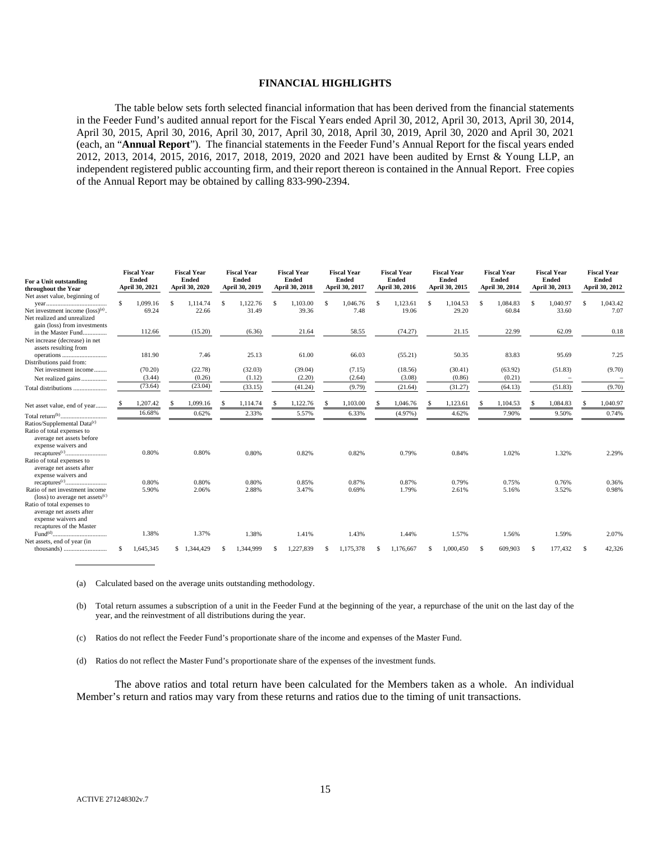## **FINANCIAL HIGHLIGHTS**

<span id="page-20-0"></span>The table below sets forth selected financial information that has been derived from the financial statements in the Feeder Fund's audited annual report for the Fiscal Years ended April 30, 2012, April 30, 2013, April 30, 2014, April 30, 2015, April 30, 2016, April 30, 2017, April 30, 2018, April 30, 2019, April 30, 2020 and April 30, 2021 (each, an "**Annual Report**"). The financial statements in the Feeder Fund's Annual Report for the fiscal years ended 2012, 2013, 2014, 2015, 2016, 2017, 2018, 2019, 2020 and 2021 have been audited by Ernst & Young LLP, an independent registered public accounting firm, and their report thereon is contained in the Annual Report. Free copies of the Annual Report may be obtained by calling 833-990-2394.

| For a Unit outstanding<br>throughout the Year                                                                                                                  |     | <b>Fiscal Year</b><br><b>Ended</b><br>April 30, 2021 | <b>Fiscal Year</b><br><b>Ended</b><br>April 30, 2020 | <b>Fiscal Year</b><br>Ended<br>April 30, 2019 |               | <b>Fiscal Year</b><br><b>Ended</b><br>April 30, 2018 |   | <b>Fiscal Year</b><br><b>Ended</b><br>April 30, 2017 |    | <b>Fiscal Year</b><br><b>Ended</b><br>April 30, 2016 |   | <b>Fiscal Year</b><br>Ended<br>April 30, 2015 | <b>Fiscal Year</b><br><b>Ended</b><br>April 30, 2014 |     | <b>Fiscal Year</b><br><b>Ended</b><br>April 30, 2013 |               | <b>Fiscal Year</b><br><b>Ended</b><br>April 30, 2012 |
|----------------------------------------------------------------------------------------------------------------------------------------------------------------|-----|------------------------------------------------------|------------------------------------------------------|-----------------------------------------------|---------------|------------------------------------------------------|---|------------------------------------------------------|----|------------------------------------------------------|---|-----------------------------------------------|------------------------------------------------------|-----|------------------------------------------------------|---------------|------------------------------------------------------|
| Net asset value, beginning of<br>Net investment income (loss) <sup>(a)</sup> .<br>Net realized and unrealized                                                  | \$. | 1,099.16<br>69.24                                    | 1,114.74<br>22.66                                    | 1.122.76<br>31.49                             | $\mathcal{S}$ | 1.103.00<br>39.36                                    | S | 1.046.76<br>7.48                                     | \$ | 1.123.61<br>19.06                                    | Ś | 1.104.53<br>29.20                             | 1.084.83<br>60.84                                    | \$. | 1,040.97<br>33.60                                    | <sup>\$</sup> | 1.043.42<br>7.07                                     |
| gain (loss) from investments<br>in the Master Fund                                                                                                             |     | 112.66                                               | (15.20)                                              | (6.36)                                        |               | 21.64                                                |   | 58.55                                                |    | (74.27)                                              |   | 21.15                                         | 22.99                                                |     | 62.09                                                |               | 0.18                                                 |
| Net increase (decrease) in net<br>assets resulting from                                                                                                        |     |                                                      |                                                      |                                               |               |                                                      |   |                                                      |    |                                                      |   |                                               |                                                      |     |                                                      |               |                                                      |
| Distributions paid from:                                                                                                                                       |     | 181.90                                               | 7.46                                                 | 25.13                                         |               | 61.00                                                |   | 66.03                                                |    | (55.21)                                              |   | 50.35                                         | 83.83                                                |     | 95.69                                                |               | 7.25                                                 |
| Net investment income                                                                                                                                          |     | (70.20)                                              | (22.78)                                              | (32.03)                                       |               | (39.04)                                              |   | (7.15)                                               |    | (18.56)                                              |   | (30.41)                                       | (63.92)                                              |     | (51.83)                                              |               | (9.70)                                               |
| Net realized gains                                                                                                                                             |     | (3.44)<br>(73.64)                                    | (0.26)<br>(23.04)                                    | (1.12)                                        |               | (2.20)                                               |   | (2.64)                                               |    | (3.08)                                               |   | (0.86)                                        | (0.21)                                               |     |                                                      |               |                                                      |
| Total distributions                                                                                                                                            |     |                                                      |                                                      | (33.15)                                       |               | (41.24)                                              |   | (9.79)                                               |    | (21.64)                                              |   | (31.27)                                       | (64.13)                                              |     | (51.83)                                              |               | (9.70)                                               |
| Net asset value, end of year                                                                                                                                   |     | 1,207.42                                             | 1,099.16                                             | 1,114.74                                      | £.            | 1,122.76                                             |   | 1,103.00                                             | -S | 1,046.76                                             |   | 1,123.61                                      | 1,104.53                                             |     | 1,084.83                                             |               | 1,040.97                                             |
| Ratios/Supplemental Data <sup>(c)</sup><br>Ratio of total expenses to<br>average net assets before<br>expense waivers and                                      |     | 16.68%                                               | 0.62%                                                | 2.33%                                         |               | 5.57%                                                |   | 6.33%                                                |    | $(4.97\%)$                                           |   | 4.62%                                         | 7.90%                                                |     | 9.50%                                                |               | 0.74%                                                |
| Ratio of total expenses to<br>average net assets after<br>expense waivers and                                                                                  |     | 0.80%                                                | 0.80%                                                | 0.80%                                         |               | 0.82%                                                |   | 0.82%                                                |    | 0.79%                                                |   | 0.84%                                         | 1.02%                                                |     | 1.32%                                                |               | 2.29%                                                |
| Ratio of net investment income<br>(loss) to average net assets <sup>(c)</sup><br>Ratio of total expenses to<br>average net assets after<br>expense waivers and |     | 0.80%<br>5.90%                                       | 0.80%<br>2.06%                                       | 0.80%<br>2.88%                                |               | 0.85%<br>3.47%                                       |   | 0.87%<br>0.69%                                       |    | 0.87%<br>1.79%                                       |   | 0.79%<br>2.61%                                | 0.75%<br>5.16%                                       |     | 0.76%<br>3.52%                                       |               | 0.36%<br>0.98%                                       |
| recaptures of the Master<br>Net assets, end of year (in                                                                                                        | S   | 1.38%<br>1,645,345                                   | 1.37%<br>\$1.344,429                                 | 1.38%<br>1.344.999                            | S             | 1.41%<br>1.227.839                                   | S | 1.43%<br>1.175.378                                   | S  | 1.44%<br>1.176.667                                   | S | 1.57%<br>1.000.450                            | \$<br>1.56%<br>609,903                               | S   | 1.59%<br>177,432                                     | -S            | 2.07%<br>42.326                                      |
|                                                                                                                                                                |     |                                                      |                                                      |                                               |               |                                                      |   |                                                      |    |                                                      |   |                                               |                                                      |     |                                                      |               |                                                      |

(a) Calculated based on the average units outstanding methodology.

(b) Total return assumes a subscription of a unit in the Feeder Fund at the beginning of the year, a repurchase of the unit on the last day of the year, and the reinvestment of all distributions during the year.

(c) Ratios do not reflect the Feeder Fund's proportionate share of the income and expenses of the Master Fund.

(d) Ratios do not reflect the Master Fund's proportionate share of the expenses of the investment funds.

The above ratios and total return have been calculated for the Members taken as a whole. An individual Member's return and ratios may vary from these returns and ratios due to the timing of unit transactions.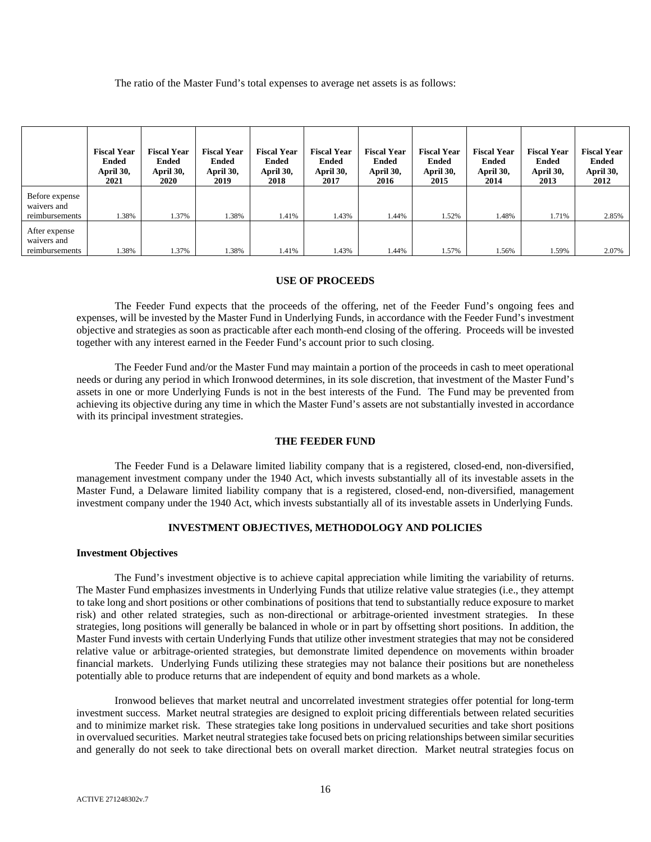The ratio of the Master Fund's total expenses to average net assets is as follows:

|                                                 | <b>Fiscal Year</b><br>Ended<br>April 30,<br>2021 | <b>Fiscal Year</b><br>Ended<br>April 30,<br><b>2020</b> | <b>Fiscal Year</b><br><b>Ended</b><br>April 30,<br>2019 | <b>Fiscal Year</b><br><b>Ended</b><br>April 30,<br>2018 | <b>Fiscal Year</b><br>Ended<br>April 30,<br>2017 | <b>Fiscal Year</b><br><b>Ended</b><br>April 30,<br>2016 | <b>Fiscal Year</b><br><b>Ended</b><br>April 30,<br>2015 | <b>Fiscal Year</b><br>Ended<br>April 30,<br>2014 | <b>Fiscal Year</b><br><b>Ended</b><br>April 30,<br>2013 | <b>Fiscal Year</b><br><b>Ended</b><br>April 30,<br>2012 |
|-------------------------------------------------|--------------------------------------------------|---------------------------------------------------------|---------------------------------------------------------|---------------------------------------------------------|--------------------------------------------------|---------------------------------------------------------|---------------------------------------------------------|--------------------------------------------------|---------------------------------------------------------|---------------------------------------------------------|
| Before expense<br>waivers and<br>reimbursements | 1.38%                                            | 1.37%                                                   | 1.38%                                                   | 1.41%                                                   | 1.43%                                            | 1.44%                                                   | 1.52%                                                   | 1.48%                                            | 1.71%                                                   | 2.85%                                                   |
| After expense<br>waivers and<br>reimbursements  | 1.38%                                            | 1.37%                                                   | 1.38%                                                   | 1.41%                                                   | 1.43%                                            | 1.44%                                                   | 1.57%                                                   | 1.56%                                            | 1.59%                                                   | 2.07%                                                   |

## **USE OF PROCEEDS**

<span id="page-21-0"></span>The Feeder Fund expects that the proceeds of the offering, net of the Feeder Fund's ongoing fees and expenses, will be invested by the Master Fund in Underlying Funds, in accordance with the Feeder Fund's investment objective and strategies as soon as practicable after each month-end closing of the offering. Proceeds will be invested together with any interest earned in the Feeder Fund's account prior to such closing.

The Feeder Fund and/or the Master Fund may maintain a portion of the proceeds in cash to meet operational needs or during any period in which Ironwood determines, in its sole discretion, that investment of the Master Fund's assets in one or more Underlying Funds is not in the best interests of the Fund. The Fund may be prevented from achieving its objective during any time in which the Master Fund's assets are not substantially invested in accordance with its principal investment strategies.

#### **THE FEEDER FUND**

<span id="page-21-1"></span>The Feeder Fund is a Delaware limited liability company that is a registered, closed-end, non-diversified, management investment company under the 1940 Act, which invests substantially all of its investable assets in the Master Fund, a Delaware limited liability company that is a registered, closed-end, non-diversified, management investment company under the 1940 Act, which invests substantially all of its investable assets in Underlying Funds.

## **INVESTMENT OBJECTIVES, METHODOLOGY AND POLICIES**

#### <span id="page-21-2"></span>**Investment Objectives**

The Fund's investment objective is to achieve capital appreciation while limiting the variability of returns. The Master Fund emphasizes investments in Underlying Funds that utilize relative value strategies (i.e., they attempt to take long and short positions or other combinations of positions that tend to substantially reduce exposure to market risk) and other related strategies, such as non-directional or arbitrage-oriented investment strategies. In these strategies, long positions will generally be balanced in whole or in part by offsetting short positions. In addition, the Master Fund invests with certain Underlying Funds that utilize other investment strategies that may not be considered relative value or arbitrage-oriented strategies, but demonstrate limited dependence on movements within broader financial markets. Underlying Funds utilizing these strategies may not balance their positions but are nonetheless potentially able to produce returns that are independent of equity and bond markets as a whole.

Ironwood believes that market neutral and uncorrelated investment strategies offer potential for long-term investment success. Market neutral strategies are designed to exploit pricing differentials between related securities and to minimize market risk. These strategies take long positions in undervalued securities and take short positions in overvalued securities. Market neutral strategies take focused bets on pricing relationships between similar securities and generally do not seek to take directional bets on overall market direction. Market neutral strategies focus on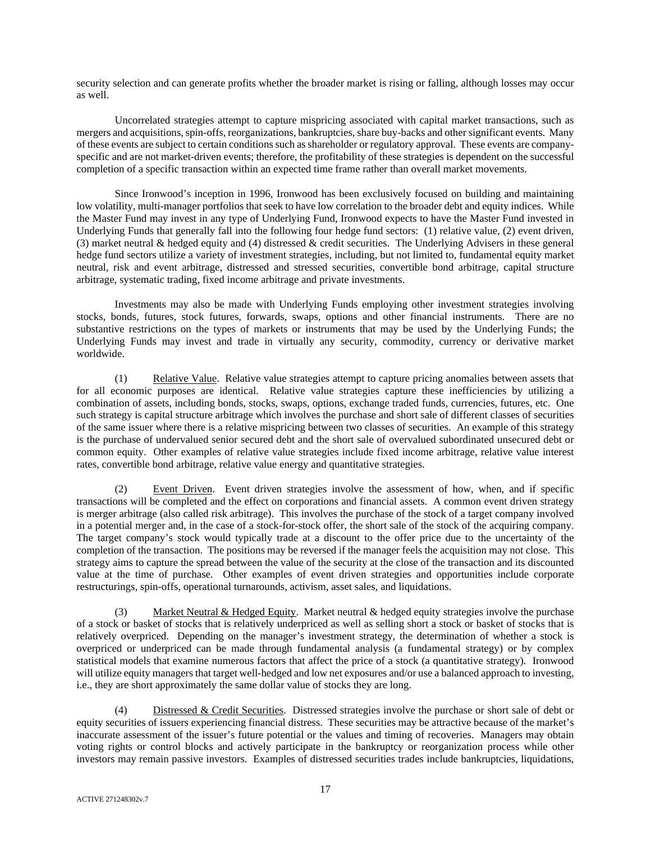security selection and can generate profits whether the broader market is rising or falling, although losses may occur as well.

Uncorrelated strategies attempt to capture mispricing associated with capital market transactions, such as mergers and acquisitions, spin-offs, reorganizations, bankruptcies, share buy-backs and other significant events. Many of these events are subject to certain conditions such as shareholder or regulatory approval. These events are companyspecific and are not market-driven events; therefore, the profitability of these strategies is dependent on the successful completion of a specific transaction within an expected time frame rather than overall market movements.

Since Ironwood's inception in 1996, Ironwood has been exclusively focused on building and maintaining low volatility, multi-manager portfolios that seek to have low correlation to the broader debt and equity indices. While the Master Fund may invest in any type of Underlying Fund, Ironwood expects to have the Master Fund invested in Underlying Funds that generally fall into the following four hedge fund sectors: (1) relative value, (2) event driven, (3) market neutral & hedged equity and (4) distressed & credit securities. The Underlying Advisers in these general hedge fund sectors utilize a variety of investment strategies, including, but not limited to, fundamental equity market neutral, risk and event arbitrage, distressed and stressed securities, convertible bond arbitrage, capital structure arbitrage, systematic trading, fixed income arbitrage and private investments.

Investments may also be made with Underlying Funds employing other investment strategies involving stocks, bonds, futures, stock futures, forwards, swaps, options and other financial instruments. There are no substantive restrictions on the types of markets or instruments that may be used by the Underlying Funds; the Underlying Funds may invest and trade in virtually any security, commodity, currency or derivative market worldwide.

(1) Relative Value. Relative value strategies attempt to capture pricing anomalies between assets that for all economic purposes are identical. Relative value strategies capture these inefficiencies by utilizing a combination of assets, including bonds, stocks, swaps, options, exchange traded funds, currencies, futures, etc. One such strategy is capital structure arbitrage which involves the purchase and short sale of different classes of securities of the same issuer where there is a relative mispricing between two classes of securities. An example of this strategy is the purchase of undervalued senior secured debt and the short sale of overvalued subordinated unsecured debt or common equity. Other examples of relative value strategies include fixed income arbitrage, relative value interest rates, convertible bond arbitrage, relative value energy and quantitative strategies.

(2) Event Driven. Event driven strategies involve the assessment of how, when, and if specific transactions will be completed and the effect on corporations and financial assets. A common event driven strategy is merger arbitrage (also called risk arbitrage). This involves the purchase of the stock of a target company involved in a potential merger and, in the case of a stock-for-stock offer, the short sale of the stock of the acquiring company. The target company's stock would typically trade at a discount to the offer price due to the uncertainty of the completion of the transaction. The positions may be reversed if the manager feels the acquisition may not close. This strategy aims to capture the spread between the value of the security at the close of the transaction and its discounted value at the time of purchase. Other examples of event driven strategies and opportunities include corporate restructurings, spin-offs, operational turnarounds, activism, asset sales, and liquidations.

(3) Market Neutral & Hedged Equity. Market neutral & hedged equity strategies involve the purchase of a stock or basket of stocks that is relatively underpriced as well as selling short a stock or basket of stocks that is relatively overpriced. Depending on the manager's investment strategy, the determination of whether a stock is overpriced or underpriced can be made through fundamental analysis (a fundamental strategy) or by complex statistical models that examine numerous factors that affect the price of a stock (a quantitative strategy). Ironwood will utilize equity managers that target well-hedged and low net exposures and/or use a balanced approach to investing, i.e., they are short approximately the same dollar value of stocks they are long.

Distressed & Credit Securities. Distressed strategies involve the purchase or short sale of debt or equity securities of issuers experiencing financial distress. These securities may be attractive because of the market's inaccurate assessment of the issuer's future potential or the values and timing of recoveries. Managers may obtain voting rights or control blocks and actively participate in the bankruptcy or reorganization process while other investors may remain passive investors. Examples of distressed securities trades include bankruptcies, liquidations,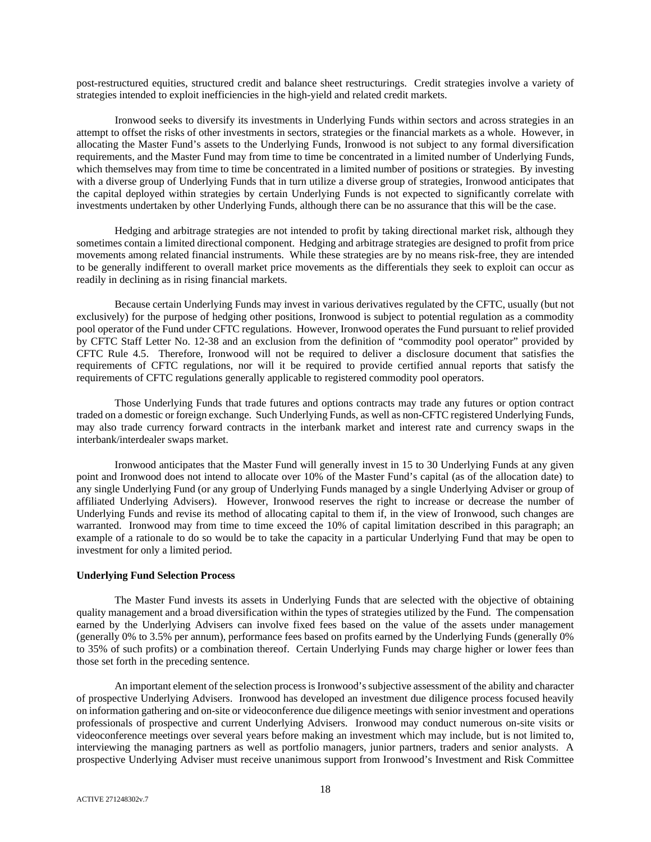post-restructured equities, structured credit and balance sheet restructurings. Credit strategies involve a variety of strategies intended to exploit inefficiencies in the high-yield and related credit markets.

Ironwood seeks to diversify its investments in Underlying Funds within sectors and across strategies in an attempt to offset the risks of other investments in sectors, strategies or the financial markets as a whole. However, in allocating the Master Fund's assets to the Underlying Funds, Ironwood is not subject to any formal diversification requirements, and the Master Fund may from time to time be concentrated in a limited number of Underlying Funds, which themselves may from time to time be concentrated in a limited number of positions or strategies. By investing with a diverse group of Underlying Funds that in turn utilize a diverse group of strategies, Ironwood anticipates that the capital deployed within strategies by certain Underlying Funds is not expected to significantly correlate with investments undertaken by other Underlying Funds, although there can be no assurance that this will be the case.

Hedging and arbitrage strategies are not intended to profit by taking directional market risk, although they sometimes contain a limited directional component. Hedging and arbitrage strategies are designed to profit from price movements among related financial instruments. While these strategies are by no means risk-free, they are intended to be generally indifferent to overall market price movements as the differentials they seek to exploit can occur as readily in declining as in rising financial markets.

Because certain Underlying Funds may invest in various derivatives regulated by the CFTC, usually (but not exclusively) for the purpose of hedging other positions, Ironwood is subject to potential regulation as a commodity pool operator of the Fund under CFTC regulations. However, Ironwood operates the Fund pursuant to relief provided by CFTC Staff Letter No. 12-38 and an exclusion from the definition of "commodity pool operator" provided by CFTC Rule 4.5. Therefore, Ironwood will not be required to deliver a disclosure document that satisfies the requirements of CFTC regulations, nor will it be required to provide certified annual reports that satisfy the requirements of CFTC regulations generally applicable to registered commodity pool operators.

Those Underlying Funds that trade futures and options contracts may trade any futures or option contract traded on a domestic or foreign exchange. Such Underlying Funds, as well as non-CFTC registered Underlying Funds, may also trade currency forward contracts in the interbank market and interest rate and currency swaps in the interbank/interdealer swaps market.

Ironwood anticipates that the Master Fund will generally invest in 15 to 30 Underlying Funds at any given point and Ironwood does not intend to allocate over 10% of the Master Fund's capital (as of the allocation date) to any single Underlying Fund (or any group of Underlying Funds managed by a single Underlying Adviser or group of affiliated Underlying Advisers). However, Ironwood reserves the right to increase or decrease the number of Underlying Funds and revise its method of allocating capital to them if, in the view of Ironwood, such changes are warranted. Ironwood may from time to time exceed the 10% of capital limitation described in this paragraph; an example of a rationale to do so would be to take the capacity in a particular Underlying Fund that may be open to investment for only a limited period.

## **Underlying Fund Selection Process**

The Master Fund invests its assets in Underlying Funds that are selected with the objective of obtaining quality management and a broad diversification within the types of strategies utilized by the Fund. The compensation earned by the Underlying Advisers can involve fixed fees based on the value of the assets under management (generally 0% to 3.5% per annum), performance fees based on profits earned by the Underlying Funds (generally 0% to 35% of such profits) or a combination thereof. Certain Underlying Funds may charge higher or lower fees than those set forth in the preceding sentence.

An important element of the selection process is Ironwood's subjective assessment of the ability and character of prospective Underlying Advisers. Ironwood has developed an investment due diligence process focused heavily on information gathering and on-site or videoconference due diligence meetings with senior investment and operations professionals of prospective and current Underlying Advisers. Ironwood may conduct numerous on-site visits or videoconference meetings over several years before making an investment which may include, but is not limited to, interviewing the managing partners as well as portfolio managers, junior partners, traders and senior analysts. A prospective Underlying Adviser must receive unanimous support from Ironwood's Investment and Risk Committee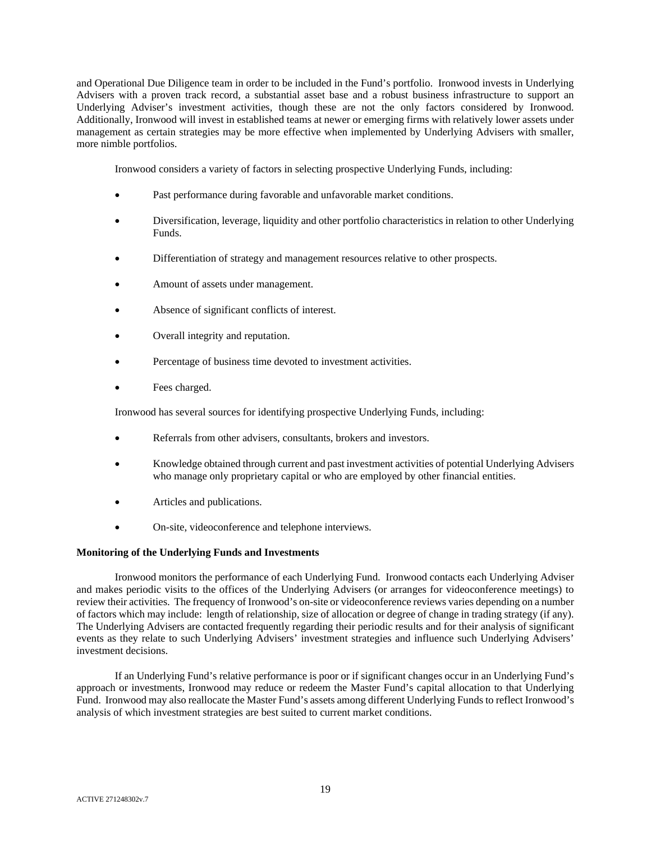and Operational Due Diligence team in order to be included in the Fund's portfolio. Ironwood invests in Underlying Advisers with a proven track record, a substantial asset base and a robust business infrastructure to support an Underlying Adviser's investment activities, though these are not the only factors considered by Ironwood. Additionally, Ironwood will invest in established teams at newer or emerging firms with relatively lower assets under management as certain strategies may be more effective when implemented by Underlying Advisers with smaller, more nimble portfolios.

Ironwood considers a variety of factors in selecting prospective Underlying Funds, including:

- Past performance during favorable and unfavorable market conditions.
- Diversification, leverage, liquidity and other portfolio characteristics in relation to other Underlying Funds.
- Differentiation of strategy and management resources relative to other prospects.
- Amount of assets under management.
- Absence of significant conflicts of interest.
- Overall integrity and reputation.
- Percentage of business time devoted to investment activities.
- Fees charged.

Ironwood has several sources for identifying prospective Underlying Funds, including:

- Referrals from other advisers, consultants, brokers and investors.
- Knowledge obtained through current and past investment activities of potential Underlying Advisers who manage only proprietary capital or who are employed by other financial entities.
- Articles and publications.
- On-site, videoconference and telephone interviews.

# **Monitoring of the Underlying Funds and Investments**

Ironwood monitors the performance of each Underlying Fund. Ironwood contacts each Underlying Adviser and makes periodic visits to the offices of the Underlying Advisers (or arranges for videoconference meetings) to review their activities. The frequency of Ironwood's on-site or videoconference reviews varies depending on a number of factors which may include: length of relationship, size of allocation or degree of change in trading strategy (if any). The Underlying Advisers are contacted frequently regarding their periodic results and for their analysis of significant events as they relate to such Underlying Advisers' investment strategies and influence such Underlying Advisers' investment decisions.

If an Underlying Fund's relative performance is poor or if significant changes occur in an Underlying Fund's approach or investments, Ironwood may reduce or redeem the Master Fund's capital allocation to that Underlying Fund. Ironwood may also reallocate the Master Fund's assets among different Underlying Funds to reflect Ironwood's analysis of which investment strategies are best suited to current market conditions.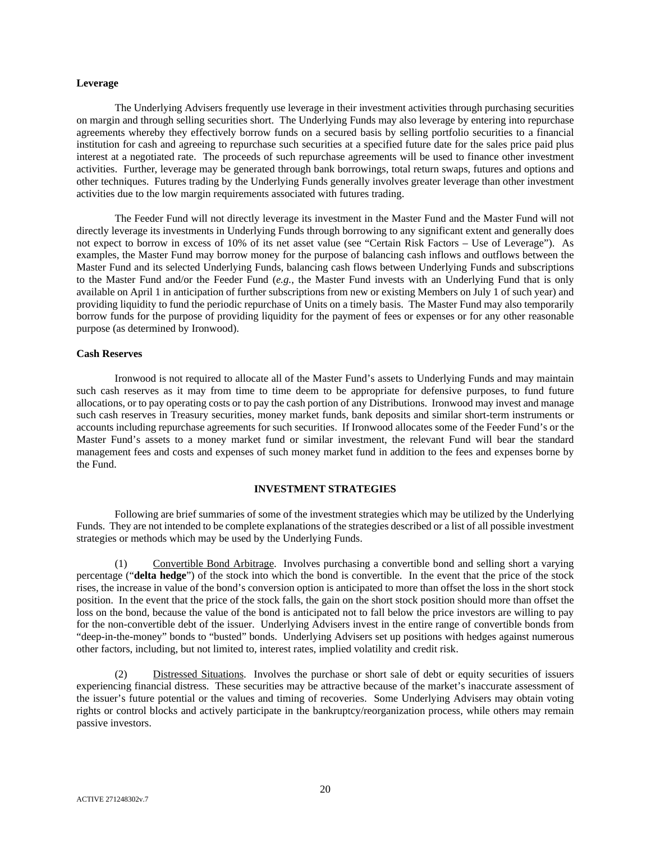#### **Leverage**

The Underlying Advisers frequently use leverage in their investment activities through purchasing securities on margin and through selling securities short. The Underlying Funds may also leverage by entering into repurchase agreements whereby they effectively borrow funds on a secured basis by selling portfolio securities to a financial institution for cash and agreeing to repurchase such securities at a specified future date for the sales price paid plus interest at a negotiated rate. The proceeds of such repurchase agreements will be used to finance other investment activities. Further, leverage may be generated through bank borrowings, total return swaps, futures and options and other techniques. Futures trading by the Underlying Funds generally involves greater leverage than other investment activities due to the low margin requirements associated with futures trading.

The Feeder Fund will not directly leverage its investment in the Master Fund and the Master Fund will not directly leverage its investments in Underlying Funds through borrowing to any significant extent and generally does not expect to borrow in excess of 10% of its net asset value (see "Certain Risk Factors – Use of Leverage"). As examples, the Master Fund may borrow money for the purpose of balancing cash inflows and outflows between the Master Fund and its selected Underlying Funds, balancing cash flows between Underlying Funds and subscriptions to the Master Fund and/or the Feeder Fund (*e.g.*, the Master Fund invests with an Underlying Fund that is only available on April 1 in anticipation of further subscriptions from new or existing Members on July 1 of such year) and providing liquidity to fund the periodic repurchase of Units on a timely basis. The Master Fund may also temporarily borrow funds for the purpose of providing liquidity for the payment of fees or expenses or for any other reasonable purpose (as determined by Ironwood).

#### **Cash Reserves**

Ironwood is not required to allocate all of the Master Fund's assets to Underlying Funds and may maintain such cash reserves as it may from time to time deem to be appropriate for defensive purposes, to fund future allocations, or to pay operating costs or to pay the cash portion of any Distributions. Ironwood may invest and manage such cash reserves in Treasury securities, money market funds, bank deposits and similar short-term instruments or accounts including repurchase agreements for such securities. If Ironwood allocates some of the Feeder Fund's or the Master Fund's assets to a money market fund or similar investment, the relevant Fund will bear the standard management fees and costs and expenses of such money market fund in addition to the fees and expenses borne by the Fund.

## **INVESTMENT STRATEGIES**

<span id="page-25-0"></span>Following are brief summaries of some of the investment strategies which may be utilized by the Underlying Funds. They are not intended to be complete explanations of the strategies described or a list of all possible investment strategies or methods which may be used by the Underlying Funds.

(1) Convertible Bond Arbitrage. Involves purchasing a convertible bond and selling short a varying percentage ("**delta hedge**") of the stock into which the bond is convertible. In the event that the price of the stock rises, the increase in value of the bond's conversion option is anticipated to more than offset the loss in the short stock position. In the event that the price of the stock falls, the gain on the short stock position should more than offset the loss on the bond, because the value of the bond is anticipated not to fall below the price investors are willing to pay for the non-convertible debt of the issuer. Underlying Advisers invest in the entire range of convertible bonds from "deep-in-the-money" bonds to "busted" bonds. Underlying Advisers set up positions with hedges against numerous other factors, including, but not limited to, interest rates, implied volatility and credit risk.

(2) Distressed Situations. Involves the purchase or short sale of debt or equity securities of issuers experiencing financial distress. These securities may be attractive because of the market's inaccurate assessment of the issuer's future potential or the values and timing of recoveries. Some Underlying Advisers may obtain voting rights or control blocks and actively participate in the bankruptcy/reorganization process, while others may remain passive investors.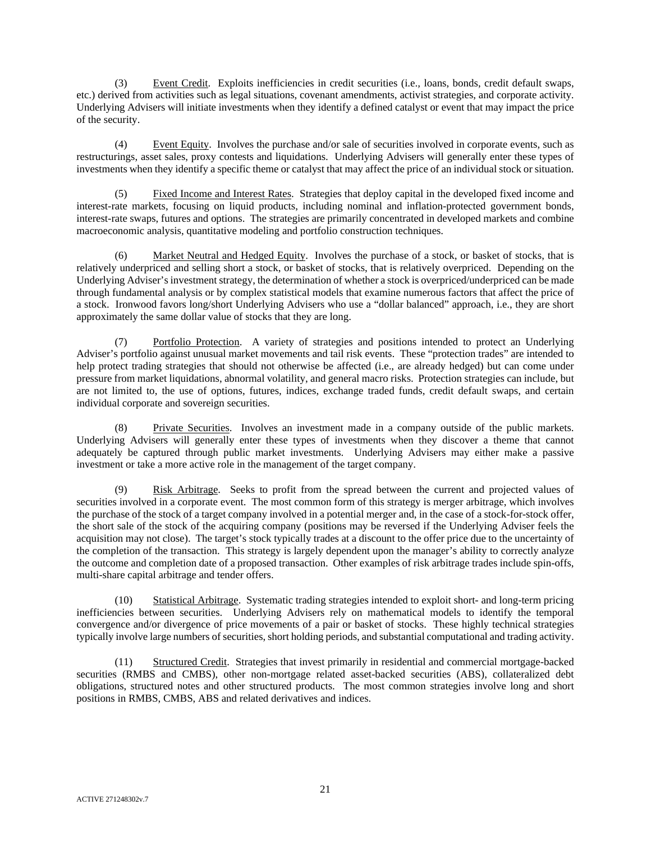(3) Event Credit. Exploits inefficiencies in credit securities (i.e.*,* loans, bonds, credit default swaps, etc.) derived from activities such as legal situations, covenant amendments, activist strategies, and corporate activity. Underlying Advisers will initiate investments when they identify a defined catalyst or event that may impact the price of the security.

(4) Event Equity. Involves the purchase and/or sale of securities involved in corporate events, such as restructurings, asset sales, proxy contests and liquidations. Underlying Advisers will generally enter these types of investments when they identify a specific theme or catalyst that may affect the price of an individual stock or situation.

(5) Fixed Income and Interest Rates. Strategies that deploy capital in the developed fixed income and interest-rate markets, focusing on liquid products, including nominal and inflation-protected government bonds, interest-rate swaps, futures and options. The strategies are primarily concentrated in developed markets and combine macroeconomic analysis, quantitative modeling and portfolio construction techniques.

(6) Market Neutral and Hedged Equity. Involves the purchase of a stock, or basket of stocks, that is relatively underpriced and selling short a stock, or basket of stocks, that is relatively overpriced. Depending on the Underlying Adviser's investment strategy, the determination of whether a stock is overpriced/underpriced can be made through fundamental analysis or by complex statistical models that examine numerous factors that affect the price of a stock. Ironwood favors long/short Underlying Advisers who use a "dollar balanced" approach, i.e., they are short approximately the same dollar value of stocks that they are long.

(7) Portfolio Protection. A variety of strategies and positions intended to protect an Underlying Adviser's portfolio against unusual market movements and tail risk events. These "protection trades" are intended to help protect trading strategies that should not otherwise be affected (i.e., are already hedged) but can come under pressure from market liquidations, abnormal volatility, and general macro risks. Protection strategies can include, but are not limited to, the use of options, futures, indices, exchange traded funds, credit default swaps, and certain individual corporate and sovereign securities.

(8) Private Securities. Involves an investment made in a company outside of the public markets. Underlying Advisers will generally enter these types of investments when they discover a theme that cannot adequately be captured through public market investments. Underlying Advisers may either make a passive investment or take a more active role in the management of the target company.

(9) Risk Arbitrage. Seeks to profit from the spread between the current and projected values of securities involved in a corporate event. The most common form of this strategy is merger arbitrage, which involves the purchase of the stock of a target company involved in a potential merger and, in the case of a stock-for-stock offer, the short sale of the stock of the acquiring company (positions may be reversed if the Underlying Adviser feels the acquisition may not close). The target's stock typically trades at a discount to the offer price due to the uncertainty of the completion of the transaction. This strategy is largely dependent upon the manager's ability to correctly analyze the outcome and completion date of a proposed transaction. Other examples of risk arbitrage trades include spin-offs, multi-share capital arbitrage and tender offers.

(10) Statistical Arbitrage. Systematic trading strategies intended to exploit short- and long-term pricing inefficiencies between securities. Underlying Advisers rely on mathematical models to identify the temporal convergence and/or divergence of price movements of a pair or basket of stocks. These highly technical strategies typically involve large numbers of securities, short holding periods, and substantial computational and trading activity.

(11) Structured Credit. Strategies that invest primarily in residential and commercial mortgage-backed securities (RMBS and CMBS), other non-mortgage related asset-backed securities (ABS), collateralized debt obligations, structured notes and other structured products. The most common strategies involve long and short positions in RMBS, CMBS, ABS and related derivatives and indices.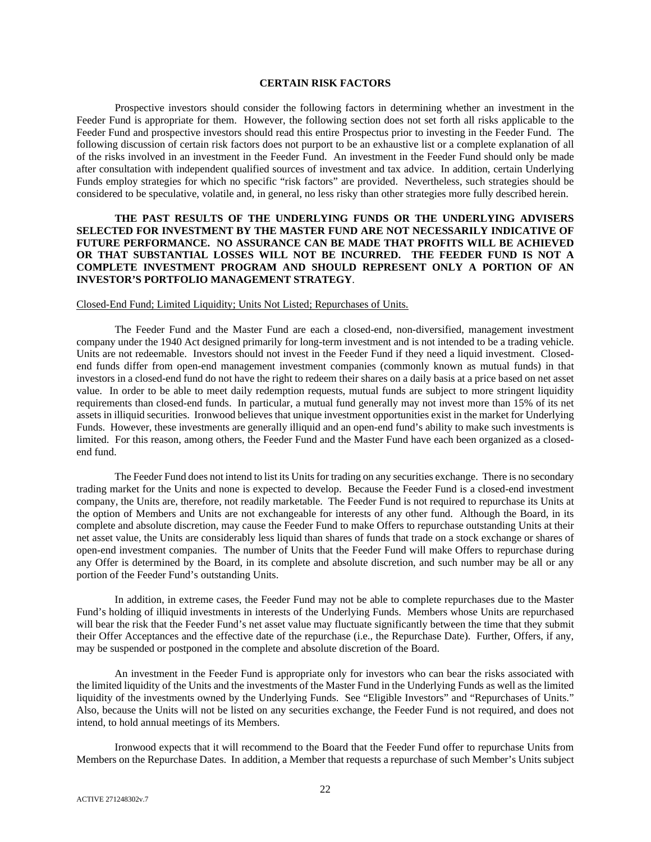## **CERTAIN RISK FACTORS**

<span id="page-27-0"></span>Prospective investors should consider the following factors in determining whether an investment in the Feeder Fund is appropriate for them. However, the following section does not set forth all risks applicable to the Feeder Fund and prospective investors should read this entire Prospectus prior to investing in the Feeder Fund. The following discussion of certain risk factors does not purport to be an exhaustive list or a complete explanation of all of the risks involved in an investment in the Feeder Fund. An investment in the Feeder Fund should only be made after consultation with independent qualified sources of investment and tax advice. In addition, certain Underlying Funds employ strategies for which no specific "risk factors" are provided. Nevertheless, such strategies should be considered to be speculative, volatile and, in general, no less risky than other strategies more fully described herein.

## **THE PAST RESULTS OF THE UNDERLYING FUNDS OR THE UNDERLYING ADVISERS SELECTED FOR INVESTMENT BY THE MASTER FUND ARE NOT NECESSARILY INDICATIVE OF FUTURE PERFORMANCE. NO ASSURANCE CAN BE MADE THAT PROFITS WILL BE ACHIEVED OR THAT SUBSTANTIAL LOSSES WILL NOT BE INCURRED. THE FEEDER FUND IS NOT A COMPLETE INVESTMENT PROGRAM AND SHOULD REPRESENT ONLY A PORTION OF AN INVESTOR'S PORTFOLIO MANAGEMENT STRATEGY**.

### Closed-End Fund; Limited Liquidity; Units Not Listed; Repurchases of Units.

The Feeder Fund and the Master Fund are each a closed-end, non-diversified, management investment company under the 1940 Act designed primarily for long-term investment and is not intended to be a trading vehicle. Units are not redeemable. Investors should not invest in the Feeder Fund if they need a liquid investment. Closedend funds differ from open-end management investment companies (commonly known as mutual funds) in that investors in a closed-end fund do not have the right to redeem their shares on a daily basis at a price based on net asset value. In order to be able to meet daily redemption requests, mutual funds are subject to more stringent liquidity requirements than closed-end funds. In particular, a mutual fund generally may not invest more than 15% of its net assets in illiquid securities. Ironwood believes that unique investment opportunities exist in the market for Underlying Funds. However, these investments are generally illiquid and an open-end fund's ability to make such investments is limited. For this reason, among others, the Feeder Fund and the Master Fund have each been organized as a closedend fund.

The Feeder Fund does not intend to list its Units for trading on any securities exchange. There is no secondary trading market for the Units and none is expected to develop. Because the Feeder Fund is a closed-end investment company, the Units are, therefore, not readily marketable. The Feeder Fund is not required to repurchase its Units at the option of Members and Units are not exchangeable for interests of any other fund. Although the Board, in its complete and absolute discretion, may cause the Feeder Fund to make Offers to repurchase outstanding Units at their net asset value, the Units are considerably less liquid than shares of funds that trade on a stock exchange or shares of open-end investment companies. The number of Units that the Feeder Fund will make Offers to repurchase during any Offer is determined by the Board, in its complete and absolute discretion, and such number may be all or any portion of the Feeder Fund's outstanding Units.

In addition, in extreme cases, the Feeder Fund may not be able to complete repurchases due to the Master Fund's holding of illiquid investments in interests of the Underlying Funds. Members whose Units are repurchased will bear the risk that the Feeder Fund's net asset value may fluctuate significantly between the time that they submit their Offer Acceptances and the effective date of the repurchase (i.e., the Repurchase Date). Further, Offers, if any, may be suspended or postponed in the complete and absolute discretion of the Board.

An investment in the Feeder Fund is appropriate only for investors who can bear the risks associated with the limited liquidity of the Units and the investments of the Master Fund in the Underlying Funds as well as the limited liquidity of the investments owned by the Underlying Funds. See "Eligible Investors" and "Repurchases of Units." Also, because the Units will not be listed on any securities exchange, the Feeder Fund is not required, and does not intend, to hold annual meetings of its Members.

Ironwood expects that it will recommend to the Board that the Feeder Fund offer to repurchase Units from Members on the Repurchase Dates. In addition, a Member that requests a repurchase of such Member's Units subject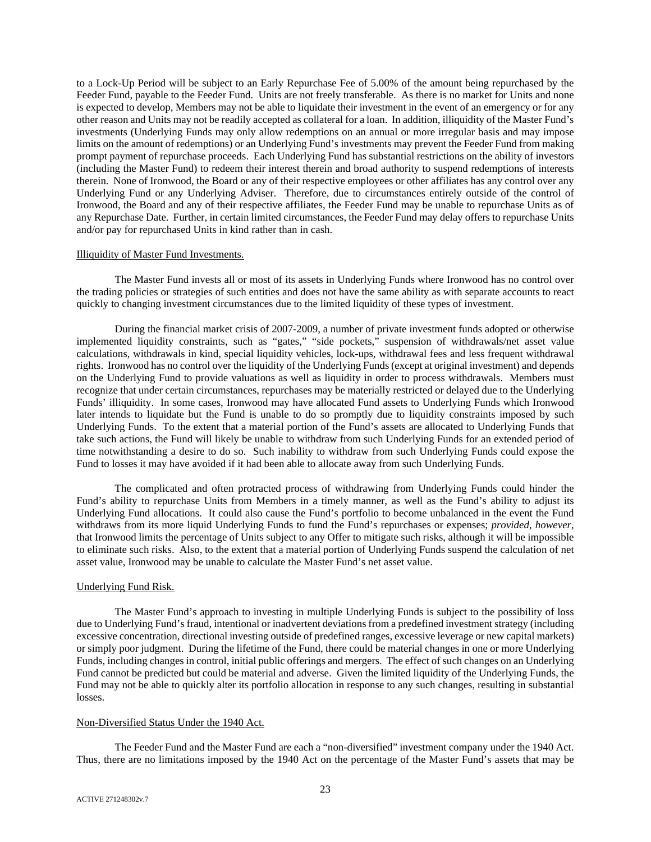to a Lock-Up Period will be subject to an Early Repurchase Fee of 5.00% of the amount being repurchased by the Feeder Fund, payable to the Feeder Fund. Units are not freely transferable. As there is no market for Units and none is expected to develop, Members may not be able to liquidate their investment in the event of an emergency or for any other reason and Units may not be readily accepted as collateral for a loan. In addition, illiquidity of the Master Fund's investments (Underlying Funds may only allow redemptions on an annual or more irregular basis and may impose limits on the amount of redemptions) or an Underlying Fund's investments may prevent the Feeder Fund from making prompt payment of repurchase proceeds. Each Underlying Fund has substantial restrictions on the ability of investors (including the Master Fund) to redeem their interest therein and broad authority to suspend redemptions of interests therein. None of Ironwood, the Board or any of their respective employees or other affiliates has any control over any Underlying Fund or any Underlying Adviser. Therefore, due to circumstances entirely outside of the control of Ironwood, the Board and any of their respective affiliates, the Feeder Fund may be unable to repurchase Units as of any Repurchase Date. Further, in certain limited circumstances, the Feeder Fund may delay offers to repurchase Units and/or pay for repurchased Units in kind rather than in cash.

## Illiquidity of Master Fund Investments.

The Master Fund invests all or most of its assets in Underlying Funds where Ironwood has no control over the trading policies or strategies of such entities and does not have the same ability as with separate accounts to react quickly to changing investment circumstances due to the limited liquidity of these types of investment.

During the financial market crisis of 2007-2009, a number of private investment funds adopted or otherwise implemented liquidity constraints, such as "gates," "side pockets," suspension of withdrawals/net asset value calculations, withdrawals in kind, special liquidity vehicles, lock-ups, withdrawal fees and less frequent withdrawal rights. Ironwood has no control over the liquidity of the Underlying Funds (except at original investment) and depends on the Underlying Fund to provide valuations as well as liquidity in order to process withdrawals. Members must recognize that under certain circumstances, repurchases may be materially restricted or delayed due to the Underlying Funds' illiquidity. In some cases, Ironwood may have allocated Fund assets to Underlying Funds which Ironwood later intends to liquidate but the Fund is unable to do so promptly due to liquidity constraints imposed by such Underlying Funds. To the extent that a material portion of the Fund's assets are allocated to Underlying Funds that take such actions, the Fund will likely be unable to withdraw from such Underlying Funds for an extended period of time notwithstanding a desire to do so. Such inability to withdraw from such Underlying Funds could expose the Fund to losses it may have avoided if it had been able to allocate away from such Underlying Funds.

The complicated and often protracted process of withdrawing from Underlying Funds could hinder the Fund's ability to repurchase Units from Members in a timely manner, as well as the Fund's ability to adjust its Underlying Fund allocations. It could also cause the Fund's portfolio to become unbalanced in the event the Fund withdraws from its more liquid Underlying Funds to fund the Fund's repurchases or expenses; *provided*, *however*, that Ironwood limits the percentage of Units subject to any Offer to mitigate such risks, although it will be impossible to eliminate such risks. Also, to the extent that a material portion of Underlying Funds suspend the calculation of net asset value, Ironwood may be unable to calculate the Master Fund's net asset value.

## Underlying Fund Risk.

The Master Fund's approach to investing in multiple Underlying Funds is subject to the possibility of loss due to Underlying Fund's fraud, intentional or inadvertent deviations from a predefined investment strategy (including excessive concentration, directional investing outside of predefined ranges, excessive leverage or new capital markets) or simply poor judgment. During the lifetime of the Fund, there could be material changes in one or more Underlying Funds, including changes in control, initial public offerings and mergers. The effect of such changes on an Underlying Fund cannot be predicted but could be material and adverse. Given the limited liquidity of the Underlying Funds, the Fund may not be able to quickly alter its portfolio allocation in response to any such changes, resulting in substantial losses.

## Non-Diversified Status Under the 1940 Act.

The Feeder Fund and the Master Fund are each a "non-diversified" investment company under the 1940 Act. Thus, there are no limitations imposed by the 1940 Act on the percentage of the Master Fund's assets that may be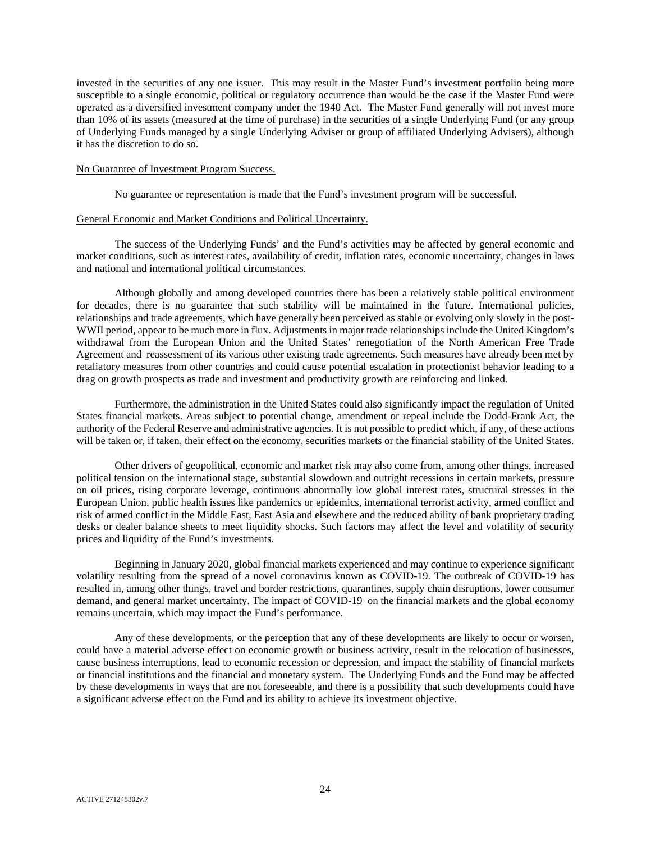invested in the securities of any one issuer. This may result in the Master Fund's investment portfolio being more susceptible to a single economic, political or regulatory occurrence than would be the case if the Master Fund were operated as a diversified investment company under the 1940 Act. The Master Fund generally will not invest more than 10% of its assets (measured at the time of purchase) in the securities of a single Underlying Fund (or any group of Underlying Funds managed by a single Underlying Adviser or group of affiliated Underlying Advisers), although it has the discretion to do so.

## No Guarantee of Investment Program Success.

No guarantee or representation is made that the Fund's investment program will be successful.

#### General Economic and Market Conditions and Political Uncertainty.

The success of the Underlying Funds' and the Fund's activities may be affected by general economic and market conditions, such as interest rates, availability of credit, inflation rates, economic uncertainty, changes in laws and national and international political circumstances.

Although globally and among developed countries there has been a relatively stable political environment for decades, there is no guarantee that such stability will be maintained in the future. International policies, relationships and trade agreements, which have generally been perceived as stable or evolving only slowly in the post-WWII period, appear to be much more in flux. Adjustments in major trade relationships include the United Kingdom's withdrawal from the European Union and the United States' renegotiation of the North American Free Trade Agreement and reassessment of its various other existing trade agreements. Such measures have already been met by retaliatory measures from other countries and could cause potential escalation in protectionist behavior leading to a drag on growth prospects as trade and investment and productivity growth are reinforcing and linked.

Furthermore, the administration in the United States could also significantly impact the regulation of United States financial markets. Areas subject to potential change, amendment or repeal include the Dodd-Frank Act, the authority of the Federal Reserve and administrative agencies. It is not possible to predict which, if any, of these actions will be taken or, if taken, their effect on the economy, securities markets or the financial stability of the United States.

Other drivers of geopolitical, economic and market risk may also come from, among other things, increased political tension on the international stage, substantial slowdown and outright recessions in certain markets, pressure on oil prices, rising corporate leverage, continuous abnormally low global interest rates, structural stresses in the European Union, public health issues like pandemics or epidemics, international terrorist activity, armed conflict and risk of armed conflict in the Middle East, East Asia and elsewhere and the reduced ability of bank proprietary trading desks or dealer balance sheets to meet liquidity shocks. Such factors may affect the level and volatility of security prices and liquidity of the Fund's investments.

Beginning in January 2020, global financial markets experienced and may continue to experience significant volatility resulting from the spread of a novel coronavirus known as COVID-19. The outbreak of COVID-19 has resulted in, among other things, travel and border restrictions, quarantines, supply chain disruptions, lower consumer demand, and general market uncertainty. The impact of COVID-19 on the financial markets and the global economy remains uncertain, which may impact the Fund's performance.

Any of these developments, or the perception that any of these developments are likely to occur or worsen, could have a material adverse effect on economic growth or business activity, result in the relocation of businesses, cause business interruptions, lead to economic recession or depression, and impact the stability of financial markets or financial institutions and the financial and monetary system. The Underlying Funds and the Fund may be affected by these developments in ways that are not foreseeable, and there is a possibility that such developments could have a significant adverse effect on the Fund and its ability to achieve its investment objective.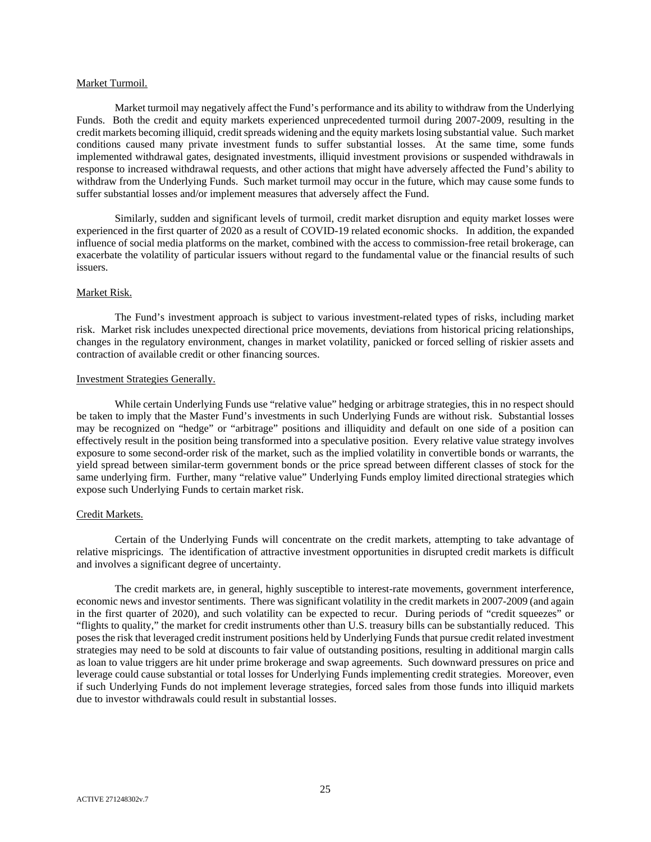#### Market Turmoil.

Market turmoil may negatively affect the Fund's performance and its ability to withdraw from the Underlying Funds. Both the credit and equity markets experienced unprecedented turmoil during 2007-2009, resulting in the credit markets becoming illiquid, credit spreads widening and the equity markets losing substantial value. Such market conditions caused many private investment funds to suffer substantial losses. At the same time, some funds implemented withdrawal gates, designated investments, illiquid investment provisions or suspended withdrawals in response to increased withdrawal requests, and other actions that might have adversely affected the Fund's ability to withdraw from the Underlying Funds. Such market turmoil may occur in the future, which may cause some funds to suffer substantial losses and/or implement measures that adversely affect the Fund.

Similarly, sudden and significant levels of turmoil, credit market disruption and equity market losses were experienced in the first quarter of 2020 as a result of COVID-19 related economic shocks. In addition, the expanded influence of social media platforms on the market, combined with the access to commission-free retail brokerage, can exacerbate the volatility of particular issuers without regard to the fundamental value or the financial results of such issuers.

## Market Risk.

The Fund's investment approach is subject to various investment-related types of risks, including market risk. Market risk includes unexpected directional price movements, deviations from historical pricing relationships, changes in the regulatory environment, changes in market volatility, panicked or forced selling of riskier assets and contraction of available credit or other financing sources.

## Investment Strategies Generally.

While certain Underlying Funds use "relative value" hedging or arbitrage strategies, this in no respect should be taken to imply that the Master Fund's investments in such Underlying Funds are without risk. Substantial losses may be recognized on "hedge" or "arbitrage" positions and illiquidity and default on one side of a position can effectively result in the position being transformed into a speculative position. Every relative value strategy involves exposure to some second-order risk of the market, such as the implied volatility in convertible bonds or warrants, the yield spread between similar-term government bonds or the price spread between different classes of stock for the same underlying firm. Further, many "relative value" Underlying Funds employ limited directional strategies which expose such Underlying Funds to certain market risk.

## Credit Markets.

Certain of the Underlying Funds will concentrate on the credit markets, attempting to take advantage of relative mispricings. The identification of attractive investment opportunities in disrupted credit markets is difficult and involves a significant degree of uncertainty.

The credit markets are, in general, highly susceptible to interest-rate movements, government interference, economic news and investor sentiments. There was significant volatility in the credit markets in 2007-2009 (and again in the first quarter of 2020), and such volatility can be expected to recur. During periods of "credit squeezes" or "flights to quality," the market for credit instruments other than U.S. treasury bills can be substantially reduced. This poses the risk that leveraged credit instrument positions held by Underlying Funds that pursue credit related investment strategies may need to be sold at discounts to fair value of outstanding positions, resulting in additional margin calls as loan to value triggers are hit under prime brokerage and swap agreements. Such downward pressures on price and leverage could cause substantial or total losses for Underlying Funds implementing credit strategies. Moreover, even if such Underlying Funds do not implement leverage strategies, forced sales from those funds into illiquid markets due to investor withdrawals could result in substantial losses.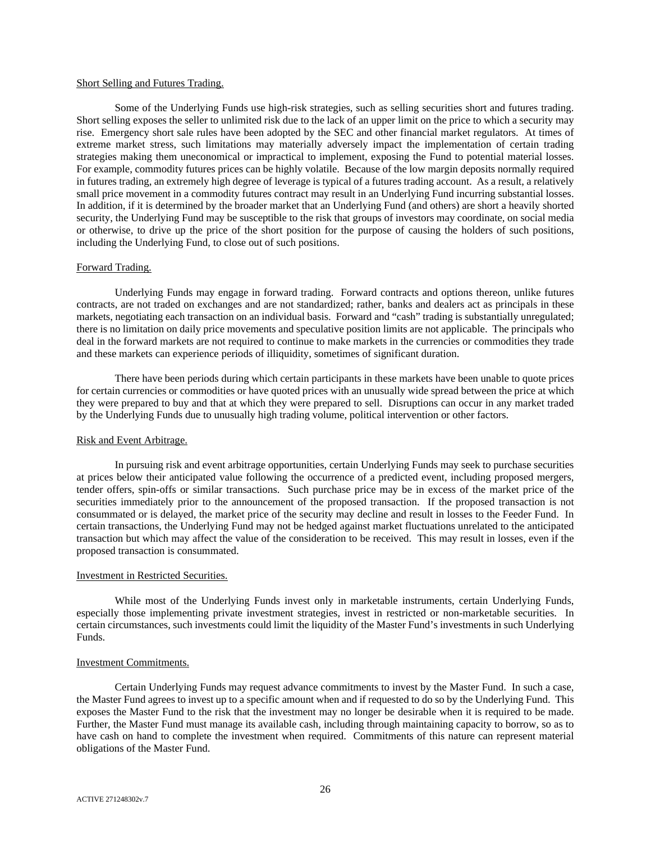#### Short Selling and Futures Trading.

Some of the Underlying Funds use high-risk strategies, such as selling securities short and futures trading. Short selling exposes the seller to unlimited risk due to the lack of an upper limit on the price to which a security may rise. Emergency short sale rules have been adopted by the SEC and other financial market regulators. At times of extreme market stress, such limitations may materially adversely impact the implementation of certain trading strategies making them uneconomical or impractical to implement, exposing the Fund to potential material losses. For example, commodity futures prices can be highly volatile. Because of the low margin deposits normally required in futures trading, an extremely high degree of leverage is typical of a futures trading account. As a result, a relatively small price movement in a commodity futures contract may result in an Underlying Fund incurring substantial losses. In addition, if it is determined by the broader market that an Underlying Fund (and others) are short a heavily shorted security, the Underlying Fund may be susceptible to the risk that groups of investors may coordinate, on social media or otherwise, to drive up the price of the short position for the purpose of causing the holders of such positions, including the Underlying Fund, to close out of such positions.

## Forward Trading.

Underlying Funds may engage in forward trading. Forward contracts and options thereon, unlike futures contracts, are not traded on exchanges and are not standardized; rather, banks and dealers act as principals in these markets, negotiating each transaction on an individual basis. Forward and "cash" trading is substantially unregulated; there is no limitation on daily price movements and speculative position limits are not applicable. The principals who deal in the forward markets are not required to continue to make markets in the currencies or commodities they trade and these markets can experience periods of illiquidity, sometimes of significant duration.

There have been periods during which certain participants in these markets have been unable to quote prices for certain currencies or commodities or have quoted prices with an unusually wide spread between the price at which they were prepared to buy and that at which they were prepared to sell. Disruptions can occur in any market traded by the Underlying Funds due to unusually high trading volume, political intervention or other factors.

#### Risk and Event Arbitrage.

In pursuing risk and event arbitrage opportunities, certain Underlying Funds may seek to purchase securities at prices below their anticipated value following the occurrence of a predicted event, including proposed mergers, tender offers, spin-offs or similar transactions. Such purchase price may be in excess of the market price of the securities immediately prior to the announcement of the proposed transaction. If the proposed transaction is not consummated or is delayed, the market price of the security may decline and result in losses to the Feeder Fund. In certain transactions, the Underlying Fund may not be hedged against market fluctuations unrelated to the anticipated transaction but which may affect the value of the consideration to be received. This may result in losses, even if the proposed transaction is consummated.

#### Investment in Restricted Securities.

While most of the Underlying Funds invest only in marketable instruments, certain Underlying Funds, especially those implementing private investment strategies, invest in restricted or non-marketable securities. In certain circumstances, such investments could limit the liquidity of the Master Fund's investments in such Underlying Funds.

## Investment Commitments.

Certain Underlying Funds may request advance commitments to invest by the Master Fund. In such a case, the Master Fund agrees to invest up to a specific amount when and if requested to do so by the Underlying Fund. This exposes the Master Fund to the risk that the investment may no longer be desirable when it is required to be made. Further, the Master Fund must manage its available cash, including through maintaining capacity to borrow, so as to have cash on hand to complete the investment when required. Commitments of this nature can represent material obligations of the Master Fund.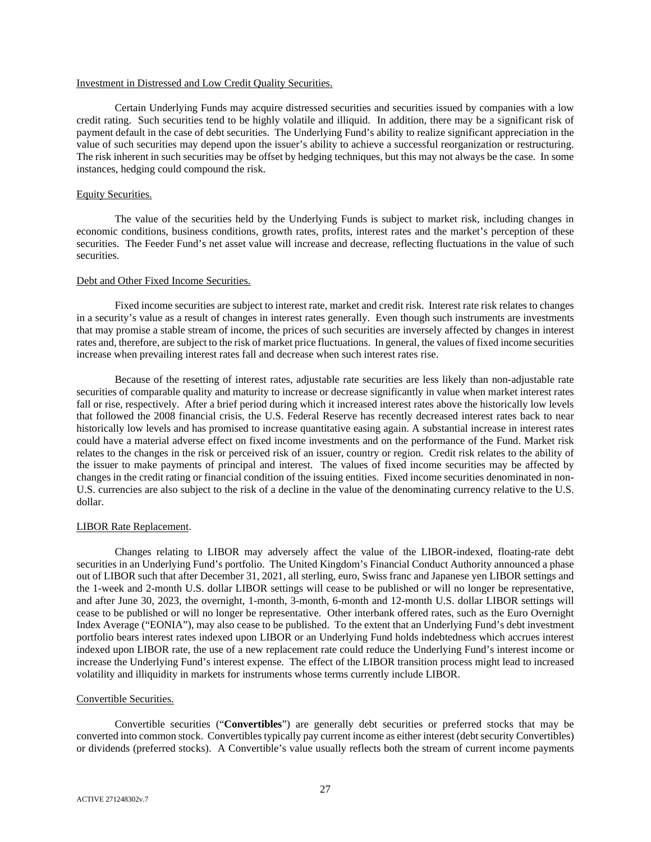# Investment in Distressed and Low Credit Quality Securities.

Certain Underlying Funds may acquire distressed securities and securities issued by companies with a low credit rating. Such securities tend to be highly volatile and illiquid. In addition, there may be a significant risk of payment default in the case of debt securities. The Underlying Fund's ability to realize significant appreciation in the value of such securities may depend upon the issuer's ability to achieve a successful reorganization or restructuring. The risk inherent in such securities may be offset by hedging techniques, but this may not always be the case. In some instances, hedging could compound the risk.

## Equity Securities.

The value of the securities held by the Underlying Funds is subject to market risk, including changes in economic conditions, business conditions, growth rates, profits, interest rates and the market's perception of these securities. The Feeder Fund's net asset value will increase and decrease, reflecting fluctuations in the value of such securities.

#### Debt and Other Fixed Income Securities.

Fixed income securities are subject to interest rate, market and credit risk. Interest rate risk relates to changes in a security's value as a result of changes in interest rates generally. Even though such instruments are investments that may promise a stable stream of income, the prices of such securities are inversely affected by changes in interest rates and, therefore, are subject to the risk of market price fluctuations. In general, the values of fixed income securities increase when prevailing interest rates fall and decrease when such interest rates rise.

Because of the resetting of interest rates, adjustable rate securities are less likely than non-adjustable rate securities of comparable quality and maturity to increase or decrease significantly in value when market interest rates fall or rise, respectively. After a brief period during which it increased interest rates above the historically low levels that followed the 2008 financial crisis, the U.S. Federal Reserve has recently decreased interest rates back to near historically low levels and has promised to increase quantitative easing again. A substantial increase in interest rates could have a material adverse effect on fixed income investments and on the performance of the Fund. Market risk relates to the changes in the risk or perceived risk of an issuer, country or region. Credit risk relates to the ability of the issuer to make payments of principal and interest. The values of fixed income securities may be affected by changes in the credit rating or financial condition of the issuing entities. Fixed income securities denominated in non-U.S. currencies are also subject to the risk of a decline in the value of the denominating currency relative to the U.S. dollar.

## LIBOR Rate Replacement.

Changes relating to LIBOR may adversely affect the value of the LIBOR-indexed, floating-rate debt securities in an Underlying Fund's portfolio. The United Kingdom's Financial Conduct Authority announced a phase out of LIBOR such that after December 31, 2021, all sterling, euro, Swiss franc and Japanese yen LIBOR settings and the 1-week and 2-month U.S. dollar LIBOR settings will cease to be published or will no longer be representative, and after June 30, 2023, the overnight, 1-month, 3-month, 6-month and 12-month U.S. dollar LIBOR settings will cease to be published or will no longer be representative. Other interbank offered rates, such as the Euro Overnight Index Average ("EONIA"), may also cease to be published. To the extent that an Underlying Fund's debt investment portfolio bears interest rates indexed upon LIBOR or an Underlying Fund holds indebtedness which accrues interest indexed upon LIBOR rate, the use of a new replacement rate could reduce the Underlying Fund's interest income or increase the Underlying Fund's interest expense. The effect of the LIBOR transition process might lead to increased volatility and illiquidity in markets for instruments whose terms currently include LIBOR.

## Convertible Securities.

Convertible securities ("**Convertibles**") are generally debt securities or preferred stocks that may be converted into common stock. Convertibles typically pay current income as either interest (debt security Convertibles) or dividends (preferred stocks). A Convertible's value usually reflects both the stream of current income payments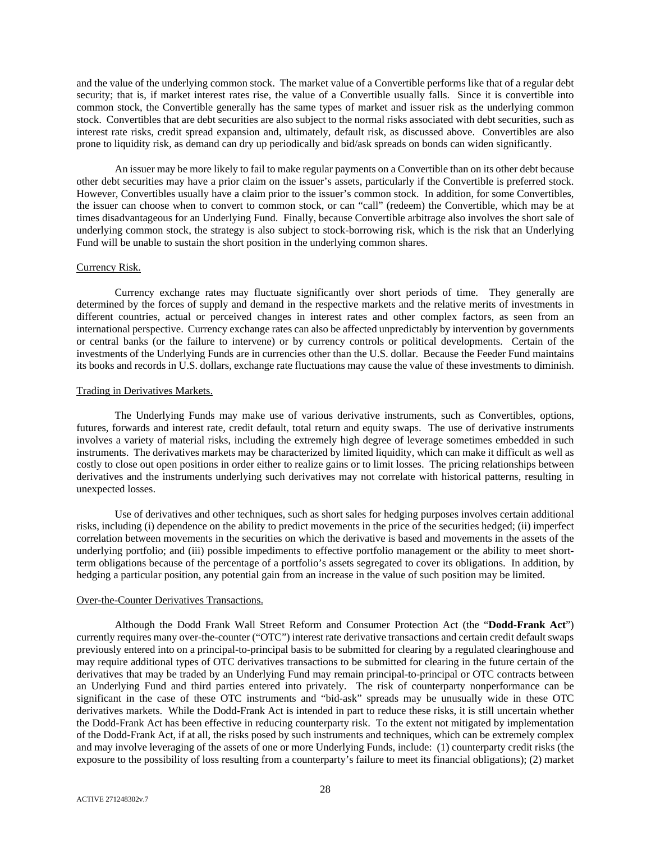and the value of the underlying common stock. The market value of a Convertible performs like that of a regular debt security; that is, if market interest rates rise, the value of a Convertible usually falls. Since it is convertible into common stock, the Convertible generally has the same types of market and issuer risk as the underlying common stock. Convertibles that are debt securities are also subject to the normal risks associated with debt securities, such as interest rate risks, credit spread expansion and, ultimately, default risk, as discussed above. Convertibles are also prone to liquidity risk, as demand can dry up periodically and bid/ask spreads on bonds can widen significantly.

An issuer may be more likely to fail to make regular payments on a Convertible than on its other debt because other debt securities may have a prior claim on the issuer's assets, particularly if the Convertible is preferred stock. However, Convertibles usually have a claim prior to the issuer's common stock. In addition, for some Convertibles, the issuer can choose when to convert to common stock, or can "call" (redeem) the Convertible, which may be at times disadvantageous for an Underlying Fund. Finally, because Convertible arbitrage also involves the short sale of underlying common stock, the strategy is also subject to stock-borrowing risk, which is the risk that an Underlying Fund will be unable to sustain the short position in the underlying common shares.

#### Currency Risk.

Currency exchange rates may fluctuate significantly over short periods of time. They generally are determined by the forces of supply and demand in the respective markets and the relative merits of investments in different countries, actual or perceived changes in interest rates and other complex factors, as seen from an international perspective. Currency exchange rates can also be affected unpredictably by intervention by governments or central banks (or the failure to intervene) or by currency controls or political developments. Certain of the investments of the Underlying Funds are in currencies other than the U.S. dollar. Because the Feeder Fund maintains its books and records in U.S. dollars, exchange rate fluctuations may cause the value of these investments to diminish.

## Trading in Derivatives Markets.

The Underlying Funds may make use of various derivative instruments, such as Convertibles, options, futures, forwards and interest rate, credit default, total return and equity swaps. The use of derivative instruments involves a variety of material risks, including the extremely high degree of leverage sometimes embedded in such instruments. The derivatives markets may be characterized by limited liquidity, which can make it difficult as well as costly to close out open positions in order either to realize gains or to limit losses. The pricing relationships between derivatives and the instruments underlying such derivatives may not correlate with historical patterns, resulting in unexpected losses.

Use of derivatives and other techniques, such as short sales for hedging purposes involves certain additional risks, including (i) dependence on the ability to predict movements in the price of the securities hedged; (ii) imperfect correlation between movements in the securities on which the derivative is based and movements in the assets of the underlying portfolio; and (iii) possible impediments to effective portfolio management or the ability to meet shortterm obligations because of the percentage of a portfolio's assets segregated to cover its obligations. In addition, by hedging a particular position, any potential gain from an increase in the value of such position may be limited.

#### Over-the-Counter Derivatives Transactions.

Although the Dodd Frank Wall Street Reform and Consumer Protection Act (the "**Dodd-Frank Act**") currently requires many over-the-counter ("OTC") interest rate derivative transactions and certain credit default swaps previously entered into on a principal-to-principal basis to be submitted for clearing by a regulated clearinghouse and may require additional types of OTC derivatives transactions to be submitted for clearing in the future certain of the derivatives that may be traded by an Underlying Fund may remain principal-to-principal or OTC contracts between an Underlying Fund and third parties entered into privately. The risk of counterparty nonperformance can be significant in the case of these OTC instruments and "bid-ask" spreads may be unusually wide in these OTC derivatives markets. While the Dodd-Frank Act is intended in part to reduce these risks, it is still uncertain whether the Dodd-Frank Act has been effective in reducing counterparty risk. To the extent not mitigated by implementation of the Dodd-Frank Act, if at all, the risks posed by such instruments and techniques, which can be extremely complex and may involve leveraging of the assets of one or more Underlying Funds, include: (1) counterparty credit risks (the exposure to the possibility of loss resulting from a counterparty's failure to meet its financial obligations); (2) market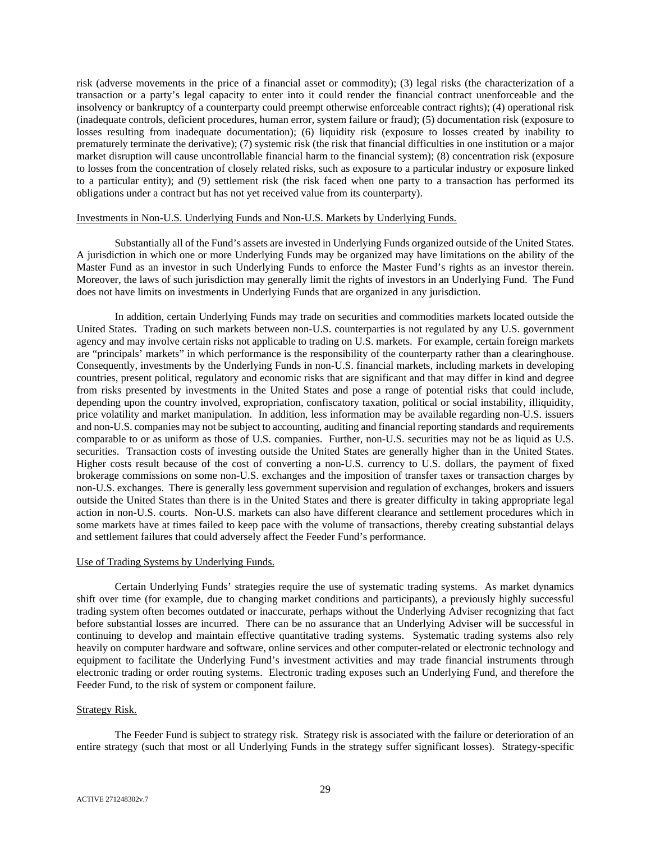risk (adverse movements in the price of a financial asset or commodity); (3) legal risks (the characterization of a transaction or a party's legal capacity to enter into it could render the financial contract unenforceable and the insolvency or bankruptcy of a counterparty could preempt otherwise enforceable contract rights); (4) operational risk (inadequate controls, deficient procedures, human error, system failure or fraud); (5) documentation risk (exposure to losses resulting from inadequate documentation); (6) liquidity risk (exposure to losses created by inability to prematurely terminate the derivative); (7) systemic risk (the risk that financial difficulties in one institution or a major market disruption will cause uncontrollable financial harm to the financial system); (8) concentration risk (exposure to losses from the concentration of closely related risks, such as exposure to a particular industry or exposure linked to a particular entity); and (9) settlement risk (the risk faced when one party to a transaction has performed its obligations under a contract but has not yet received value from its counterparty).

### Investments in Non-U.S. Underlying Funds and Non-U.S. Markets by Underlying Funds.

Substantially all of the Fund's assets are invested in Underlying Funds organized outside of the United States. A jurisdiction in which one or more Underlying Funds may be organized may have limitations on the ability of the Master Fund as an investor in such Underlying Funds to enforce the Master Fund's rights as an investor therein. Moreover, the laws of such jurisdiction may generally limit the rights of investors in an Underlying Fund. The Fund does not have limits on investments in Underlying Funds that are organized in any jurisdiction.

In addition, certain Underlying Funds may trade on securities and commodities markets located outside the United States. Trading on such markets between non-U.S. counterparties is not regulated by any U.S. government agency and may involve certain risks not applicable to trading on U.S. markets. For example, certain foreign markets are "principals' markets" in which performance is the responsibility of the counterparty rather than a clearinghouse. Consequently, investments by the Underlying Funds in non-U.S. financial markets, including markets in developing countries, present political, regulatory and economic risks that are significant and that may differ in kind and degree from risks presented by investments in the United States and pose a range of potential risks that could include, depending upon the country involved, expropriation, confiscatory taxation, political or social instability, illiquidity, price volatility and market manipulation. In addition, less information may be available regarding non-U.S. issuers and non-U.S. companies may not be subject to accounting, auditing and financial reporting standards and requirements comparable to or as uniform as those of U.S. companies. Further, non-U.S. securities may not be as liquid as U.S. securities. Transaction costs of investing outside the United States are generally higher than in the United States. Higher costs result because of the cost of converting a non-U.S. currency to U.S. dollars, the payment of fixed brokerage commissions on some non-U.S. exchanges and the imposition of transfer taxes or transaction charges by non-U.S. exchanges. There is generally less government supervision and regulation of exchanges, brokers and issuers outside the United States than there is in the United States and there is greater difficulty in taking appropriate legal action in non-U.S. courts. Non-U.S. markets can also have different clearance and settlement procedures which in some markets have at times failed to keep pace with the volume of transactions, thereby creating substantial delays and settlement failures that could adversely affect the Feeder Fund's performance.

## Use of Trading Systems by Underlying Funds.

Certain Underlying Funds' strategies require the use of systematic trading systems. As market dynamics shift over time (for example, due to changing market conditions and participants), a previously highly successful trading system often becomes outdated or inaccurate, perhaps without the Underlying Adviser recognizing that fact before substantial losses are incurred. There can be no assurance that an Underlying Adviser will be successful in continuing to develop and maintain effective quantitative trading systems. Systematic trading systems also rely heavily on computer hardware and software, online services and other computer-related or electronic technology and equipment to facilitate the Underlying Fund's investment activities and may trade financial instruments through electronic trading or order routing systems. Electronic trading exposes such an Underlying Fund, and therefore the Feeder Fund, to the risk of system or component failure.

#### Strategy Risk.

The Feeder Fund is subject to strategy risk. Strategy risk is associated with the failure or deterioration of an entire strategy (such that most or all Underlying Funds in the strategy suffer significant losses). Strategy-specific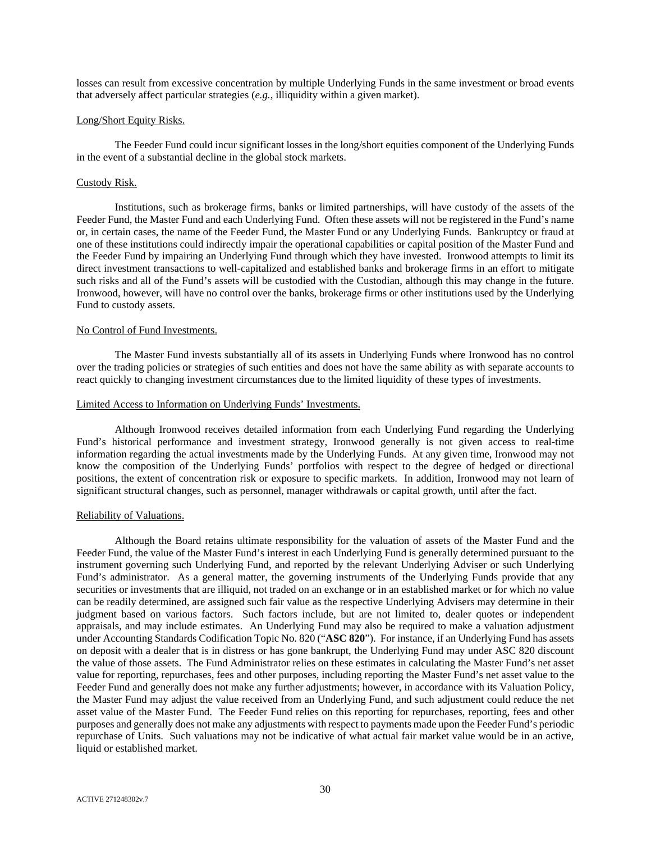losses can result from excessive concentration by multiple Underlying Funds in the same investment or broad events that adversely affect particular strategies (*e.g.*, illiquidity within a given market).

## Long/Short Equity Risks.

The Feeder Fund could incur significant losses in the long/short equities component of the Underlying Funds in the event of a substantial decline in the global stock markets.

## Custody Risk.

Institutions, such as brokerage firms, banks or limited partnerships, will have custody of the assets of the Feeder Fund, the Master Fund and each Underlying Fund. Often these assets will not be registered in the Fund's name or, in certain cases, the name of the Feeder Fund, the Master Fund or any Underlying Funds. Bankruptcy or fraud at one of these institutions could indirectly impair the operational capabilities or capital position of the Master Fund and the Feeder Fund by impairing an Underlying Fund through which they have invested. Ironwood attempts to limit its direct investment transactions to well-capitalized and established banks and brokerage firms in an effort to mitigate such risks and all of the Fund's assets will be custodied with the Custodian, although this may change in the future. Ironwood, however, will have no control over the banks, brokerage firms or other institutions used by the Underlying Fund to custody assets.

## No Control of Fund Investments.

The Master Fund invests substantially all of its assets in Underlying Funds where Ironwood has no control over the trading policies or strategies of such entities and does not have the same ability as with separate accounts to react quickly to changing investment circumstances due to the limited liquidity of these types of investments.

## Limited Access to Information on Underlying Funds' Investments.

Although Ironwood receives detailed information from each Underlying Fund regarding the Underlying Fund's historical performance and investment strategy, Ironwood generally is not given access to real-time information regarding the actual investments made by the Underlying Funds. At any given time, Ironwood may not know the composition of the Underlying Funds' portfolios with respect to the degree of hedged or directional positions, the extent of concentration risk or exposure to specific markets. In addition, Ironwood may not learn of significant structural changes, such as personnel, manager withdrawals or capital growth, until after the fact.

## Reliability of Valuations.

Although the Board retains ultimate responsibility for the valuation of assets of the Master Fund and the Feeder Fund, the value of the Master Fund's interest in each Underlying Fund is generally determined pursuant to the instrument governing such Underlying Fund, and reported by the relevant Underlying Adviser or such Underlying Fund's administrator. As a general matter, the governing instruments of the Underlying Funds provide that any securities or investments that are illiquid, not traded on an exchange or in an established market or for which no value can be readily determined, are assigned such fair value as the respective Underlying Advisers may determine in their judgment based on various factors. Such factors include, but are not limited to, dealer quotes or independent appraisals, and may include estimates. An Underlying Fund may also be required to make a valuation adjustment under Accounting Standards Codification Topic No. 820 ("**ASC 820**"). For instance, if an Underlying Fund has assets on deposit with a dealer that is in distress or has gone bankrupt, the Underlying Fund may under ASC 820 discount the value of those assets. The Fund Administrator relies on these estimates in calculating the Master Fund's net asset value for reporting, repurchases, fees and other purposes, including reporting the Master Fund's net asset value to the Feeder Fund and generally does not make any further adjustments; however, in accordance with its Valuation Policy, the Master Fund may adjust the value received from an Underlying Fund, and such adjustment could reduce the net asset value of the Master Fund. The Feeder Fund relies on this reporting for repurchases, reporting, fees and other purposes and generally does not make any adjustments with respect to payments made upon the Feeder Fund's periodic repurchase of Units. Such valuations may not be indicative of what actual fair market value would be in an active, liquid or established market.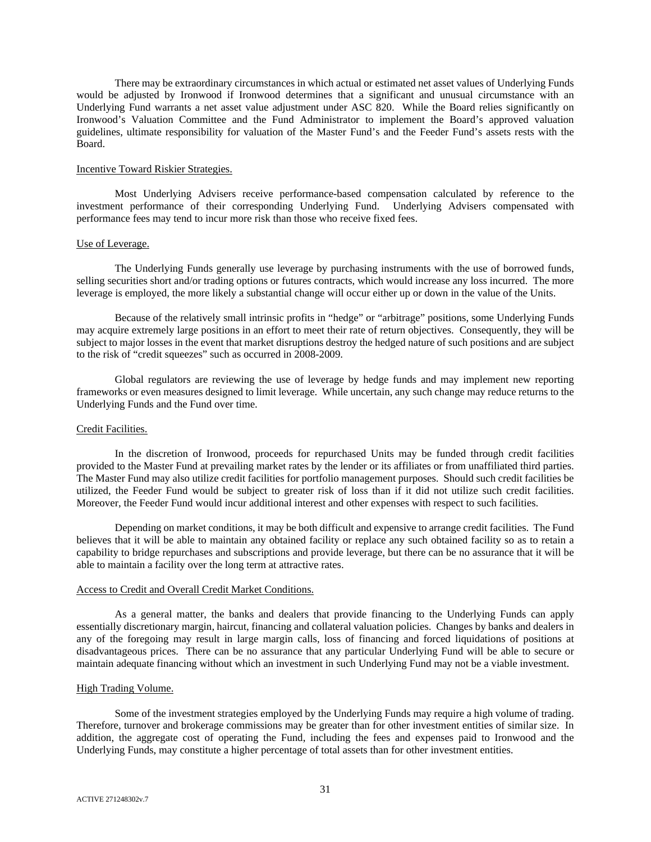There may be extraordinary circumstances in which actual or estimated net asset values of Underlying Funds would be adjusted by Ironwood if Ironwood determines that a significant and unusual circumstance with an Underlying Fund warrants a net asset value adjustment under ASC 820. While the Board relies significantly on Ironwood's Valuation Committee and the Fund Administrator to implement the Board's approved valuation guidelines, ultimate responsibility for valuation of the Master Fund's and the Feeder Fund's assets rests with the Board.

## Incentive Toward Riskier Strategies.

Most Underlying Advisers receive performance-based compensation calculated by reference to the investment performance of their corresponding Underlying Fund. Underlying Advisers compensated with performance fees may tend to incur more risk than those who receive fixed fees.

# Use of Leverage.

The Underlying Funds generally use leverage by purchasing instruments with the use of borrowed funds, selling securities short and/or trading options or futures contracts, which would increase any loss incurred. The more leverage is employed, the more likely a substantial change will occur either up or down in the value of the Units.

Because of the relatively small intrinsic profits in "hedge" or "arbitrage" positions, some Underlying Funds may acquire extremely large positions in an effort to meet their rate of return objectives. Consequently, they will be subject to major losses in the event that market disruptions destroy the hedged nature of such positions and are subject to the risk of "credit squeezes" such as occurred in 2008-2009.

Global regulators are reviewing the use of leverage by hedge funds and may implement new reporting frameworks or even measures designed to limit leverage. While uncertain, any such change may reduce returns to the Underlying Funds and the Fund over time.

### Credit Facilities.

In the discretion of Ironwood, proceeds for repurchased Units may be funded through credit facilities provided to the Master Fund at prevailing market rates by the lender or its affiliates or from unaffiliated third parties. The Master Fund may also utilize credit facilities for portfolio management purposes. Should such credit facilities be utilized, the Feeder Fund would be subject to greater risk of loss than if it did not utilize such credit facilities. Moreover, the Feeder Fund would incur additional interest and other expenses with respect to such facilities.

Depending on market conditions, it may be both difficult and expensive to arrange credit facilities. The Fund believes that it will be able to maintain any obtained facility or replace any such obtained facility so as to retain a capability to bridge repurchases and subscriptions and provide leverage, but there can be no assurance that it will be able to maintain a facility over the long term at attractive rates.

### Access to Credit and Overall Credit Market Conditions.

As a general matter, the banks and dealers that provide financing to the Underlying Funds can apply essentially discretionary margin, haircut, financing and collateral valuation policies. Changes by banks and dealers in any of the foregoing may result in large margin calls, loss of financing and forced liquidations of positions at disadvantageous prices. There can be no assurance that any particular Underlying Fund will be able to secure or maintain adequate financing without which an investment in such Underlying Fund may not be a viable investment.

### High Trading Volume.

Some of the investment strategies employed by the Underlying Funds may require a high volume of trading. Therefore, turnover and brokerage commissions may be greater than for other investment entities of similar size. In addition, the aggregate cost of operating the Fund, including the fees and expenses paid to Ironwood and the Underlying Funds, may constitute a higher percentage of total assets than for other investment entities.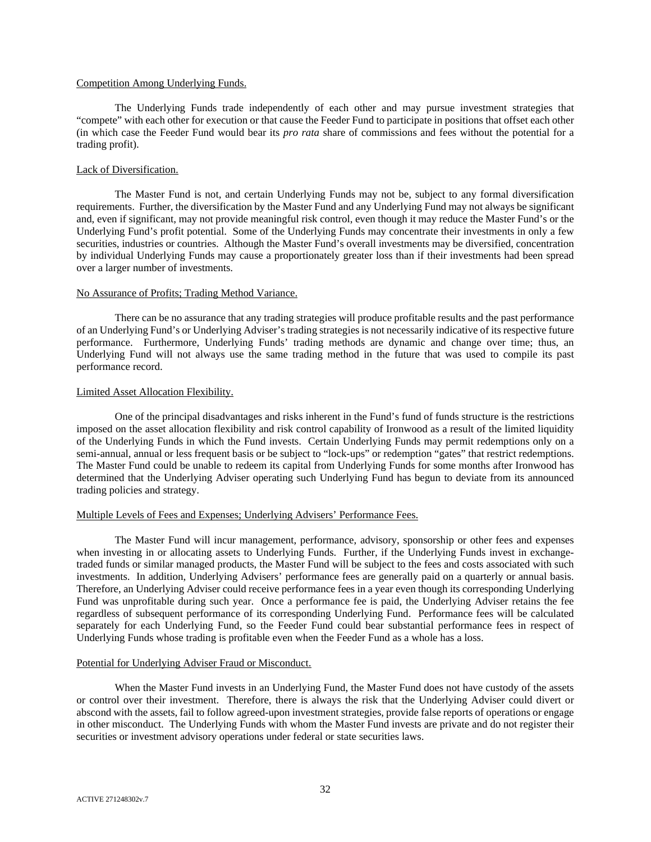# Competition Among Underlying Funds.

The Underlying Funds trade independently of each other and may pursue investment strategies that "compete" with each other for execution or that cause the Feeder Fund to participate in positions that offset each other (in which case the Feeder Fund would bear its *pro rata* share of commissions and fees without the potential for a trading profit).

# Lack of Diversification.

The Master Fund is not, and certain Underlying Funds may not be, subject to any formal diversification requirements. Further, the diversification by the Master Fund and any Underlying Fund may not always be significant and, even if significant, may not provide meaningful risk control, even though it may reduce the Master Fund's or the Underlying Fund's profit potential. Some of the Underlying Funds may concentrate their investments in only a few securities, industries or countries. Although the Master Fund's overall investments may be diversified, concentration by individual Underlying Funds may cause a proportionately greater loss than if their investments had been spread over a larger number of investments.

## No Assurance of Profits; Trading Method Variance.

There can be no assurance that any trading strategies will produce profitable results and the past performance of an Underlying Fund's or Underlying Adviser's trading strategies is not necessarily indicative of its respective future performance. Furthermore, Underlying Funds' trading methods are dynamic and change over time; thus, an Underlying Fund will not always use the same trading method in the future that was used to compile its past performance record.

# Limited Asset Allocation Flexibility.

One of the principal disadvantages and risks inherent in the Fund's fund of funds structure is the restrictions imposed on the asset allocation flexibility and risk control capability of Ironwood as a result of the limited liquidity of the Underlying Funds in which the Fund invests. Certain Underlying Funds may permit redemptions only on a semi-annual, annual or less frequent basis or be subject to "lock-ups" or redemption "gates" that restrict redemptions. The Master Fund could be unable to redeem its capital from Underlying Funds for some months after Ironwood has determined that the Underlying Adviser operating such Underlying Fund has begun to deviate from its announced trading policies and strategy.

## Multiple Levels of Fees and Expenses; Underlying Advisers' Performance Fees.

The Master Fund will incur management, performance, advisory, sponsorship or other fees and expenses when investing in or allocating assets to Underlying Funds. Further, if the Underlying Funds invest in exchangetraded funds or similar managed products, the Master Fund will be subject to the fees and costs associated with such investments. In addition, Underlying Advisers' performance fees are generally paid on a quarterly or annual basis. Therefore, an Underlying Adviser could receive performance fees in a year even though its corresponding Underlying Fund was unprofitable during such year. Once a performance fee is paid, the Underlying Adviser retains the fee regardless of subsequent performance of its corresponding Underlying Fund. Performance fees will be calculated separately for each Underlying Fund, so the Feeder Fund could bear substantial performance fees in respect of Underlying Funds whose trading is profitable even when the Feeder Fund as a whole has a loss.

## Potential for Underlying Adviser Fraud or Misconduct.

When the Master Fund invests in an Underlying Fund, the Master Fund does not have custody of the assets or control over their investment. Therefore, there is always the risk that the Underlying Adviser could divert or abscond with the assets, fail to follow agreed-upon investment strategies, provide false reports of operations or engage in other misconduct. The Underlying Funds with whom the Master Fund invests are private and do not register their securities or investment advisory operations under federal or state securities laws.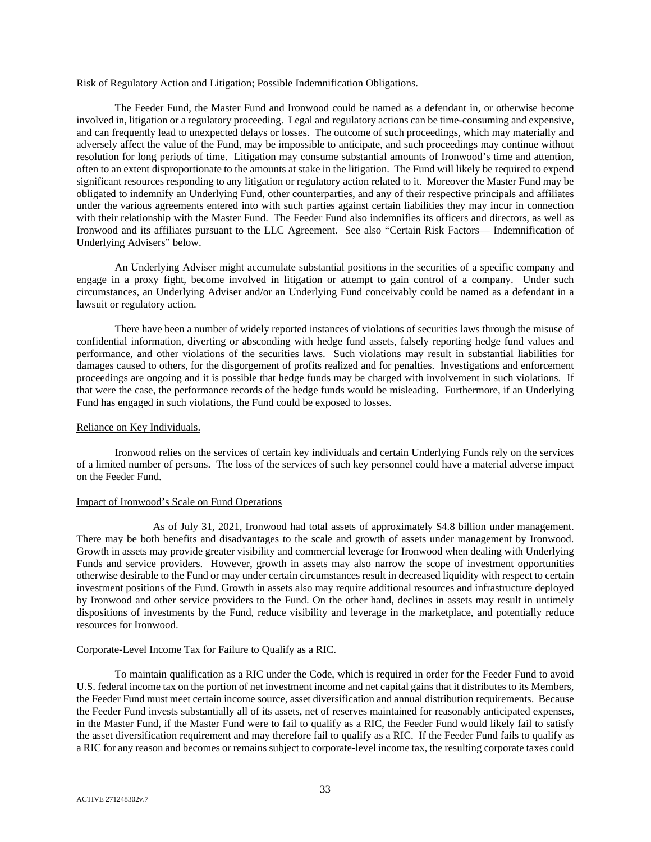### Risk of Regulatory Action and Litigation; Possible Indemnification Obligations.

The Feeder Fund, the Master Fund and Ironwood could be named as a defendant in, or otherwise become involved in, litigation or a regulatory proceeding. Legal and regulatory actions can be time-consuming and expensive, and can frequently lead to unexpected delays or losses. The outcome of such proceedings, which may materially and adversely affect the value of the Fund, may be impossible to anticipate, and such proceedings may continue without resolution for long periods of time. Litigation may consume substantial amounts of Ironwood's time and attention, often to an extent disproportionate to the amounts at stake in the litigation. The Fund will likely be required to expend significant resources responding to any litigation or regulatory action related to it. Moreover the Master Fund may be obligated to indemnify an Underlying Fund, other counterparties, and any of their respective principals and affiliates under the various agreements entered into with such parties against certain liabilities they may incur in connection with their relationship with the Master Fund. The Feeder Fund also indemnifies its officers and directors, as well as Ironwood and its affiliates pursuant to the LLC Agreement. See also "Certain Risk Factors— Indemnification of Underlying Advisers" below.

An Underlying Adviser might accumulate substantial positions in the securities of a specific company and engage in a proxy fight, become involved in litigation or attempt to gain control of a company. Under such circumstances, an Underlying Adviser and/or an Underlying Fund conceivably could be named as a defendant in a lawsuit or regulatory action.

There have been a number of widely reported instances of violations of securities laws through the misuse of confidential information, diverting or absconding with hedge fund assets, falsely reporting hedge fund values and performance, and other violations of the securities laws. Such violations may result in substantial liabilities for damages caused to others, for the disgorgement of profits realized and for penalties. Investigations and enforcement proceedings are ongoing and it is possible that hedge funds may be charged with involvement in such violations. If that were the case, the performance records of the hedge funds would be misleading. Furthermore, if an Underlying Fund has engaged in such violations, the Fund could be exposed to losses.

### Reliance on Key Individuals.

Ironwood relies on the services of certain key individuals and certain Underlying Funds rely on the services of a limited number of persons. The loss of the services of such key personnel could have a material adverse impact on the Feeder Fund.

# Impact of Ironwood's Scale on Fund Operations

As of July 31, 2021, Ironwood had total assets of approximately \$4.8 billion under management. There may be both benefits and disadvantages to the scale and growth of assets under management by Ironwood. Growth in assets may provide greater visibility and commercial leverage for Ironwood when dealing with Underlying Funds and service providers. However, growth in assets may also narrow the scope of investment opportunities otherwise desirable to the Fund or may under certain circumstances result in decreased liquidity with respect to certain investment positions of the Fund. Growth in assets also may require additional resources and infrastructure deployed by Ironwood and other service providers to the Fund. On the other hand, declines in assets may result in untimely dispositions of investments by the Fund, reduce visibility and leverage in the marketplace, and potentially reduce resources for Ironwood.

# Corporate-Level Income Tax for Failure to Qualify as a RIC.

To maintain qualification as a RIC under the Code, which is required in order for the Feeder Fund to avoid U.S. federal income tax on the portion of net investment income and net capital gains that it distributes to its Members, the Feeder Fund must meet certain income source, asset diversification and annual distribution requirements. Because the Feeder Fund invests substantially all of its assets, net of reserves maintained for reasonably anticipated expenses, in the Master Fund, if the Master Fund were to fail to qualify as a RIC, the Feeder Fund would likely fail to satisfy the asset diversification requirement and may therefore fail to qualify as a RIC. If the Feeder Fund fails to qualify as a RIC for any reason and becomes or remains subject to corporate-level income tax, the resulting corporate taxes could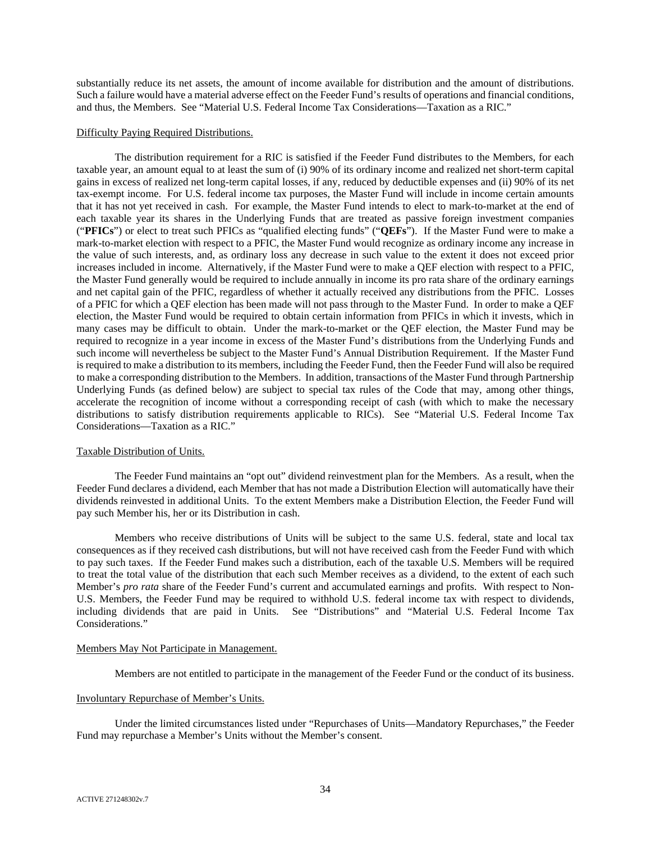substantially reduce its net assets, the amount of income available for distribution and the amount of distributions. Such a failure would have a material adverse effect on the Feeder Fund's results of operations and financial conditions, and thus, the Members. See "Material U.S. Federal Income Tax Considerations—Taxation as a RIC."

### Difficulty Paying Required Distributions.

The distribution requirement for a RIC is satisfied if the Feeder Fund distributes to the Members, for each taxable year, an amount equal to at least the sum of (i) 90% of its ordinary income and realized net short-term capital gains in excess of realized net long-term capital losses, if any, reduced by deductible expenses and (ii) 90% of its net tax-exempt income. For U.S. federal income tax purposes, the Master Fund will include in income certain amounts that it has not yet received in cash. For example, the Master Fund intends to elect to mark-to-market at the end of each taxable year its shares in the Underlying Funds that are treated as passive foreign investment companies ("**PFICs**") or elect to treat such PFICs as "qualified electing funds" ("**QEFs**"). If the Master Fund were to make a mark-to-market election with respect to a PFIC, the Master Fund would recognize as ordinary income any increase in the value of such interests, and, as ordinary loss any decrease in such value to the extent it does not exceed prior increases included in income. Alternatively, if the Master Fund were to make a QEF election with respect to a PFIC, the Master Fund generally would be required to include annually in income its pro rata share of the ordinary earnings and net capital gain of the PFIC, regardless of whether it actually received any distributions from the PFIC. Losses of a PFIC for which a QEF election has been made will not pass through to the Master Fund. In order to make a QEF election, the Master Fund would be required to obtain certain information from PFICs in which it invests, which in many cases may be difficult to obtain. Under the mark-to-market or the QEF election, the Master Fund may be required to recognize in a year income in excess of the Master Fund's distributions from the Underlying Funds and such income will nevertheless be subject to the Master Fund's Annual Distribution Requirement. If the Master Fund is required to make a distribution to its members, including the Feeder Fund, then the Feeder Fund will also be required to make a corresponding distribution to the Members. In addition, transactions of the Master Fund through Partnership Underlying Funds (as defined below) are subject to special tax rules of the Code that may, among other things, accelerate the recognition of income without a corresponding receipt of cash (with which to make the necessary distributions to satisfy distribution requirements applicable to RICs). See "Material U.S. Federal Income Tax Considerations—Taxation as a RIC."

#### Taxable Distribution of Units.

The Feeder Fund maintains an "opt out" dividend reinvestment plan for the Members. As a result, when the Feeder Fund declares a dividend, each Member that has not made a Distribution Election will automatically have their dividends reinvested in additional Units. To the extent Members make a Distribution Election, the Feeder Fund will pay such Member his, her or its Distribution in cash.

Members who receive distributions of Units will be subject to the same U.S. federal, state and local tax consequences as if they received cash distributions, but will not have received cash from the Feeder Fund with which to pay such taxes. If the Feeder Fund makes such a distribution, each of the taxable U.S. Members will be required to treat the total value of the distribution that each such Member receives as a dividend, to the extent of each such Member's *pro rata* share of the Feeder Fund's current and accumulated earnings and profits. With respect to Non-U.S. Members, the Feeder Fund may be required to withhold U.S. federal income tax with respect to dividends, including dividends that are paid in Units. See "Distributions" and "Material U.S. Federal Income Tax Considerations."

# Members May Not Participate in Management.

Members are not entitled to participate in the management of the Feeder Fund or the conduct of its business.

#### Involuntary Repurchase of Member's Units.

Under the limited circumstances listed under "Repurchases of Units—Mandatory Repurchases," the Feeder Fund may repurchase a Member's Units without the Member's consent.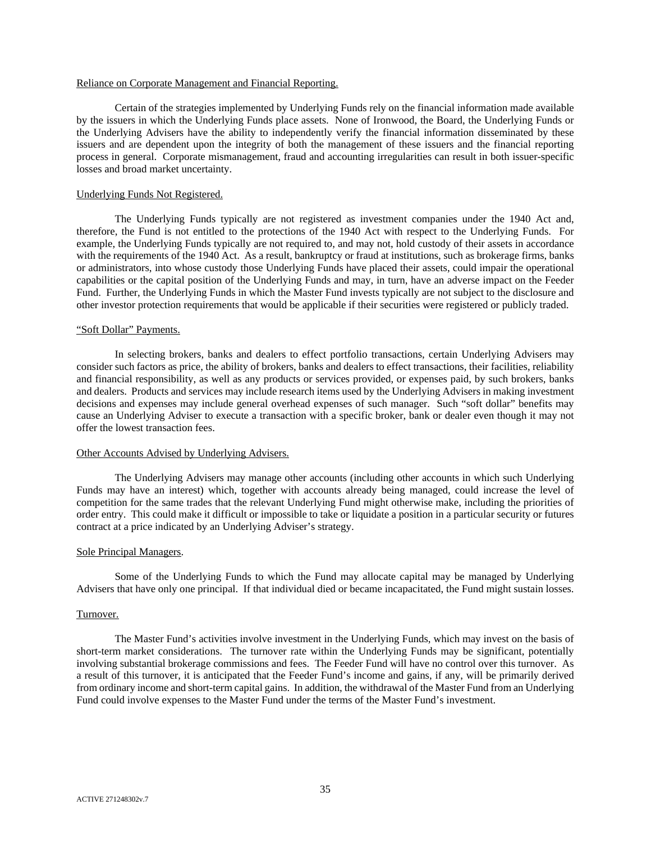#### Reliance on Corporate Management and Financial Reporting.

Certain of the strategies implemented by Underlying Funds rely on the financial information made available by the issuers in which the Underlying Funds place assets. None of Ironwood, the Board, the Underlying Funds or the Underlying Advisers have the ability to independently verify the financial information disseminated by these issuers and are dependent upon the integrity of both the management of these issuers and the financial reporting process in general. Corporate mismanagement, fraud and accounting irregularities can result in both issuer-specific losses and broad market uncertainty.

## Underlying Funds Not Registered.

The Underlying Funds typically are not registered as investment companies under the 1940 Act and, therefore, the Fund is not entitled to the protections of the 1940 Act with respect to the Underlying Funds. For example, the Underlying Funds typically are not required to, and may not, hold custody of their assets in accordance with the requirements of the 1940 Act. As a result, bankruptcy or fraud at institutions, such as brokerage firms, banks or administrators, into whose custody those Underlying Funds have placed their assets, could impair the operational capabilities or the capital position of the Underlying Funds and may, in turn, have an adverse impact on the Feeder Fund. Further, the Underlying Funds in which the Master Fund invests typically are not subject to the disclosure and other investor protection requirements that would be applicable if their securities were registered or publicly traded.

### "Soft Dollar" Payments.

In selecting brokers, banks and dealers to effect portfolio transactions, certain Underlying Advisers may consider such factors as price, the ability of brokers, banks and dealers to effect transactions, their facilities, reliability and financial responsibility, as well as any products or services provided, or expenses paid, by such brokers, banks and dealers. Products and services may include research items used by the Underlying Advisers in making investment decisions and expenses may include general overhead expenses of such manager. Such "soft dollar" benefits may cause an Underlying Adviser to execute a transaction with a specific broker, bank or dealer even though it may not offer the lowest transaction fees.

#### Other Accounts Advised by Underlying Advisers.

The Underlying Advisers may manage other accounts (including other accounts in which such Underlying Funds may have an interest) which, together with accounts already being managed, could increase the level of competition for the same trades that the relevant Underlying Fund might otherwise make, including the priorities of order entry. This could make it difficult or impossible to take or liquidate a position in a particular security or futures contract at a price indicated by an Underlying Adviser's strategy.

#### Sole Principal Managers.

Some of the Underlying Funds to which the Fund may allocate capital may be managed by Underlying Advisers that have only one principal. If that individual died or became incapacitated, the Fund might sustain losses.

#### Turnover.

The Master Fund's activities involve investment in the Underlying Funds, which may invest on the basis of short-term market considerations. The turnover rate within the Underlying Funds may be significant, potentially involving substantial brokerage commissions and fees. The Feeder Fund will have no control over this turnover. As a result of this turnover, it is anticipated that the Feeder Fund's income and gains, if any, will be primarily derived from ordinary income and short-term capital gains. In addition, the withdrawal of the Master Fund from an Underlying Fund could involve expenses to the Master Fund under the terms of the Master Fund's investment.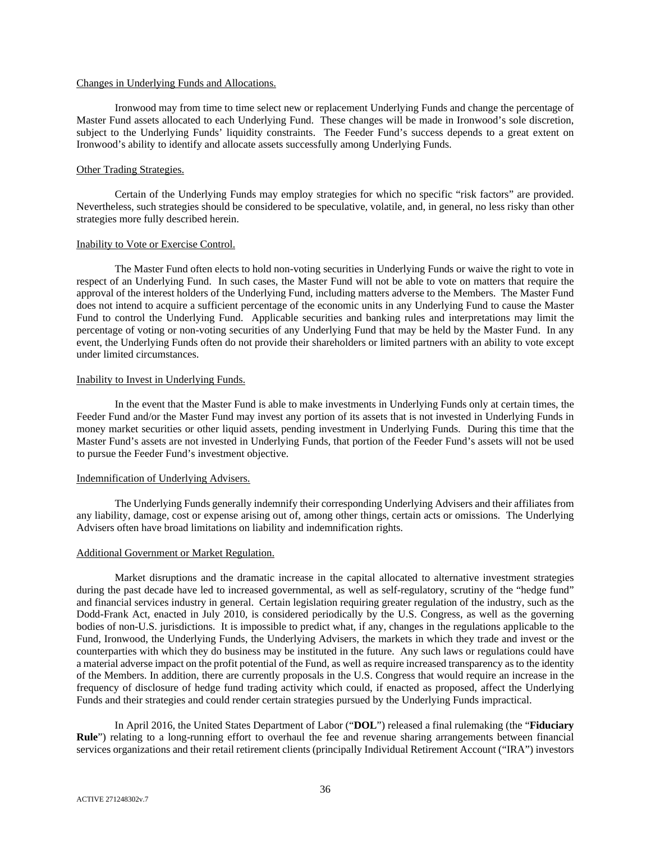### Changes in Underlying Funds and Allocations.

Ironwood may from time to time select new or replacement Underlying Funds and change the percentage of Master Fund assets allocated to each Underlying Fund. These changes will be made in Ironwood's sole discretion, subject to the Underlying Funds' liquidity constraints. The Feeder Fund's success depends to a great extent on Ironwood's ability to identify and allocate assets successfully among Underlying Funds.

# Other Trading Strategies.

Certain of the Underlying Funds may employ strategies for which no specific "risk factors" are provided. Nevertheless, such strategies should be considered to be speculative, volatile, and, in general, no less risky than other strategies more fully described herein.

## Inability to Vote or Exercise Control.

The Master Fund often elects to hold non-voting securities in Underlying Funds or waive the right to vote in respect of an Underlying Fund. In such cases, the Master Fund will not be able to vote on matters that require the approval of the interest holders of the Underlying Fund, including matters adverse to the Members. The Master Fund does not intend to acquire a sufficient percentage of the economic units in any Underlying Fund to cause the Master Fund to control the Underlying Fund. Applicable securities and banking rules and interpretations may limit the percentage of voting or non-voting securities of any Underlying Fund that may be held by the Master Fund. In any event, the Underlying Funds often do not provide their shareholders or limited partners with an ability to vote except under limited circumstances.

# Inability to Invest in Underlying Funds.

In the event that the Master Fund is able to make investments in Underlying Funds only at certain times, the Feeder Fund and/or the Master Fund may invest any portion of its assets that is not invested in Underlying Funds in money market securities or other liquid assets, pending investment in Underlying Funds. During this time that the Master Fund's assets are not invested in Underlying Funds, that portion of the Feeder Fund's assets will not be used to pursue the Feeder Fund's investment objective.

## Indemnification of Underlying Advisers.

The Underlying Funds generally indemnify their corresponding Underlying Advisers and their affiliates from any liability, damage, cost or expense arising out of, among other things, certain acts or omissions. The Underlying Advisers often have broad limitations on liability and indemnification rights.

## Additional Government or Market Regulation.

Market disruptions and the dramatic increase in the capital allocated to alternative investment strategies during the past decade have led to increased governmental, as well as self-regulatory, scrutiny of the "hedge fund" and financial services industry in general. Certain legislation requiring greater regulation of the industry, such as the Dodd-Frank Act, enacted in July 2010, is considered periodically by the U.S. Congress, as well as the governing bodies of non-U.S. jurisdictions. It is impossible to predict what, if any, changes in the regulations applicable to the Fund, Ironwood, the Underlying Funds, the Underlying Advisers, the markets in which they trade and invest or the counterparties with which they do business may be instituted in the future. Any such laws or regulations could have a material adverse impact on the profit potential of the Fund, as well as require increased transparency as to the identity of the Members. In addition, there are currently proposals in the U.S. Congress that would require an increase in the frequency of disclosure of hedge fund trading activity which could, if enacted as proposed, affect the Underlying Funds and their strategies and could render certain strategies pursued by the Underlying Funds impractical.

In April 2016, the United States Department of Labor ("**DOL**") released a final rulemaking (the "**Fiduciary Rule**") relating to a long-running effort to overhaul the fee and revenue sharing arrangements between financial services organizations and their retail retirement clients (principally Individual Retirement Account ("IRA") investors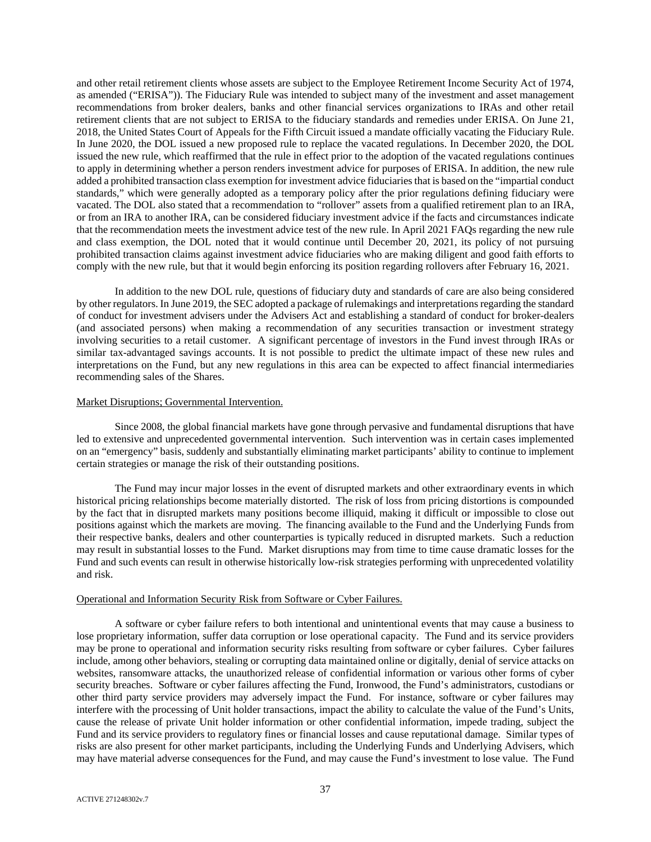and other retail retirement clients whose assets are subject to the Employee Retirement Income Security Act of 1974, as amended ("ERISA")). The Fiduciary Rule was intended to subject many of the investment and asset management recommendations from broker dealers, banks and other financial services organizations to IRAs and other retail retirement clients that are not subject to ERISA to the fiduciary standards and remedies under ERISA. On June 21, 2018, the United States Court of Appeals for the Fifth Circuit issued a mandate officially vacating the Fiduciary Rule. In June 2020, the DOL issued a new proposed rule to replace the vacated regulations. In December 2020, the DOL issued the new rule, which reaffirmed that the rule in effect prior to the adoption of the vacated regulations continues to apply in determining whether a person renders investment advice for purposes of ERISA. In addition, the new rule added a prohibited transaction class exemption for investment advice fiduciaries that is based on the "impartial conduct standards," which were generally adopted as a temporary policy after the prior regulations defining fiduciary were vacated. The DOL also stated that a recommendation to "rollover" assets from a qualified retirement plan to an IRA, or from an IRA to another IRA, can be considered fiduciary investment advice if the facts and circumstances indicate that the recommendation meets the investment advice test of the new rule. In April 2021 FAQs regarding the new rule and class exemption, the DOL noted that it would continue until December 20, 2021, its policy of not pursuing prohibited transaction claims against investment advice fiduciaries who are making diligent and good faith efforts to comply with the new rule, but that it would begin enforcing its position regarding rollovers after February 16, 2021.

In addition to the new DOL rule, questions of fiduciary duty and standards of care are also being considered by other regulators. In June 2019, the SEC adopted a package of rulemakings and interpretations regarding the standard of conduct for investment advisers under the Advisers Act and establishing a standard of conduct for broker-dealers (and associated persons) when making a recommendation of any securities transaction or investment strategy involving securities to a retail customer. A significant percentage of investors in the Fund invest through IRAs or similar tax-advantaged savings accounts. It is not possible to predict the ultimate impact of these new rules and interpretations on the Fund, but any new regulations in this area can be expected to affect financial intermediaries recommending sales of the Shares.

## Market Disruptions; Governmental Intervention.

Since 2008, the global financial markets have gone through pervasive and fundamental disruptions that have led to extensive and unprecedented governmental intervention. Such intervention was in certain cases implemented on an "emergency" basis, suddenly and substantially eliminating market participants' ability to continue to implement certain strategies or manage the risk of their outstanding positions.

The Fund may incur major losses in the event of disrupted markets and other extraordinary events in which historical pricing relationships become materially distorted. The risk of loss from pricing distortions is compounded by the fact that in disrupted markets many positions become illiquid, making it difficult or impossible to close out positions against which the markets are moving. The financing available to the Fund and the Underlying Funds from their respective banks, dealers and other counterparties is typically reduced in disrupted markets. Such a reduction may result in substantial losses to the Fund. Market disruptions may from time to time cause dramatic losses for the Fund and such events can result in otherwise historically low-risk strategies performing with unprecedented volatility and risk.

## Operational and Information Security Risk from Software or Cyber Failures.

A software or cyber failure refers to both intentional and unintentional events that may cause a business to lose proprietary information, suffer data corruption or lose operational capacity. The Fund and its service providers may be prone to operational and information security risks resulting from software or cyber failures. Cyber failures include, among other behaviors, stealing or corrupting data maintained online or digitally, denial of service attacks on websites, ransomware attacks, the unauthorized release of confidential information or various other forms of cyber security breaches. Software or cyber failures affecting the Fund, Ironwood, the Fund's administrators, custodians or other third party service providers may adversely impact the Fund. For instance, software or cyber failures may interfere with the processing of Unit holder transactions, impact the ability to calculate the value of the Fund's Units, cause the release of private Unit holder information or other confidential information, impede trading, subject the Fund and its service providers to regulatory fines or financial losses and cause reputational damage. Similar types of risks are also present for other market participants, including the Underlying Funds and Underlying Advisers, which may have material adverse consequences for the Fund, and may cause the Fund's investment to lose value. The Fund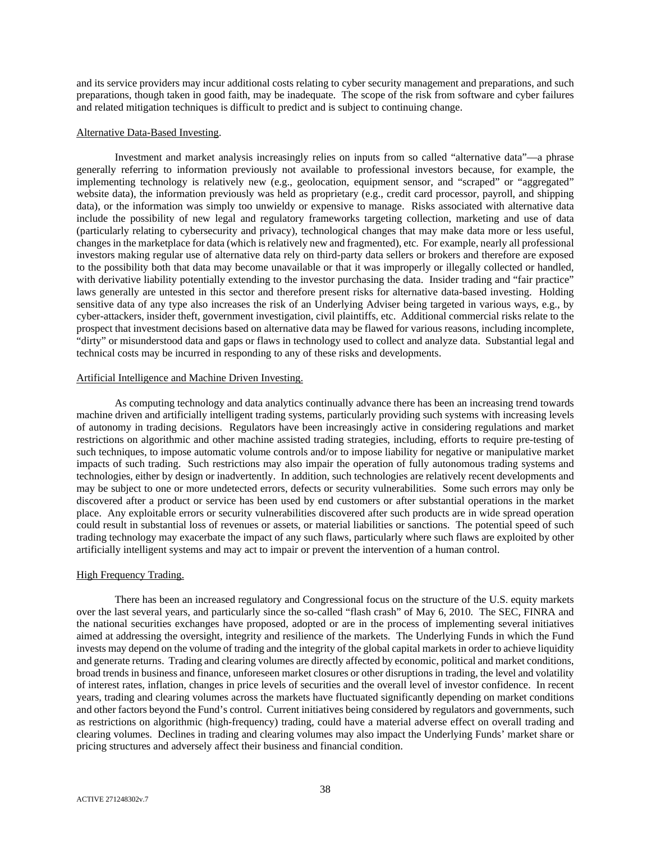and its service providers may incur additional costs relating to cyber security management and preparations, and such preparations, though taken in good faith, may be inadequate. The scope of the risk from software and cyber failures and related mitigation techniques is difficult to predict and is subject to continuing change.

### Alternative Data-Based Investing.

Investment and market analysis increasingly relies on inputs from so called "alternative data"—a phrase generally referring to information previously not available to professional investors because, for example, the implementing technology is relatively new (e.g., geolocation, equipment sensor, and "scraped" or "aggregated" website data), the information previously was held as proprietary (e.g., credit card processor, payroll, and shipping data), or the information was simply too unwieldy or expensive to manage. Risks associated with alternative data include the possibility of new legal and regulatory frameworks targeting collection, marketing and use of data (particularly relating to cybersecurity and privacy), technological changes that may make data more or less useful, changes in the marketplace for data (which is relatively new and fragmented), etc. For example, nearly all professional investors making regular use of alternative data rely on third-party data sellers or brokers and therefore are exposed to the possibility both that data may become unavailable or that it was improperly or illegally collected or handled, with derivative liability potentially extending to the investor purchasing the data. Insider trading and "fair practice" laws generally are untested in this sector and therefore present risks for alternative data-based investing. Holding sensitive data of any type also increases the risk of an Underlying Adviser being targeted in various ways, e.g., by cyber-attackers, insider theft, government investigation, civil plaintiffs, etc. Additional commercial risks relate to the prospect that investment decisions based on alternative data may be flawed for various reasons, including incomplete, "dirty" or misunderstood data and gaps or flaws in technology used to collect and analyze data. Substantial legal and technical costs may be incurred in responding to any of these risks and developments.

#### Artificial Intelligence and Machine Driven Investing.

As computing technology and data analytics continually advance there has been an increasing trend towards machine driven and artificially intelligent trading systems, particularly providing such systems with increasing levels of autonomy in trading decisions. Regulators have been increasingly active in considering regulations and market restrictions on algorithmic and other machine assisted trading strategies, including, efforts to require pre-testing of such techniques, to impose automatic volume controls and/or to impose liability for negative or manipulative market impacts of such trading. Such restrictions may also impair the operation of fully autonomous trading systems and technologies, either by design or inadvertently. In addition, such technologies are relatively recent developments and may be subject to one or more undetected errors, defects or security vulnerabilities. Some such errors may only be discovered after a product or service has been used by end customers or after substantial operations in the market place. Any exploitable errors or security vulnerabilities discovered after such products are in wide spread operation could result in substantial loss of revenues or assets, or material liabilities or sanctions. The potential speed of such trading technology may exacerbate the impact of any such flaws, particularly where such flaws are exploited by other artificially intelligent systems and may act to impair or prevent the intervention of a human control.

#### High Frequency Trading.

There has been an increased regulatory and Congressional focus on the structure of the U.S. equity markets over the last several years, and particularly since the so-called "flash crash" of May 6, 2010. The SEC, FINRA and the national securities exchanges have proposed, adopted or are in the process of implementing several initiatives aimed at addressing the oversight, integrity and resilience of the markets. The Underlying Funds in which the Fund invests may depend on the volume of trading and the integrity of the global capital markets in order to achieve liquidity and generate returns. Trading and clearing volumes are directly affected by economic, political and market conditions, broad trends in business and finance, unforeseen market closures or other disruptions in trading, the level and volatility of interest rates, inflation, changes in price levels of securities and the overall level of investor confidence. In recent years, trading and clearing volumes across the markets have fluctuated significantly depending on market conditions and other factors beyond the Fund's control. Current initiatives being considered by regulators and governments, such as restrictions on algorithmic (high-frequency) trading, could have a material adverse effect on overall trading and clearing volumes. Declines in trading and clearing volumes may also impact the Underlying Funds' market share or pricing structures and adversely affect their business and financial condition.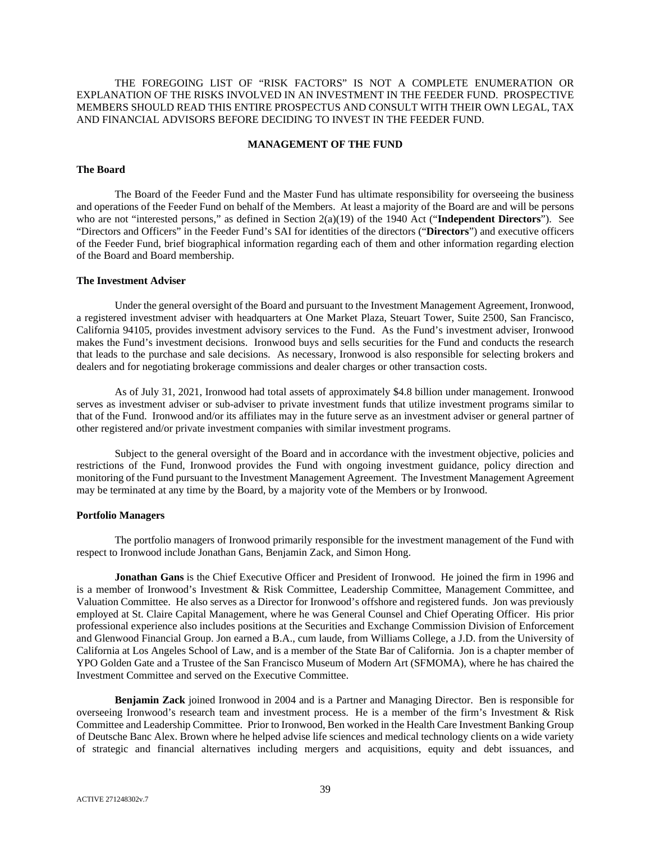THE FOREGOING LIST OF "RISK FACTORS" IS NOT A COMPLETE ENUMERATION OR EXPLANATION OF THE RISKS INVOLVED IN AN INVESTMENT IN THE FEEDER FUND. PROSPECTIVE MEMBERS SHOULD READ THIS ENTIRE PROSPECTUS AND CONSULT WITH THEIR OWN LEGAL, TAX AND FINANCIAL ADVISORS BEFORE DECIDING TO INVEST IN THE FEEDER FUND.

### **MANAGEMENT OF THE FUND**

## **The Board**

The Board of the Feeder Fund and the Master Fund has ultimate responsibility for overseeing the business and operations of the Feeder Fund on behalf of the Members. At least a majority of the Board are and will be persons who are not "interested persons," as defined in Section 2(a)(19) of the 1940 Act ("**Independent Directors**"). See "Directors and Officers" in the Feeder Fund's SAI for identities of the directors ("**Directors**") and executive officers of the Feeder Fund, brief biographical information regarding each of them and other information regarding election of the Board and Board membership.

### **The Investment Adviser**

Under the general oversight of the Board and pursuant to the Investment Management Agreement, Ironwood, a registered investment adviser with headquarters at One Market Plaza, Steuart Tower, Suite 2500, San Francisco, California 94105, provides investment advisory services to the Fund. As the Fund's investment adviser, Ironwood makes the Fund's investment decisions. Ironwood buys and sells securities for the Fund and conducts the research that leads to the purchase and sale decisions. As necessary, Ironwood is also responsible for selecting brokers and dealers and for negotiating brokerage commissions and dealer charges or other transaction costs.

As of July 31, 2021, Ironwood had total assets of approximately \$4.8 billion under management. Ironwood serves as investment adviser or sub-adviser to private investment funds that utilize investment programs similar to that of the Fund. Ironwood and/or its affiliates may in the future serve as an investment adviser or general partner of other registered and/or private investment companies with similar investment programs.

Subject to the general oversight of the Board and in accordance with the investment objective, policies and restrictions of the Fund, Ironwood provides the Fund with ongoing investment guidance, policy direction and monitoring of the Fund pursuant to the Investment Management Agreement. The Investment Management Agreement may be terminated at any time by the Board, by a majority vote of the Members or by Ironwood.

#### **Portfolio Managers**

The portfolio managers of Ironwood primarily responsible for the investment management of the Fund with respect to Ironwood include Jonathan Gans, Benjamin Zack, and Simon Hong.

**Jonathan Gans** is the Chief Executive Officer and President of Ironwood. He joined the firm in 1996 and is a member of Ironwood's Investment & Risk Committee, Leadership Committee, Management Committee, and Valuation Committee. He also serves as a Director for Ironwood's offshore and registered funds. Jon was previously employed at St. Claire Capital Management, where he was General Counsel and Chief Operating Officer. His prior professional experience also includes positions at the Securities and Exchange Commission Division of Enforcement and Glenwood Financial Group. Jon earned a B.A., cum laude, from Williams College, a J.D. from the University of California at Los Angeles School of Law, and is a member of the State Bar of California. Jon is a chapter member of YPO Golden Gate and a Trustee of the San Francisco Museum of Modern Art (SFMOMA), where he has chaired the Investment Committee and served on the Executive Committee.

**Benjamin Zack** joined Ironwood in 2004 and is a Partner and Managing Director. Ben is responsible for overseeing Ironwood's research team and investment process. He is a member of the firm's Investment & Risk Committee and Leadership Committee. Prior to Ironwood, Ben worked in the Health Care Investment Banking Group of Deutsche Banc Alex. Brown where he helped advise life sciences and medical technology clients on a wide variety of strategic and financial alternatives including mergers and acquisitions, equity and debt issuances, and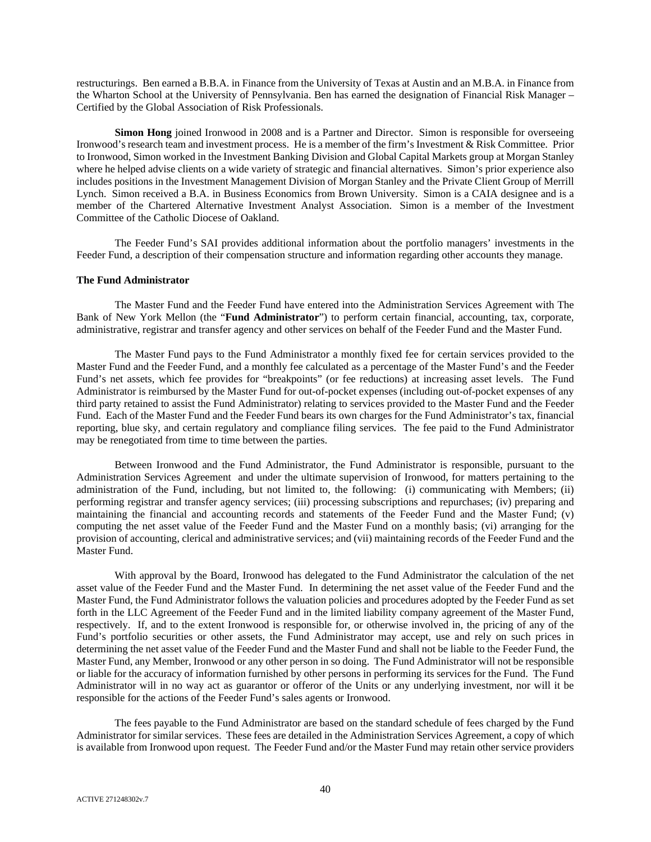restructurings. Ben earned a B.B.A. in Finance from the University of Texas at Austin and an M.B.A. in Finance from the Wharton School at the University of Pennsylvania. Ben has earned the designation of Financial Risk Manager – Certified by the Global Association of Risk Professionals.

**Simon Hong** joined Ironwood in 2008 and is a Partner and Director. Simon is responsible for overseeing Ironwood's research team and investment process. He is a member of the firm's Investment & Risk Committee. Prior to Ironwood, Simon worked in the Investment Banking Division and Global Capital Markets group at Morgan Stanley where he helped advise clients on a wide variety of strategic and financial alternatives. Simon's prior experience also includes positions in the Investment Management Division of Morgan Stanley and the Private Client Group of Merrill Lynch. Simon received a B.A. in Business Economics from Brown University. Simon is a CAIA designee and is a member of the Chartered Alternative Investment Analyst Association. Simon is a member of the Investment Committee of the Catholic Diocese of Oakland.

The Feeder Fund's SAI provides additional information about the portfolio managers' investments in the Feeder Fund, a description of their compensation structure and information regarding other accounts they manage.

## **The Fund Administrator**

The Master Fund and the Feeder Fund have entered into the Administration Services Agreement with The Bank of New York Mellon (the "**Fund Administrator**") to perform certain financial, accounting, tax, corporate, administrative, registrar and transfer agency and other services on behalf of the Feeder Fund and the Master Fund.

The Master Fund pays to the Fund Administrator a monthly fixed fee for certain services provided to the Master Fund and the Feeder Fund, and a monthly fee calculated as a percentage of the Master Fund's and the Feeder Fund's net assets, which fee provides for "breakpoints" (or fee reductions) at increasing asset levels. The Fund Administrator is reimbursed by the Master Fund for out-of-pocket expenses (including out-of-pocket expenses of any third party retained to assist the Fund Administrator) relating to services provided to the Master Fund and the Feeder Fund. Each of the Master Fund and the Feeder Fund bears its own charges for the Fund Administrator's tax, financial reporting, blue sky, and certain regulatory and compliance filing services. The fee paid to the Fund Administrator may be renegotiated from time to time between the parties.

Between Ironwood and the Fund Administrator, the Fund Administrator is responsible, pursuant to the Administration Services Agreement and under the ultimate supervision of Ironwood, for matters pertaining to the administration of the Fund, including, but not limited to, the following: (i) communicating with Members; (ii) performing registrar and transfer agency services; (iii) processing subscriptions and repurchases; (iv) preparing and maintaining the financial and accounting records and statements of the Feeder Fund and the Master Fund; (v) computing the net asset value of the Feeder Fund and the Master Fund on a monthly basis; (vi) arranging for the provision of accounting, clerical and administrative services; and (vii) maintaining records of the Feeder Fund and the Master Fund.

With approval by the Board, Ironwood has delegated to the Fund Administrator the calculation of the net asset value of the Feeder Fund and the Master Fund. In determining the net asset value of the Feeder Fund and the Master Fund, the Fund Administrator follows the valuation policies and procedures adopted by the Feeder Fund as set forth in the LLC Agreement of the Feeder Fund and in the limited liability company agreement of the Master Fund, respectively. If, and to the extent Ironwood is responsible for, or otherwise involved in, the pricing of any of the Fund's portfolio securities or other assets, the Fund Administrator may accept, use and rely on such prices in determining the net asset value of the Feeder Fund and the Master Fund and shall not be liable to the Feeder Fund, the Master Fund, any Member, Ironwood or any other person in so doing. The Fund Administrator will not be responsible or liable for the accuracy of information furnished by other persons in performing its services for the Fund. The Fund Administrator will in no way act as guarantor or offeror of the Units or any underlying investment, nor will it be responsible for the actions of the Feeder Fund's sales agents or Ironwood.

The fees payable to the Fund Administrator are based on the standard schedule of fees charged by the Fund Administrator for similar services. These fees are detailed in the Administration Services Agreement, a copy of which is available from Ironwood upon request. The Feeder Fund and/or the Master Fund may retain other service providers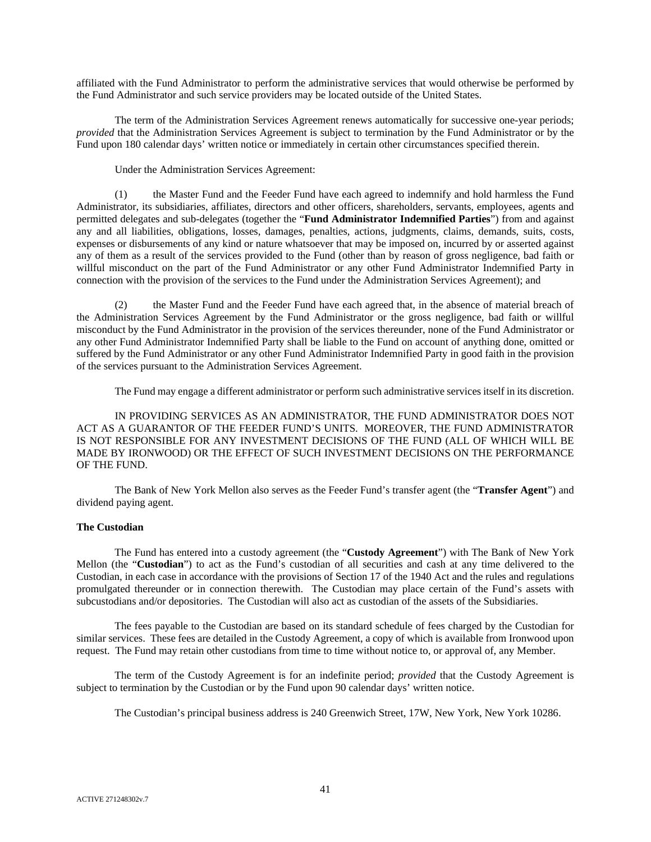affiliated with the Fund Administrator to perform the administrative services that would otherwise be performed by the Fund Administrator and such service providers may be located outside of the United States.

The term of the Administration Services Agreement renews automatically for successive one-year periods; *provided* that the Administration Services Agreement is subject to termination by the Fund Administrator or by the Fund upon 180 calendar days' written notice or immediately in certain other circumstances specified therein.

Under the Administration Services Agreement:

(1) the Master Fund and the Feeder Fund have each agreed to indemnify and hold harmless the Fund Administrator, its subsidiaries, affiliates, directors and other officers, shareholders, servants, employees, agents and permitted delegates and sub-delegates (together the "**Fund Administrator Indemnified Parties**") from and against any and all liabilities, obligations, losses, damages, penalties, actions, judgments, claims, demands, suits, costs, expenses or disbursements of any kind or nature whatsoever that may be imposed on, incurred by or asserted against any of them as a result of the services provided to the Fund (other than by reason of gross negligence, bad faith or willful misconduct on the part of the Fund Administrator or any other Fund Administrator Indemnified Party in connection with the provision of the services to the Fund under the Administration Services Agreement); and

(2) the Master Fund and the Feeder Fund have each agreed that, in the absence of material breach of the Administration Services Agreement by the Fund Administrator or the gross negligence, bad faith or willful misconduct by the Fund Administrator in the provision of the services thereunder, none of the Fund Administrator or any other Fund Administrator Indemnified Party shall be liable to the Fund on account of anything done, omitted or suffered by the Fund Administrator or any other Fund Administrator Indemnified Party in good faith in the provision of the services pursuant to the Administration Services Agreement.

The Fund may engage a different administrator or perform such administrative services itself in its discretion.

IN PROVIDING SERVICES AS AN ADMINISTRATOR, THE FUND ADMINISTRATOR DOES NOT ACT AS A GUARANTOR OF THE FEEDER FUND'S UNITS. MOREOVER, THE FUND ADMINISTRATOR IS NOT RESPONSIBLE FOR ANY INVESTMENT DECISIONS OF THE FUND (ALL OF WHICH WILL BE MADE BY IRONWOOD) OR THE EFFECT OF SUCH INVESTMENT DECISIONS ON THE PERFORMANCE OF THE FUND.

The Bank of New York Mellon also serves as the Feeder Fund's transfer agent (the "**Transfer Agent**") and dividend paying agent.

## **The Custodian**

The Fund has entered into a custody agreement (the "**Custody Agreement**") with The Bank of New York Mellon (the "**Custodian**") to act as the Fund's custodian of all securities and cash at any time delivered to the Custodian, in each case in accordance with the provisions of Section 17 of the 1940 Act and the rules and regulations promulgated thereunder or in connection therewith. The Custodian may place certain of the Fund's assets with subcustodians and/or depositories. The Custodian will also act as custodian of the assets of the Subsidiaries.

The fees payable to the Custodian are based on its standard schedule of fees charged by the Custodian for similar services. These fees are detailed in the Custody Agreement, a copy of which is available from Ironwood upon request. The Fund may retain other custodians from time to time without notice to, or approval of, any Member.

The term of the Custody Agreement is for an indefinite period; *provided* that the Custody Agreement is subject to termination by the Custodian or by the Fund upon 90 calendar days' written notice.

The Custodian's principal business address is 240 Greenwich Street, 17W, New York, New York 10286.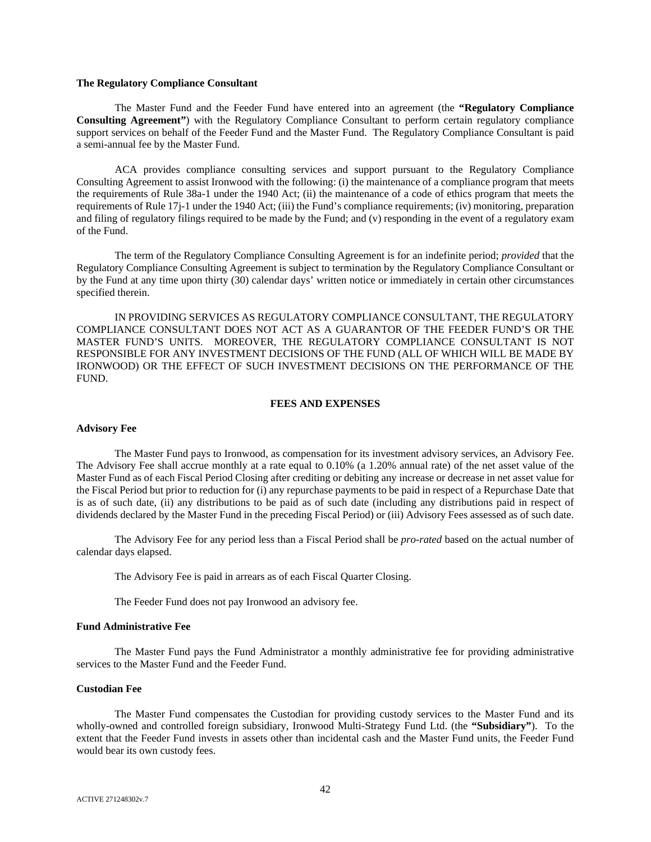## **The Regulatory Compliance Consultant**

The Master Fund and the Feeder Fund have entered into an agreement (the **"Regulatory Compliance Consulting Agreement"**) with the Regulatory Compliance Consultant to perform certain regulatory compliance support services on behalf of the Feeder Fund and the Master Fund. The Regulatory Compliance Consultant is paid a semi-annual fee by the Master Fund.

ACA provides compliance consulting services and support pursuant to the Regulatory Compliance Consulting Agreement to assist Ironwood with the following: (i) the maintenance of a compliance program that meets the requirements of Rule 38a-1 under the 1940 Act; (ii) the maintenance of a code of ethics program that meets the requirements of Rule 17j-1 under the 1940 Act; (iii) the Fund's compliance requirements; (iv) monitoring, preparation and filing of regulatory filings required to be made by the Fund; and (v) responding in the event of a regulatory exam of the Fund.

The term of the Regulatory Compliance Consulting Agreement is for an indefinite period; *provided* that the Regulatory Compliance Consulting Agreement is subject to termination by the Regulatory Compliance Consultant or by the Fund at any time upon thirty (30) calendar days' written notice or immediately in certain other circumstances specified therein.

IN PROVIDING SERVICES AS REGULATORY COMPLIANCE CONSULTANT, THE REGULATORY COMPLIANCE CONSULTANT DOES NOT ACT AS A GUARANTOR OF THE FEEDER FUND'S OR THE MASTER FUND'S UNITS. MOREOVER, THE REGULATORY COMPLIANCE CONSULTANT IS NOT RESPONSIBLE FOR ANY INVESTMENT DECISIONS OF THE FUND (ALL OF WHICH WILL BE MADE BY IRONWOOD) OR THE EFFECT OF SUCH INVESTMENT DECISIONS ON THE PERFORMANCE OF THE FUND.

#### **FEES AND EXPENSES**

#### **Advisory Fee**

The Master Fund pays to Ironwood, as compensation for its investment advisory services, an Advisory Fee. The Advisory Fee shall accrue monthly at a rate equal to 0.10% (a 1.20% annual rate) of the net asset value of the Master Fund as of each Fiscal Period Closing after crediting or debiting any increase or decrease in net asset value for the Fiscal Period but prior to reduction for (i) any repurchase payments to be paid in respect of a Repurchase Date that is as of such date, (ii) any distributions to be paid as of such date (including any distributions paid in respect of dividends declared by the Master Fund in the preceding Fiscal Period) or (iii) Advisory Fees assessed as of such date.

The Advisory Fee for any period less than a Fiscal Period shall be *pro-rated* based on the actual number of calendar days elapsed.

The Advisory Fee is paid in arrears as of each Fiscal Quarter Closing.

The Feeder Fund does not pay Ironwood an advisory fee.

## **Fund Administrative Fee**

The Master Fund pays the Fund Administrator a monthly administrative fee for providing administrative services to the Master Fund and the Feeder Fund.

### **Custodian Fee**

The Master Fund compensates the Custodian for providing custody services to the Master Fund and its wholly-owned and controlled foreign subsidiary, Ironwood Multi-Strategy Fund Ltd. (the **"Subsidiary"**). To the extent that the Feeder Fund invests in assets other than incidental cash and the Master Fund units, the Feeder Fund would bear its own custody fees.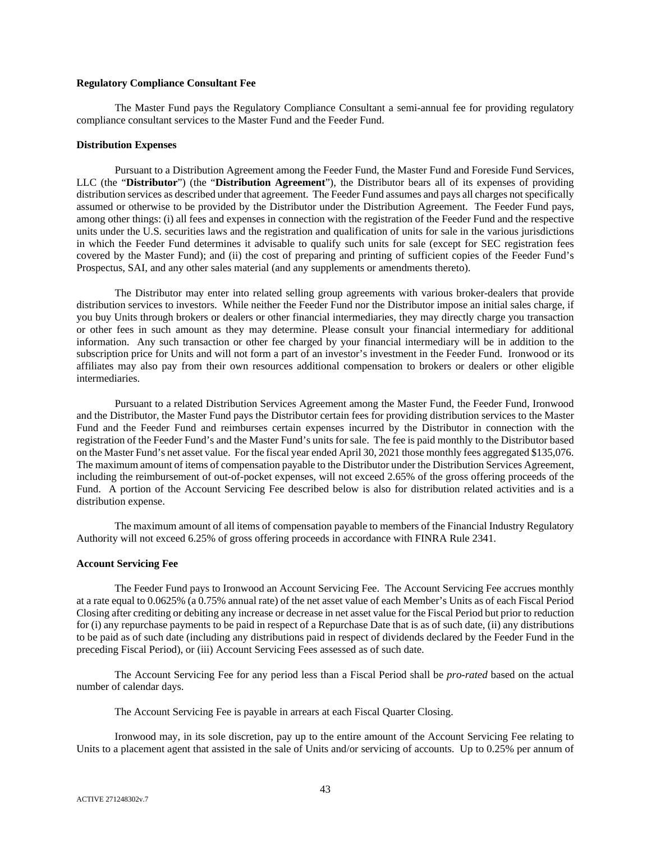# **Regulatory Compliance Consultant Fee**

The Master Fund pays the Regulatory Compliance Consultant a semi-annual fee for providing regulatory compliance consultant services to the Master Fund and the Feeder Fund.

#### **Distribution Expenses**

Pursuant to a Distribution Agreement among the Feeder Fund, the Master Fund and Foreside Fund Services, LLC (the "**Distributor**") (the "**Distribution Agreement**"), the Distributor bears all of its expenses of providing distribution services as described under that agreement. The Feeder Fund assumes and pays all charges not specifically assumed or otherwise to be provided by the Distributor under the Distribution Agreement. The Feeder Fund pays, among other things: (i) all fees and expenses in connection with the registration of the Feeder Fund and the respective units under the U.S. securities laws and the registration and qualification of units for sale in the various jurisdictions in which the Feeder Fund determines it advisable to qualify such units for sale (except for SEC registration fees covered by the Master Fund); and (ii) the cost of preparing and printing of sufficient copies of the Feeder Fund's Prospectus, SAI, and any other sales material (and any supplements or amendments thereto).

The Distributor may enter into related selling group agreements with various broker-dealers that provide distribution services to investors. While neither the Feeder Fund nor the Distributor impose an initial sales charge, if you buy Units through brokers or dealers or other financial intermediaries, they may directly charge you transaction or other fees in such amount as they may determine. Please consult your financial intermediary for additional information. Any such transaction or other fee charged by your financial intermediary will be in addition to the subscription price for Units and will not form a part of an investor's investment in the Feeder Fund. Ironwood or its affiliates may also pay from their own resources additional compensation to brokers or dealers or other eligible intermediaries.

Pursuant to a related Distribution Services Agreement among the Master Fund, the Feeder Fund, Ironwood and the Distributor, the Master Fund pays the Distributor certain fees for providing distribution services to the Master Fund and the Feeder Fund and reimburses certain expenses incurred by the Distributor in connection with the registration of the Feeder Fund's and the Master Fund's units for sale. The fee is paid monthly to the Distributor based on the Master Fund's net asset value. For the fiscal year ended April 30, 2021 those monthly fees aggregated \$135,076. The maximum amount of items of compensation payable to the Distributor under the Distribution Services Agreement, including the reimbursement of out-of-pocket expenses, will not exceed 2.65% of the gross offering proceeds of the Fund. A portion of the Account Servicing Fee described below is also for distribution related activities and is a distribution expense.

The maximum amount of all items of compensation payable to members of the Financial Industry Regulatory Authority will not exceed 6.25% of gross offering proceeds in accordance with FINRA Rule 2341.

#### **Account Servicing Fee**

The Feeder Fund pays to Ironwood an Account Servicing Fee. The Account Servicing Fee accrues monthly at a rate equal to 0.0625% (a 0.75% annual rate) of the net asset value of each Member's Units as of each Fiscal Period Closing after crediting or debiting any increase or decrease in net asset value for the Fiscal Period but prior to reduction for (i) any repurchase payments to be paid in respect of a Repurchase Date that is as of such date, (ii) any distributions to be paid as of such date (including any distributions paid in respect of dividends declared by the Feeder Fund in the preceding Fiscal Period), or (iii) Account Servicing Fees assessed as of such date.

The Account Servicing Fee for any period less than a Fiscal Period shall be *pro-rated* based on the actual number of calendar days.

The Account Servicing Fee is payable in arrears at each Fiscal Quarter Closing.

Ironwood may, in its sole discretion, pay up to the entire amount of the Account Servicing Fee relating to Units to a placement agent that assisted in the sale of Units and/or servicing of accounts. Up to 0.25% per annum of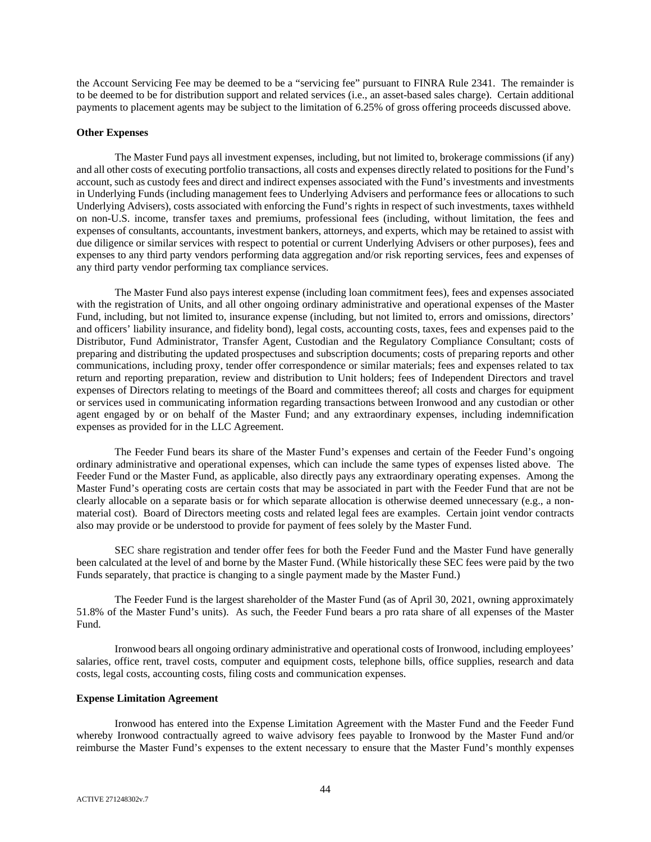the Account Servicing Fee may be deemed to be a "servicing fee" pursuant to FINRA Rule 2341. The remainder is to be deemed to be for distribution support and related services (i.e., an asset-based sales charge). Certain additional payments to placement agents may be subject to the limitation of 6.25% of gross offering proceeds discussed above.

### **Other Expenses**

The Master Fund pays all investment expenses, including, but not limited to, brokerage commissions (if any) and all other costs of executing portfolio transactions, all costs and expenses directly related to positions for the Fund's account, such as custody fees and direct and indirect expenses associated with the Fund's investments and investments in Underlying Funds (including management fees to Underlying Advisers and performance fees or allocations to such Underlying Advisers), costs associated with enforcing the Fund's rights in respect of such investments, taxes withheld on non-U.S. income, transfer taxes and premiums, professional fees (including, without limitation, the fees and expenses of consultants, accountants, investment bankers, attorneys, and experts, which may be retained to assist with due diligence or similar services with respect to potential or current Underlying Advisers or other purposes), fees and expenses to any third party vendors performing data aggregation and/or risk reporting services, fees and expenses of any third party vendor performing tax compliance services.

The Master Fund also pays interest expense (including loan commitment fees), fees and expenses associated with the registration of Units, and all other ongoing ordinary administrative and operational expenses of the Master Fund, including, but not limited to, insurance expense (including, but not limited to, errors and omissions, directors' and officers' liability insurance, and fidelity bond), legal costs, accounting costs, taxes, fees and expenses paid to the Distributor, Fund Administrator, Transfer Agent, Custodian and the Regulatory Compliance Consultant; costs of preparing and distributing the updated prospectuses and subscription documents; costs of preparing reports and other communications, including proxy, tender offer correspondence or similar materials; fees and expenses related to tax return and reporting preparation, review and distribution to Unit holders; fees of Independent Directors and travel expenses of Directors relating to meetings of the Board and committees thereof; all costs and charges for equipment or services used in communicating information regarding transactions between Ironwood and any custodian or other agent engaged by or on behalf of the Master Fund; and any extraordinary expenses, including indemnification expenses as provided for in the LLC Agreement.

The Feeder Fund bears its share of the Master Fund's expenses and certain of the Feeder Fund's ongoing ordinary administrative and operational expenses, which can include the same types of expenses listed above. The Feeder Fund or the Master Fund, as applicable, also directly pays any extraordinary operating expenses. Among the Master Fund's operating costs are certain costs that may be associated in part with the Feeder Fund that are not be clearly allocable on a separate basis or for which separate allocation is otherwise deemed unnecessary (e.g., a nonmaterial cost). Board of Directors meeting costs and related legal fees are examples. Certain joint vendor contracts also may provide or be understood to provide for payment of fees solely by the Master Fund.

SEC share registration and tender offer fees for both the Feeder Fund and the Master Fund have generally been calculated at the level of and borne by the Master Fund. (While historically these SEC fees were paid by the two Funds separately, that practice is changing to a single payment made by the Master Fund.)

The Feeder Fund is the largest shareholder of the Master Fund (as of April 30, 2021, owning approximately 51.8% of the Master Fund's units). As such, the Feeder Fund bears a pro rata share of all expenses of the Master Fund.

Ironwood bears all ongoing ordinary administrative and operational costs of Ironwood, including employees' salaries, office rent, travel costs, computer and equipment costs, telephone bills, office supplies, research and data costs, legal costs, accounting costs, filing costs and communication expenses.

#### **Expense Limitation Agreement**

Ironwood has entered into the Expense Limitation Agreement with the Master Fund and the Feeder Fund whereby Ironwood contractually agreed to waive advisory fees payable to Ironwood by the Master Fund and/or reimburse the Master Fund's expenses to the extent necessary to ensure that the Master Fund's monthly expenses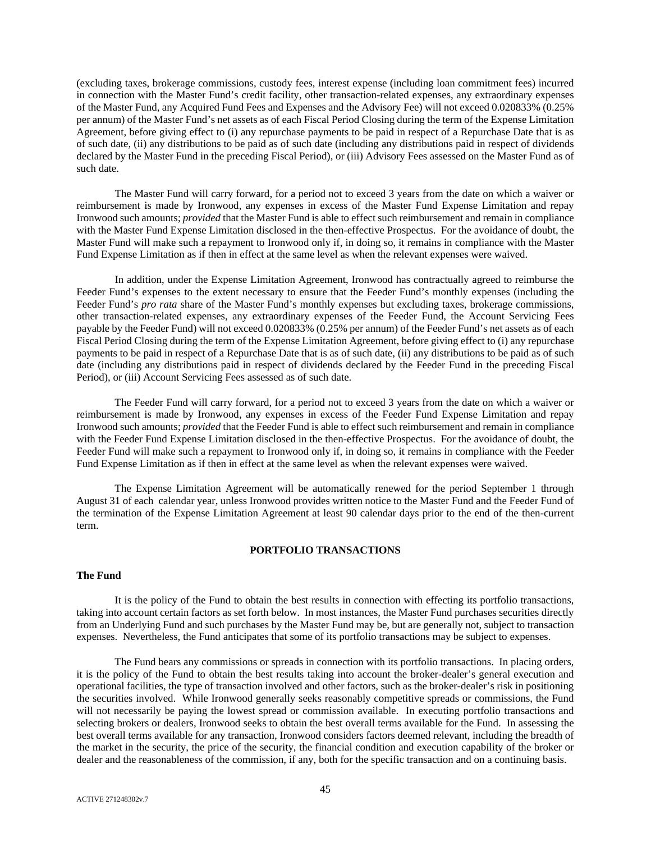(excluding taxes, brokerage commissions, custody fees, interest expense (including loan commitment fees) incurred in connection with the Master Fund's credit facility, other transaction-related expenses, any extraordinary expenses of the Master Fund, any Acquired Fund Fees and Expenses and the Advisory Fee) will not exceed 0.020833% (0.25% per annum) of the Master Fund's net assets as of each Fiscal Period Closing during the term of the Expense Limitation Agreement, before giving effect to (i) any repurchase payments to be paid in respect of a Repurchase Date that is as of such date, (ii) any distributions to be paid as of such date (including any distributions paid in respect of dividends declared by the Master Fund in the preceding Fiscal Period), or (iii) Advisory Fees assessed on the Master Fund as of such date.

The Master Fund will carry forward, for a period not to exceed 3 years from the date on which a waiver or reimbursement is made by Ironwood, any expenses in excess of the Master Fund Expense Limitation and repay Ironwood such amounts; *provided* that the Master Fund is able to effect such reimbursement and remain in compliance with the Master Fund Expense Limitation disclosed in the then-effective Prospectus. For the avoidance of doubt, the Master Fund will make such a repayment to Ironwood only if, in doing so, it remains in compliance with the Master Fund Expense Limitation as if then in effect at the same level as when the relevant expenses were waived.

In addition, under the Expense Limitation Agreement, Ironwood has contractually agreed to reimburse the Feeder Fund's expenses to the extent necessary to ensure that the Feeder Fund's monthly expenses (including the Feeder Fund's *pro rata* share of the Master Fund's monthly expenses but excluding taxes, brokerage commissions, other transaction-related expenses, any extraordinary expenses of the Feeder Fund, the Account Servicing Fees payable by the Feeder Fund) will not exceed 0.020833% (0.25% per annum) of the Feeder Fund's net assets as of each Fiscal Period Closing during the term of the Expense Limitation Agreement, before giving effect to (i) any repurchase payments to be paid in respect of a Repurchase Date that is as of such date, (ii) any distributions to be paid as of such date (including any distributions paid in respect of dividends declared by the Feeder Fund in the preceding Fiscal Period), or (iii) Account Servicing Fees assessed as of such date.

The Feeder Fund will carry forward, for a period not to exceed 3 years from the date on which a waiver or reimbursement is made by Ironwood, any expenses in excess of the Feeder Fund Expense Limitation and repay Ironwood such amounts; *provided* that the Feeder Fund is able to effect such reimbursement and remain in compliance with the Feeder Fund Expense Limitation disclosed in the then-effective Prospectus. For the avoidance of doubt, the Feeder Fund will make such a repayment to Ironwood only if, in doing so, it remains in compliance with the Feeder Fund Expense Limitation as if then in effect at the same level as when the relevant expenses were waived.

The Expense Limitation Agreement will be automatically renewed for the period September 1 through August 31 of each calendar year, unless Ironwood provides written notice to the Master Fund and the Feeder Fund of the termination of the Expense Limitation Agreement at least 90 calendar days prior to the end of the then-current term.

## **PORTFOLIO TRANSACTIONS**

#### **The Fund**

It is the policy of the Fund to obtain the best results in connection with effecting its portfolio transactions, taking into account certain factors as set forth below. In most instances, the Master Fund purchases securities directly from an Underlying Fund and such purchases by the Master Fund may be, but are generally not, subject to transaction expenses. Nevertheless, the Fund anticipates that some of its portfolio transactions may be subject to expenses.

The Fund bears any commissions or spreads in connection with its portfolio transactions. In placing orders, it is the policy of the Fund to obtain the best results taking into account the broker-dealer's general execution and operational facilities, the type of transaction involved and other factors, such as the broker-dealer's risk in positioning the securities involved. While Ironwood generally seeks reasonably competitive spreads or commissions, the Fund will not necessarily be paying the lowest spread or commission available. In executing portfolio transactions and selecting brokers or dealers, Ironwood seeks to obtain the best overall terms available for the Fund. In assessing the best overall terms available for any transaction, Ironwood considers factors deemed relevant, including the breadth of the market in the security, the price of the security, the financial condition and execution capability of the broker or dealer and the reasonableness of the commission, if any, both for the specific transaction and on a continuing basis.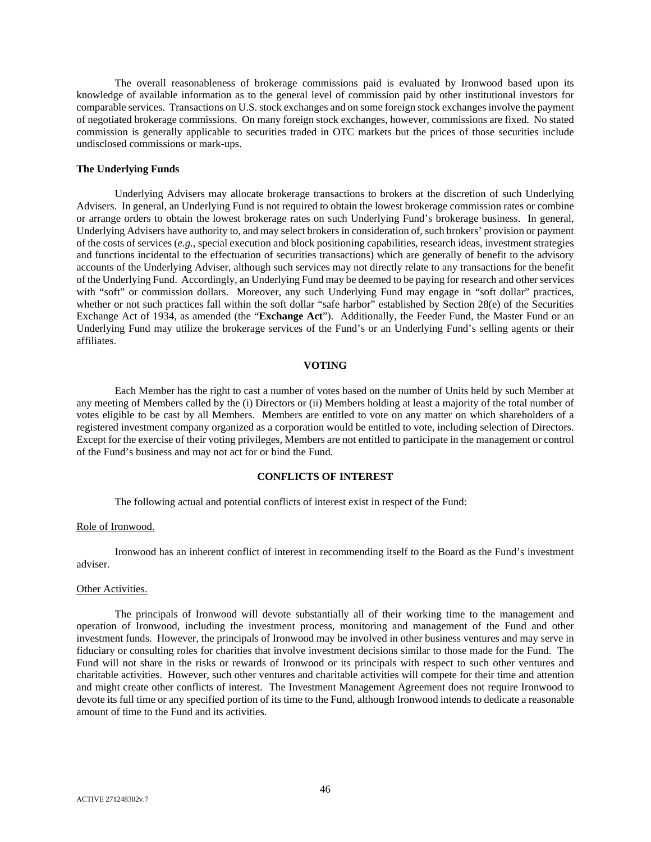The overall reasonableness of brokerage commissions paid is evaluated by Ironwood based upon its knowledge of available information as to the general level of commission paid by other institutional investors for comparable services. Transactions on U.S. stock exchanges and on some foreign stock exchanges involve the payment of negotiated brokerage commissions. On many foreign stock exchanges, however, commissions are fixed. No stated commission is generally applicable to securities traded in OTC markets but the prices of those securities include undisclosed commissions or mark-ups.

## **The Underlying Funds**

Underlying Advisers may allocate brokerage transactions to brokers at the discretion of such Underlying Advisers. In general, an Underlying Fund is not required to obtain the lowest brokerage commission rates or combine or arrange orders to obtain the lowest brokerage rates on such Underlying Fund's brokerage business. In general, Underlying Advisers have authority to, and may select brokers in consideration of, such brokers' provision or payment of the costs of services (*e.g.*, special execution and block positioning capabilities, research ideas, investment strategies and functions incidental to the effectuation of securities transactions) which are generally of benefit to the advisory accounts of the Underlying Adviser, although such services may not directly relate to any transactions for the benefit of the Underlying Fund. Accordingly, an Underlying Fund may be deemed to be paying for research and other services with "soft" or commission dollars. Moreover, any such Underlying Fund may engage in "soft dollar" practices, whether or not such practices fall within the soft dollar "safe harbor" established by Section 28(e) of the Securities Exchange Act of 1934, as amended (the "**Exchange Act**"). Additionally, the Feeder Fund, the Master Fund or an Underlying Fund may utilize the brokerage services of the Fund's or an Underlying Fund's selling agents or their affiliates.

## **VOTING**

Each Member has the right to cast a number of votes based on the number of Units held by such Member at any meeting of Members called by the (i) Directors or (ii) Members holding at least a majority of the total number of votes eligible to be cast by all Members. Members are entitled to vote on any matter on which shareholders of a registered investment company organized as a corporation would be entitled to vote, including selection of Directors. Except for the exercise of their voting privileges, Members are not entitled to participate in the management or control of the Fund's business and may not act for or bind the Fund.

#### **CONFLICTS OF INTEREST**

The following actual and potential conflicts of interest exist in respect of the Fund:

#### Role of Ironwood.

Ironwood has an inherent conflict of interest in recommending itself to the Board as the Fund's investment adviser.

#### Other Activities.

The principals of Ironwood will devote substantially all of their working time to the management and operation of Ironwood, including the investment process, monitoring and management of the Fund and other investment funds. However, the principals of Ironwood may be involved in other business ventures and may serve in fiduciary or consulting roles for charities that involve investment decisions similar to those made for the Fund. The Fund will not share in the risks or rewards of Ironwood or its principals with respect to such other ventures and charitable activities. However, such other ventures and charitable activities will compete for their time and attention and might create other conflicts of interest. The Investment Management Agreement does not require Ironwood to devote its full time or any specified portion of its time to the Fund, although Ironwood intends to dedicate a reasonable amount of time to the Fund and its activities.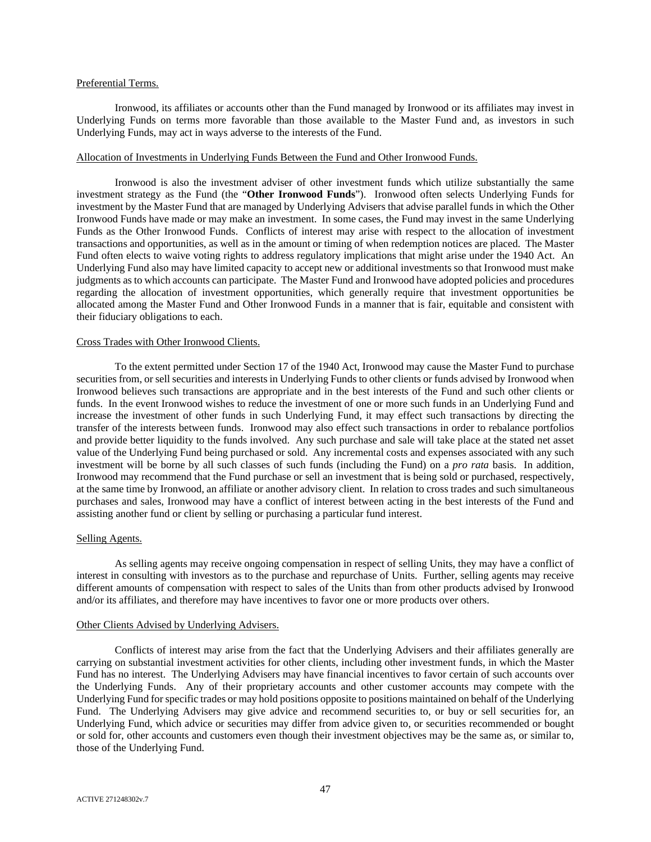### Preferential Terms.

Ironwood, its affiliates or accounts other than the Fund managed by Ironwood or its affiliates may invest in Underlying Funds on terms more favorable than those available to the Master Fund and, as investors in such Underlying Funds, may act in ways adverse to the interests of the Fund.

## Allocation of Investments in Underlying Funds Between the Fund and Other Ironwood Funds.

Ironwood is also the investment adviser of other investment funds which utilize substantially the same investment strategy as the Fund (the "**Other Ironwood Funds**"). Ironwood often selects Underlying Funds for investment by the Master Fund that are managed by Underlying Advisers that advise parallel funds in which the Other Ironwood Funds have made or may make an investment. In some cases, the Fund may invest in the same Underlying Funds as the Other Ironwood Funds. Conflicts of interest may arise with respect to the allocation of investment transactions and opportunities, as well as in the amount or timing of when redemption notices are placed. The Master Fund often elects to waive voting rights to address regulatory implications that might arise under the 1940 Act. An Underlying Fund also may have limited capacity to accept new or additional investments so that Ironwood must make judgments as to which accounts can participate. The Master Fund and Ironwood have adopted policies and procedures regarding the allocation of investment opportunities, which generally require that investment opportunities be allocated among the Master Fund and Other Ironwood Funds in a manner that is fair, equitable and consistent with their fiduciary obligations to each.

### Cross Trades with Other Ironwood Clients.

To the extent permitted under Section 17 of the 1940 Act, Ironwood may cause the Master Fund to purchase securities from, or sell securities and interests in Underlying Funds to other clients or funds advised by Ironwood when Ironwood believes such transactions are appropriate and in the best interests of the Fund and such other clients or funds. In the event Ironwood wishes to reduce the investment of one or more such funds in an Underlying Fund and increase the investment of other funds in such Underlying Fund, it may effect such transactions by directing the transfer of the interests between funds. Ironwood may also effect such transactions in order to rebalance portfolios and provide better liquidity to the funds involved. Any such purchase and sale will take place at the stated net asset value of the Underlying Fund being purchased or sold. Any incremental costs and expenses associated with any such investment will be borne by all such classes of such funds (including the Fund) on a *pro rata* basis. In addition, Ironwood may recommend that the Fund purchase or sell an investment that is being sold or purchased, respectively, at the same time by Ironwood, an affiliate or another advisory client. In relation to cross trades and such simultaneous purchases and sales, Ironwood may have a conflict of interest between acting in the best interests of the Fund and assisting another fund or client by selling or purchasing a particular fund interest.

### Selling Agents.

As selling agents may receive ongoing compensation in respect of selling Units, they may have a conflict of interest in consulting with investors as to the purchase and repurchase of Units. Further, selling agents may receive different amounts of compensation with respect to sales of the Units than from other products advised by Ironwood and/or its affiliates, and therefore may have incentives to favor one or more products over others.

## Other Clients Advised by Underlying Advisers.

Conflicts of interest may arise from the fact that the Underlying Advisers and their affiliates generally are carrying on substantial investment activities for other clients, including other investment funds, in which the Master Fund has no interest. The Underlying Advisers may have financial incentives to favor certain of such accounts over the Underlying Funds. Any of their proprietary accounts and other customer accounts may compete with the Underlying Fund for specific trades or may hold positions opposite to positions maintained on behalf of the Underlying Fund. The Underlying Advisers may give advice and recommend securities to, or buy or sell securities for, an Underlying Fund, which advice or securities may differ from advice given to, or securities recommended or bought or sold for, other accounts and customers even though their investment objectives may be the same as, or similar to, those of the Underlying Fund.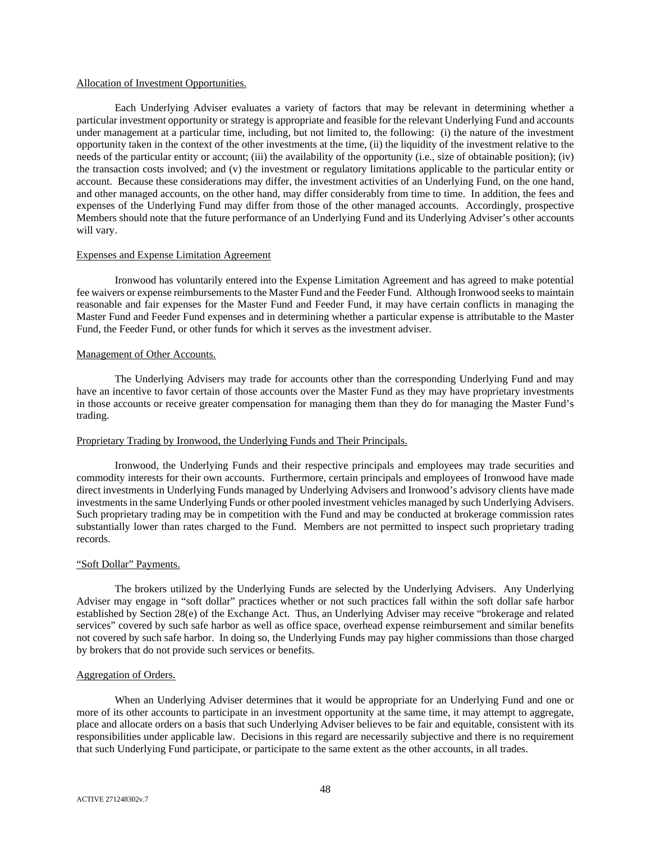### Allocation of Investment Opportunities.

Each Underlying Adviser evaluates a variety of factors that may be relevant in determining whether a particular investment opportunity or strategy is appropriate and feasible for the relevant Underlying Fund and accounts under management at a particular time, including, but not limited to, the following: (i) the nature of the investment opportunity taken in the context of the other investments at the time, (ii) the liquidity of the investment relative to the needs of the particular entity or account; (iii) the availability of the opportunity (i.e., size of obtainable position); (iv) the transaction costs involved; and (v) the investment or regulatory limitations applicable to the particular entity or account. Because these considerations may differ, the investment activities of an Underlying Fund, on the one hand, and other managed accounts, on the other hand, may differ considerably from time to time. In addition, the fees and expenses of the Underlying Fund may differ from those of the other managed accounts. Accordingly, prospective Members should note that the future performance of an Underlying Fund and its Underlying Adviser's other accounts will vary.

## Expenses and Expense Limitation Agreement

Ironwood has voluntarily entered into the Expense Limitation Agreement and has agreed to make potential fee waivers or expense reimbursements to the Master Fund and the Feeder Fund. Although Ironwood seeks to maintain reasonable and fair expenses for the Master Fund and Feeder Fund, it may have certain conflicts in managing the Master Fund and Feeder Fund expenses and in determining whether a particular expense is attributable to the Master Fund, the Feeder Fund, or other funds for which it serves as the investment adviser.

### Management of Other Accounts.

The Underlying Advisers may trade for accounts other than the corresponding Underlying Fund and may have an incentive to favor certain of those accounts over the Master Fund as they may have proprietary investments in those accounts or receive greater compensation for managing them than they do for managing the Master Fund's trading.

## Proprietary Trading by Ironwood, the Underlying Funds and Their Principals.

Ironwood, the Underlying Funds and their respective principals and employees may trade securities and commodity interests for their own accounts. Furthermore, certain principals and employees of Ironwood have made direct investments in Underlying Funds managed by Underlying Advisers and Ironwood's advisory clients have made investments in the same Underlying Funds or other pooled investment vehicles managed by such Underlying Advisers. Such proprietary trading may be in competition with the Fund and may be conducted at brokerage commission rates substantially lower than rates charged to the Fund. Members are not permitted to inspect such proprietary trading records.

### "Soft Dollar" Payments.

The brokers utilized by the Underlying Funds are selected by the Underlying Advisers. Any Underlying Adviser may engage in "soft dollar" practices whether or not such practices fall within the soft dollar safe harbor established by Section 28(e) of the Exchange Act. Thus, an Underlying Adviser may receive "brokerage and related services" covered by such safe harbor as well as office space, overhead expense reimbursement and similar benefits not covered by such safe harbor. In doing so, the Underlying Funds may pay higher commissions than those charged by brokers that do not provide such services or benefits.

#### Aggregation of Orders.

When an Underlying Adviser determines that it would be appropriate for an Underlying Fund and one or more of its other accounts to participate in an investment opportunity at the same time, it may attempt to aggregate, place and allocate orders on a basis that such Underlying Adviser believes to be fair and equitable, consistent with its responsibilities under applicable law. Decisions in this regard are necessarily subjective and there is no requirement that such Underlying Fund participate, or participate to the same extent as the other accounts, in all trades.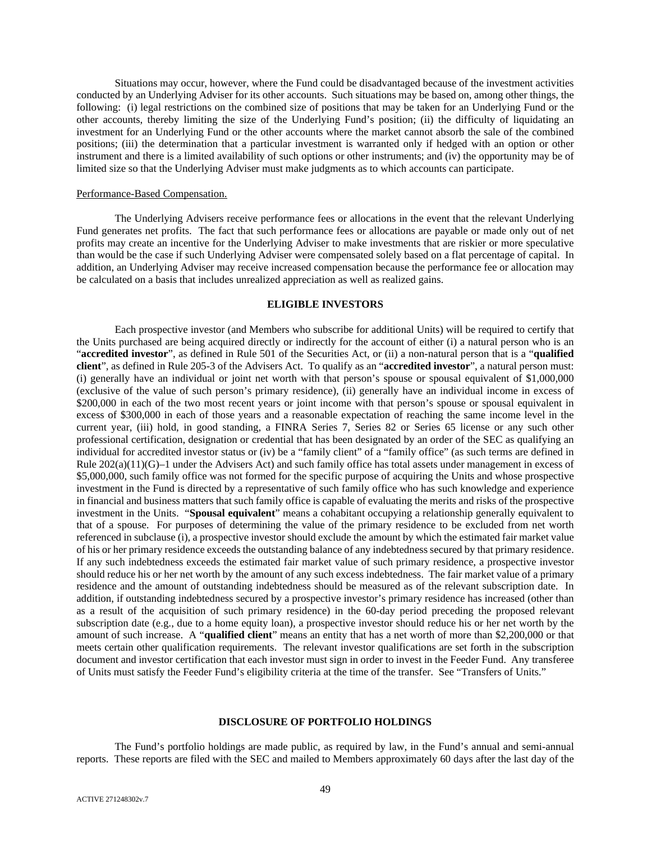Situations may occur, however, where the Fund could be disadvantaged because of the investment activities conducted by an Underlying Adviser for its other accounts. Such situations may be based on, among other things, the following: (i) legal restrictions on the combined size of positions that may be taken for an Underlying Fund or the other accounts, thereby limiting the size of the Underlying Fund's position; (ii) the difficulty of liquidating an investment for an Underlying Fund or the other accounts where the market cannot absorb the sale of the combined positions; (iii) the determination that a particular investment is warranted only if hedged with an option or other instrument and there is a limited availability of such options or other instruments; and (iv) the opportunity may be of limited size so that the Underlying Adviser must make judgments as to which accounts can participate.

## Performance-Based Compensation.

The Underlying Advisers receive performance fees or allocations in the event that the relevant Underlying Fund generates net profits. The fact that such performance fees or allocations are payable or made only out of net profits may create an incentive for the Underlying Adviser to make investments that are riskier or more speculative than would be the case if such Underlying Adviser were compensated solely based on a flat percentage of capital. In addition, an Underlying Adviser may receive increased compensation because the performance fee or allocation may be calculated on a basis that includes unrealized appreciation as well as realized gains.

# **ELIGIBLE INVESTORS**

Each prospective investor (and Members who subscribe for additional Units) will be required to certify that the Units purchased are being acquired directly or indirectly for the account of either (i) a natural person who is an "**accredited investor**", as defined in Rule 501 of the Securities Act, or (ii) a non-natural person that is a "**qualified client**", as defined in Rule 205-3 of the Advisers Act. To qualify as an "**accredited investor**", a natural person must: (i) generally have an individual or joint net worth with that person's spouse or spousal equivalent of \$1,000,000 (exclusive of the value of such person's primary residence), (ii) generally have an individual income in excess of \$200,000 in each of the two most recent years or joint income with that person's spouse or spousal equivalent in excess of \$300,000 in each of those years and a reasonable expectation of reaching the same income level in the current year, (iii) hold, in good standing, a FINRA Series 7, Series 82 or Series 65 license or any such other professional certification, designation or credential that has been designated by an order of the SEC as qualifying an individual for accredited investor status or (iv) be a "family client" of a "family office" (as such terms are defined in Rule 202(a)(11)(G)–1 under the Advisers Act) and such family office has total assets under management in excess of \$5,000,000, such family office was not formed for the specific purpose of acquiring the Units and whose prospective investment in the Fund is directed by a representative of such family office who has such knowledge and experience in financial and business matters that such family office is capable of evaluating the merits and risks of the prospective investment in the Units. "**Spousal equivalent**" means a cohabitant occupying a relationship generally equivalent to that of a spouse. For purposes of determining the value of the primary residence to be excluded from net worth referenced in subclause (i), a prospective investor should exclude the amount by which the estimated fair market value of his or her primary residence exceeds the outstanding balance of any indebtedness secured by that primary residence. If any such indebtedness exceeds the estimated fair market value of such primary residence, a prospective investor should reduce his or her net worth by the amount of any such excess indebtedness. The fair market value of a primary residence and the amount of outstanding indebtedness should be measured as of the relevant subscription date. In addition, if outstanding indebtedness secured by a prospective investor's primary residence has increased (other than as a result of the acquisition of such primary residence) in the 60-day period preceding the proposed relevant subscription date (e.g., due to a home equity loan), a prospective investor should reduce his or her net worth by the amount of such increase. A "**qualified client**" means an entity that has a net worth of more than \$2,200,000 or that meets certain other qualification requirements. The relevant investor qualifications are set forth in the subscription document and investor certification that each investor must sign in order to invest in the Feeder Fund. Any transferee of Units must satisfy the Feeder Fund's eligibility criteria at the time of the transfer. See "Transfers of Units."

### **DISCLOSURE OF PORTFOLIO HOLDINGS**

The Fund's portfolio holdings are made public, as required by law, in the Fund's annual and semi-annual reports. These reports are filed with the SEC and mailed to Members approximately 60 days after the last day of the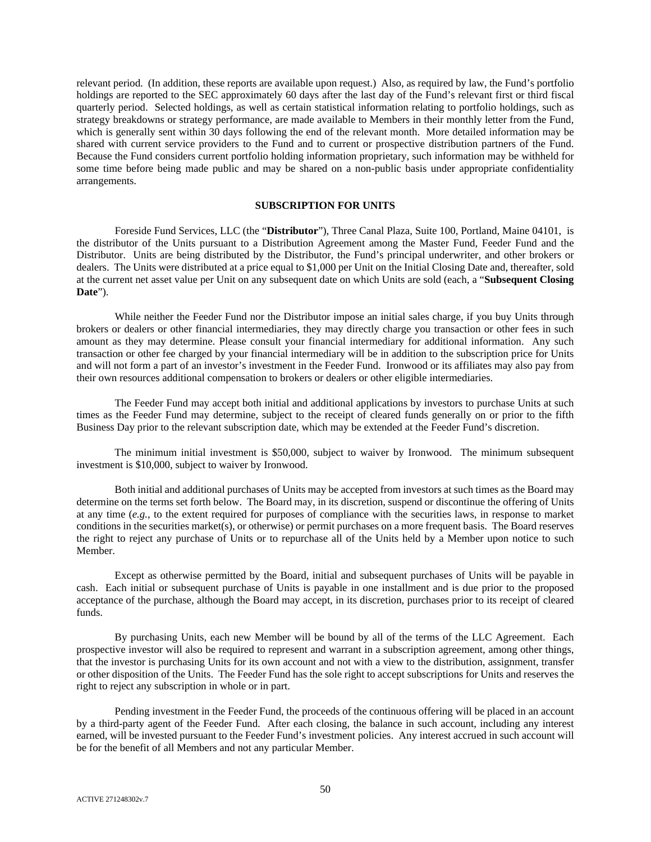relevant period. (In addition, these reports are available upon request.) Also, as required by law, the Fund's portfolio holdings are reported to the SEC approximately 60 days after the last day of the Fund's relevant first or third fiscal quarterly period. Selected holdings, as well as certain statistical information relating to portfolio holdings, such as strategy breakdowns or strategy performance, are made available to Members in their monthly letter from the Fund, which is generally sent within 30 days following the end of the relevant month. More detailed information may be shared with current service providers to the Fund and to current or prospective distribution partners of the Fund. Because the Fund considers current portfolio holding information proprietary, such information may be withheld for some time before being made public and may be shared on a non-public basis under appropriate confidentiality arrangements.

### **SUBSCRIPTION FOR UNITS**

Foreside Fund Services, LLC (the "**Distributor**"), Three Canal Plaza, Suite 100, Portland, Maine 04101, is the distributor of the Units pursuant to a Distribution Agreement among the Master Fund, Feeder Fund and the Distributor. Units are being distributed by the Distributor, the Fund's principal underwriter, and other brokers or dealers. The Units were distributed at a price equal to \$1,000 per Unit on the Initial Closing Date and, thereafter, sold at the current net asset value per Unit on any subsequent date on which Units are sold (each, a "**Subsequent Closing Date**").

While neither the Feeder Fund nor the Distributor impose an initial sales charge, if you buy Units through brokers or dealers or other financial intermediaries, they may directly charge you transaction or other fees in such amount as they may determine. Please consult your financial intermediary for additional information. Any such transaction or other fee charged by your financial intermediary will be in addition to the subscription price for Units and will not form a part of an investor's investment in the Feeder Fund. Ironwood or its affiliates may also pay from their own resources additional compensation to brokers or dealers or other eligible intermediaries.

The Feeder Fund may accept both initial and additional applications by investors to purchase Units at such times as the Feeder Fund may determine, subject to the receipt of cleared funds generally on or prior to the fifth Business Day prior to the relevant subscription date, which may be extended at the Feeder Fund's discretion.

The minimum initial investment is \$50,000, subject to waiver by Ironwood. The minimum subsequent investment is \$10,000, subject to waiver by Ironwood.

Both initial and additional purchases of Units may be accepted from investors at such times as the Board may determine on the terms set forth below. The Board may, in its discretion, suspend or discontinue the offering of Units at any time (*e.g.*, to the extent required for purposes of compliance with the securities laws, in response to market conditions in the securities market(s), or otherwise) or permit purchases on a more frequent basis. The Board reserves the right to reject any purchase of Units or to repurchase all of the Units held by a Member upon notice to such Member.

Except as otherwise permitted by the Board, initial and subsequent purchases of Units will be payable in cash. Each initial or subsequent purchase of Units is payable in one installment and is due prior to the proposed acceptance of the purchase, although the Board may accept, in its discretion, purchases prior to its receipt of cleared funds.

By purchasing Units, each new Member will be bound by all of the terms of the LLC Agreement. Each prospective investor will also be required to represent and warrant in a subscription agreement, among other things, that the investor is purchasing Units for its own account and not with a view to the distribution, assignment, transfer or other disposition of the Units. The Feeder Fund has the sole right to accept subscriptions for Units and reserves the right to reject any subscription in whole or in part.

Pending investment in the Feeder Fund, the proceeds of the continuous offering will be placed in an account by a third-party agent of the Feeder Fund. After each closing, the balance in such account, including any interest earned, will be invested pursuant to the Feeder Fund's investment policies. Any interest accrued in such account will be for the benefit of all Members and not any particular Member.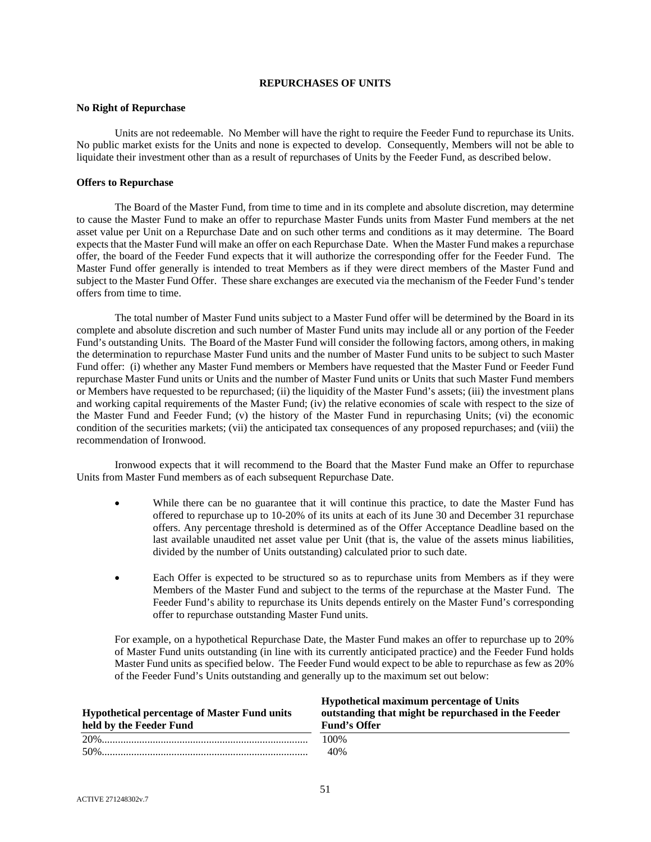# **REPURCHASES OF UNITS**

### **No Right of Repurchase**

Units are not redeemable. No Member will have the right to require the Feeder Fund to repurchase its Units. No public market exists for the Units and none is expected to develop. Consequently, Members will not be able to liquidate their investment other than as a result of repurchases of Units by the Feeder Fund, as described below.

### **Offers to Repurchase**

The Board of the Master Fund, from time to time and in its complete and absolute discretion, may determine to cause the Master Fund to make an offer to repurchase Master Funds units from Master Fund members at the net asset value per Unit on a Repurchase Date and on such other terms and conditions as it may determine. The Board expects that the Master Fund will make an offer on each Repurchase Date. When the Master Fund makes a repurchase offer, the board of the Feeder Fund expects that it will authorize the corresponding offer for the Feeder Fund. The Master Fund offer generally is intended to treat Members as if they were direct members of the Master Fund and subject to the Master Fund Offer. These share exchanges are executed via the mechanism of the Feeder Fund's tender offers from time to time.

The total number of Master Fund units subject to a Master Fund offer will be determined by the Board in its complete and absolute discretion and such number of Master Fund units may include all or any portion of the Feeder Fund's outstanding Units. The Board of the Master Fund will consider the following factors, among others, in making the determination to repurchase Master Fund units and the number of Master Fund units to be subject to such Master Fund offer: (i) whether any Master Fund members or Members have requested that the Master Fund or Feeder Fund repurchase Master Fund units or Units and the number of Master Fund units or Units that such Master Fund members or Members have requested to be repurchased; (ii) the liquidity of the Master Fund's assets; (iii) the investment plans and working capital requirements of the Master Fund; (iv) the relative economies of scale with respect to the size of the Master Fund and Feeder Fund; (v) the history of the Master Fund in repurchasing Units; (vi) the economic condition of the securities markets; (vii) the anticipated tax consequences of any proposed repurchases; and (viii) the recommendation of Ironwood.

Ironwood expects that it will recommend to the Board that the Master Fund make an Offer to repurchase Units from Master Fund members as of each subsequent Repurchase Date.

- While there can be no guarantee that it will continue this practice, to date the Master Fund has offered to repurchase up to 10-20% of its units at each of its June 30 and December 31 repurchase offers. Any percentage threshold is determined as of the Offer Acceptance Deadline based on the last available unaudited net asset value per Unit (that is, the value of the assets minus liabilities, divided by the number of Units outstanding) calculated prior to such date.
- Each Offer is expected to be structured so as to repurchase units from Members as if they were Members of the Master Fund and subject to the terms of the repurchase at the Master Fund. The Feeder Fund's ability to repurchase its Units depends entirely on the Master Fund's corresponding offer to repurchase outstanding Master Fund units.

For example, on a hypothetical Repurchase Date, the Master Fund makes an offer to repurchase up to 20% of Master Fund units outstanding (in line with its currently anticipated practice) and the Feeder Fund holds Master Fund units as specified below. The Feeder Fund would expect to be able to repurchase as few as 20% of the Feeder Fund's Units outstanding and generally up to the maximum set out below:

|                                                     | <b>Hypothetical maximum percentage of Units</b>     |
|-----------------------------------------------------|-----------------------------------------------------|
| <b>Hypothetical percentage of Master Fund units</b> | outstanding that might be repurchased in the Feeder |
| held by the Feeder Fund                             | <b>Fund's Offer</b>                                 |
|                                                     | 100\%                                               |
|                                                     | 40%                                                 |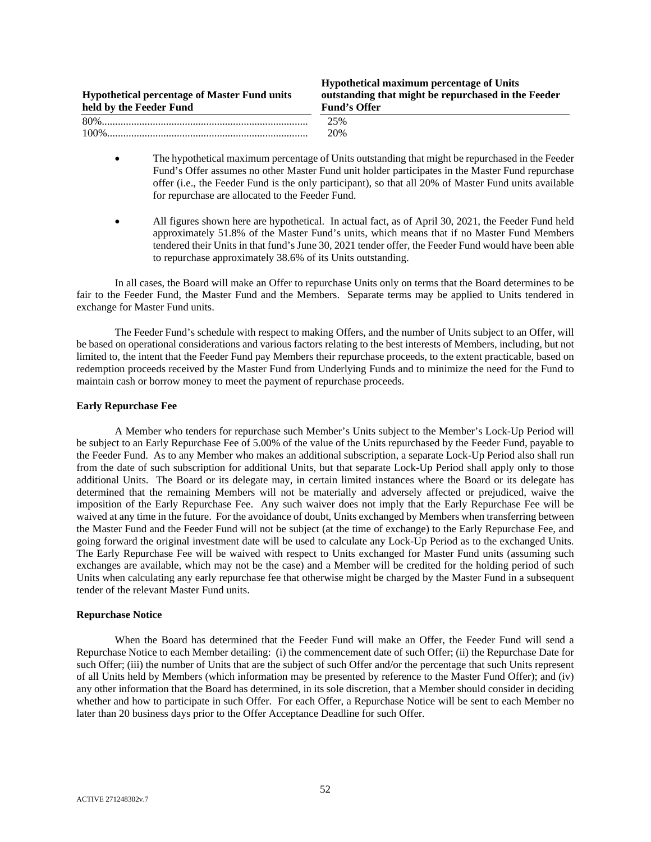| <b>Hypothetical percentage of Master Fund units</b><br>held by the Feeder Fund | <b>Hypothetical maximum percentage of Units</b><br>outstanding that might be repurchased in the Feeder<br><b>Fund's Offer</b> |
|--------------------------------------------------------------------------------|-------------------------------------------------------------------------------------------------------------------------------|
|                                                                                | 25%                                                                                                                           |
|                                                                                | 20%                                                                                                                           |

- The hypothetical maximum percentage of Units outstanding that might be repurchased in the Feeder Fund's Offer assumes no other Master Fund unit holder participates in the Master Fund repurchase offer (i.e., the Feeder Fund is the only participant), so that all 20% of Master Fund units available for repurchase are allocated to the Feeder Fund.
- All figures shown here are hypothetical. In actual fact, as of April 30, 2021, the Feeder Fund held approximately 51.8% of the Master Fund's units, which means that if no Master Fund Members tendered their Units in that fund's June 30, 2021 tender offer, the Feeder Fund would have been able to repurchase approximately 38.6% of its Units outstanding.

In all cases, the Board will make an Offer to repurchase Units only on terms that the Board determines to be fair to the Feeder Fund, the Master Fund and the Members. Separate terms may be applied to Units tendered in exchange for Master Fund units.

The Feeder Fund's schedule with respect to making Offers, and the number of Units subject to an Offer, will be based on operational considerations and various factors relating to the best interests of Members, including, but not limited to, the intent that the Feeder Fund pay Members their repurchase proceeds, to the extent practicable, based on redemption proceeds received by the Master Fund from Underlying Funds and to minimize the need for the Fund to maintain cash or borrow money to meet the payment of repurchase proceeds.

# **Early Repurchase Fee**

A Member who tenders for repurchase such Member's Units subject to the Member's Lock-Up Period will be subject to an Early Repurchase Fee of 5.00% of the value of the Units repurchased by the Feeder Fund, payable to the Feeder Fund. As to any Member who makes an additional subscription, a separate Lock-Up Period also shall run from the date of such subscription for additional Units, but that separate Lock-Up Period shall apply only to those additional Units. The Board or its delegate may, in certain limited instances where the Board or its delegate has determined that the remaining Members will not be materially and adversely affected or prejudiced, waive the imposition of the Early Repurchase Fee. Any such waiver does not imply that the Early Repurchase Fee will be waived at any time in the future. For the avoidance of doubt, Units exchanged by Members when transferring between the Master Fund and the Feeder Fund will not be subject (at the time of exchange) to the Early Repurchase Fee, and going forward the original investment date will be used to calculate any Lock-Up Period as to the exchanged Units. The Early Repurchase Fee will be waived with respect to Units exchanged for Master Fund units (assuming such exchanges are available, which may not be the case) and a Member will be credited for the holding period of such Units when calculating any early repurchase fee that otherwise might be charged by the Master Fund in a subsequent tender of the relevant Master Fund units.

## **Repurchase Notice**

When the Board has determined that the Feeder Fund will make an Offer, the Feeder Fund will send a Repurchase Notice to each Member detailing: (i) the commencement date of such Offer; (ii) the Repurchase Date for such Offer; (iii) the number of Units that are the subject of such Offer and/or the percentage that such Units represent of all Units held by Members (which information may be presented by reference to the Master Fund Offer); and (iv) any other information that the Board has determined, in its sole discretion, that a Member should consider in deciding whether and how to participate in such Offer. For each Offer, a Repurchase Notice will be sent to each Member no later than 20 business days prior to the Offer Acceptance Deadline for such Offer.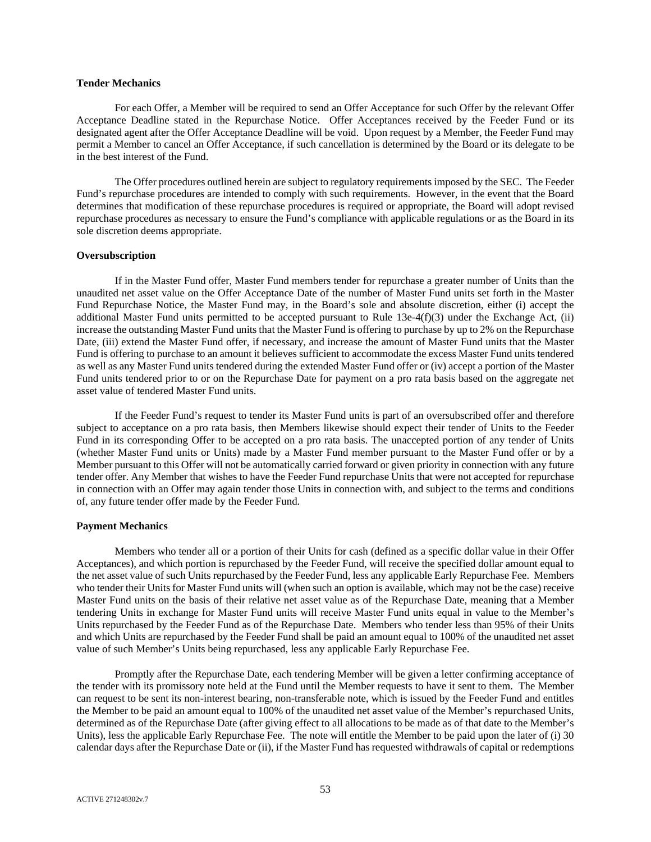## **Tender Mechanics**

For each Offer, a Member will be required to send an Offer Acceptance for such Offer by the relevant Offer Acceptance Deadline stated in the Repurchase Notice. Offer Acceptances received by the Feeder Fund or its designated agent after the Offer Acceptance Deadline will be void. Upon request by a Member, the Feeder Fund may permit a Member to cancel an Offer Acceptance, if such cancellation is determined by the Board or its delegate to be in the best interest of the Fund.

The Offer procedures outlined herein are subject to regulatory requirements imposed by the SEC. The Feeder Fund's repurchase procedures are intended to comply with such requirements. However, in the event that the Board determines that modification of these repurchase procedures is required or appropriate, the Board will adopt revised repurchase procedures as necessary to ensure the Fund's compliance with applicable regulations or as the Board in its sole discretion deems appropriate.

### **Oversubscription**

If in the Master Fund offer, Master Fund members tender for repurchase a greater number of Units than the unaudited net asset value on the Offer Acceptance Date of the number of Master Fund units set forth in the Master Fund Repurchase Notice, the Master Fund may, in the Board's sole and absolute discretion, either (i) accept the additional Master Fund units permitted to be accepted pursuant to Rule 13e-4(f)(3) under the Exchange Act, (ii) increase the outstanding Master Fund units that the Master Fund is offering to purchase by up to 2% on the Repurchase Date, (iii) extend the Master Fund offer, if necessary, and increase the amount of Master Fund units that the Master Fund is offering to purchase to an amount it believes sufficient to accommodate the excess Master Fund units tendered as well as any Master Fund units tendered during the extended Master Fund offer or (iv) accept a portion of the Master Fund units tendered prior to or on the Repurchase Date for payment on a pro rata basis based on the aggregate net asset value of tendered Master Fund units.

If the Feeder Fund's request to tender its Master Fund units is part of an oversubscribed offer and therefore subject to acceptance on a pro rata basis, then Members likewise should expect their tender of Units to the Feeder Fund in its corresponding Offer to be accepted on a pro rata basis. The unaccepted portion of any tender of Units (whether Master Fund units or Units) made by a Master Fund member pursuant to the Master Fund offer or by a Member pursuant to this Offer will not be automatically carried forward or given priority in connection with any future tender offer. Any Member that wishes to have the Feeder Fund repurchase Units that were not accepted for repurchase in connection with an Offer may again tender those Units in connection with, and subject to the terms and conditions of, any future tender offer made by the Feeder Fund.

### **Payment Mechanics**

Members who tender all or a portion of their Units for cash (defined as a specific dollar value in their Offer Acceptances), and which portion is repurchased by the Feeder Fund, will receive the specified dollar amount equal to the net asset value of such Units repurchased by the Feeder Fund, less any applicable Early Repurchase Fee. Members who tender their Units for Master Fund units will (when such an option is available, which may not be the case) receive Master Fund units on the basis of their relative net asset value as of the Repurchase Date, meaning that a Member tendering Units in exchange for Master Fund units will receive Master Fund units equal in value to the Member's Units repurchased by the Feeder Fund as of the Repurchase Date. Members who tender less than 95% of their Units and which Units are repurchased by the Feeder Fund shall be paid an amount equal to 100% of the unaudited net asset value of such Member's Units being repurchased, less any applicable Early Repurchase Fee.

Promptly after the Repurchase Date, each tendering Member will be given a letter confirming acceptance of the tender with its promissory note held at the Fund until the Member requests to have it sent to them. The Member can request to be sent its non-interest bearing, non-transferable note, which is issued by the Feeder Fund and entitles the Member to be paid an amount equal to 100% of the unaudited net asset value of the Member's repurchased Units, determined as of the Repurchase Date (after giving effect to all allocations to be made as of that date to the Member's Units), less the applicable Early Repurchase Fee. The note will entitle the Member to be paid upon the later of (i) 30 calendar days after the Repurchase Date or (ii), if the Master Fund has requested withdrawals of capital or redemptions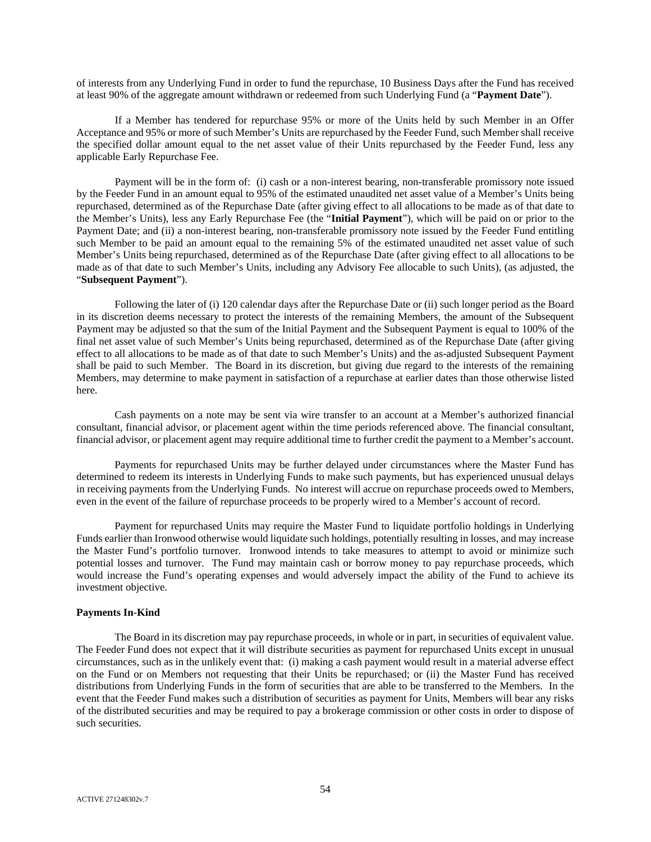of interests from any Underlying Fund in order to fund the repurchase, 10 Business Days after the Fund has received at least 90% of the aggregate amount withdrawn or redeemed from such Underlying Fund (a "**Payment Date**").

If a Member has tendered for repurchase 95% or more of the Units held by such Member in an Offer Acceptance and 95% or more of such Member's Units are repurchased by the Feeder Fund, such Member shall receive the specified dollar amount equal to the net asset value of their Units repurchased by the Feeder Fund, less any applicable Early Repurchase Fee.

Payment will be in the form of: (i) cash or a non-interest bearing, non-transferable promissory note issued by the Feeder Fund in an amount equal to 95% of the estimated unaudited net asset value of a Member's Units being repurchased, determined as of the Repurchase Date (after giving effect to all allocations to be made as of that date to the Member's Units), less any Early Repurchase Fee (the "**Initial Payment**"), which will be paid on or prior to the Payment Date; and (ii) a non-interest bearing, non-transferable promissory note issued by the Feeder Fund entitling such Member to be paid an amount equal to the remaining 5% of the estimated unaudited net asset value of such Member's Units being repurchased, determined as of the Repurchase Date (after giving effect to all allocations to be made as of that date to such Member's Units, including any Advisory Fee allocable to such Units), (as adjusted, the "**Subsequent Payment**").

Following the later of (i) 120 calendar days after the Repurchase Date or (ii) such longer period as the Board in its discretion deems necessary to protect the interests of the remaining Members, the amount of the Subsequent Payment may be adjusted so that the sum of the Initial Payment and the Subsequent Payment is equal to 100% of the final net asset value of such Member's Units being repurchased, determined as of the Repurchase Date (after giving effect to all allocations to be made as of that date to such Member's Units) and the as-adjusted Subsequent Payment shall be paid to such Member. The Board in its discretion, but giving due regard to the interests of the remaining Members, may determine to make payment in satisfaction of a repurchase at earlier dates than those otherwise listed here.

Cash payments on a note may be sent via wire transfer to an account at a Member's authorized financial consultant, financial advisor, or placement agent within the time periods referenced above. The financial consultant, financial advisor, or placement agent may require additional time to further credit the payment to a Member's account.

Payments for repurchased Units may be further delayed under circumstances where the Master Fund has determined to redeem its interests in Underlying Funds to make such payments, but has experienced unusual delays in receiving payments from the Underlying Funds. No interest will accrue on repurchase proceeds owed to Members, even in the event of the failure of repurchase proceeds to be properly wired to a Member's account of record.

Payment for repurchased Units may require the Master Fund to liquidate portfolio holdings in Underlying Funds earlier than Ironwood otherwise would liquidate such holdings, potentially resulting in losses, and may increase the Master Fund's portfolio turnover. Ironwood intends to take measures to attempt to avoid or minimize such potential losses and turnover. The Fund may maintain cash or borrow money to pay repurchase proceeds, which would increase the Fund's operating expenses and would adversely impact the ability of the Fund to achieve its investment objective.

## **Payments In-Kind**

The Board in its discretion may pay repurchase proceeds, in whole or in part, in securities of equivalent value. The Feeder Fund does not expect that it will distribute securities as payment for repurchased Units except in unusual circumstances, such as in the unlikely event that: (i) making a cash payment would result in a material adverse effect on the Fund or on Members not requesting that their Units be repurchased; or (ii) the Master Fund has received distributions from Underlying Funds in the form of securities that are able to be transferred to the Members. In the event that the Feeder Fund makes such a distribution of securities as payment for Units, Members will bear any risks of the distributed securities and may be required to pay a brokerage commission or other costs in order to dispose of such securities.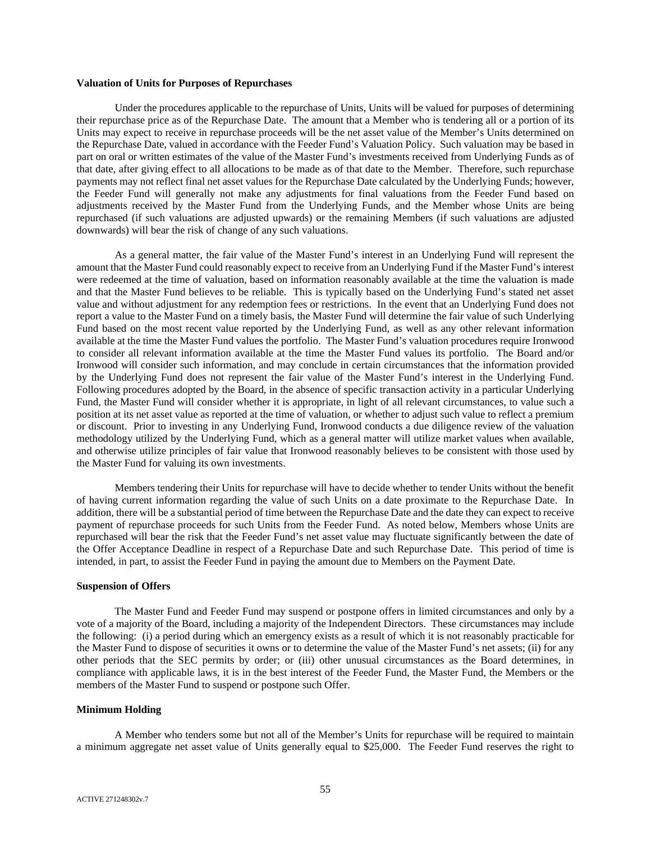#### **Valuation of Units for Purposes of Repurchases**

Under the procedures applicable to the repurchase of Units, Units will be valued for purposes of determining their repurchase price as of the Repurchase Date. The amount that a Member who is tendering all or a portion of its Units may expect to receive in repurchase proceeds will be the net asset value of the Member's Units determined on the Repurchase Date, valued in accordance with the Feeder Fund's Valuation Policy. Such valuation may be based in part on oral or written estimates of the value of the Master Fund's investments received from Underlying Funds as of that date, after giving effect to all allocations to be made as of that date to the Member. Therefore, such repurchase payments may not reflect final net asset values for the Repurchase Date calculated by the Underlying Funds; however, the Feeder Fund will generally not make any adjustments for final valuations from the Feeder Fund based on adjustments received by the Master Fund from the Underlying Funds, and the Member whose Units are being repurchased (if such valuations are adjusted upwards) or the remaining Members (if such valuations are adjusted downwards) will bear the risk of change of any such valuations.

As a general matter, the fair value of the Master Fund's interest in an Underlying Fund will represent the amount that the Master Fund could reasonably expect to receive from an Underlying Fund if the Master Fund's interest were redeemed at the time of valuation, based on information reasonably available at the time the valuation is made and that the Master Fund believes to be reliable. This is typically based on the Underlying Fund's stated net asset value and without adjustment for any redemption fees or restrictions. In the event that an Underlying Fund does not report a value to the Master Fund on a timely basis, the Master Fund will determine the fair value of such Underlying Fund based on the most recent value reported by the Underlying Fund, as well as any other relevant information available at the time the Master Fund values the portfolio. The Master Fund's valuation procedures require Ironwood to consider all relevant information available at the time the Master Fund values its portfolio. The Board and/or Ironwood will consider such information, and may conclude in certain circumstances that the information provided by the Underlying Fund does not represent the fair value of the Master Fund's interest in the Underlying Fund. Following procedures adopted by the Board, in the absence of specific transaction activity in a particular Underlying Fund, the Master Fund will consider whether it is appropriate, in light of all relevant circumstances, to value such a position at its net asset value as reported at the time of valuation, or whether to adjust such value to reflect a premium or discount. Prior to investing in any Underlying Fund, Ironwood conducts a due diligence review of the valuation methodology utilized by the Underlying Fund, which as a general matter will utilize market values when available, and otherwise utilize principles of fair value that Ironwood reasonably believes to be consistent with those used by the Master Fund for valuing its own investments.

Members tendering their Units for repurchase will have to decide whether to tender Units without the benefit of having current information regarding the value of such Units on a date proximate to the Repurchase Date. In addition, there will be a substantial period of time between the Repurchase Date and the date they can expect to receive payment of repurchase proceeds for such Units from the Feeder Fund. As noted below, Members whose Units are repurchased will bear the risk that the Feeder Fund's net asset value may fluctuate significantly between the date of the Offer Acceptance Deadline in respect of a Repurchase Date and such Repurchase Date. This period of time is intended, in part, to assist the Feeder Fund in paying the amount due to Members on the Payment Date.

#### **Suspension of Offers**

The Master Fund and Feeder Fund may suspend or postpone offers in limited circumstances and only by a vote of a majority of the Board, including a majority of the Independent Directors. These circumstances may include the following: (i) a period during which an emergency exists as a result of which it is not reasonably practicable for the Master Fund to dispose of securities it owns or to determine the value of the Master Fund's net assets; (ii) for any other periods that the SEC permits by order; or (iii) other unusual circumstances as the Board determines, in compliance with applicable laws, it is in the best interest of the Feeder Fund, the Master Fund, the Members or the members of the Master Fund to suspend or postpone such Offer.

### **Minimum Holding**

A Member who tenders some but not all of the Member's Units for repurchase will be required to maintain a minimum aggregate net asset value of Units generally equal to \$25,000. The Feeder Fund reserves the right to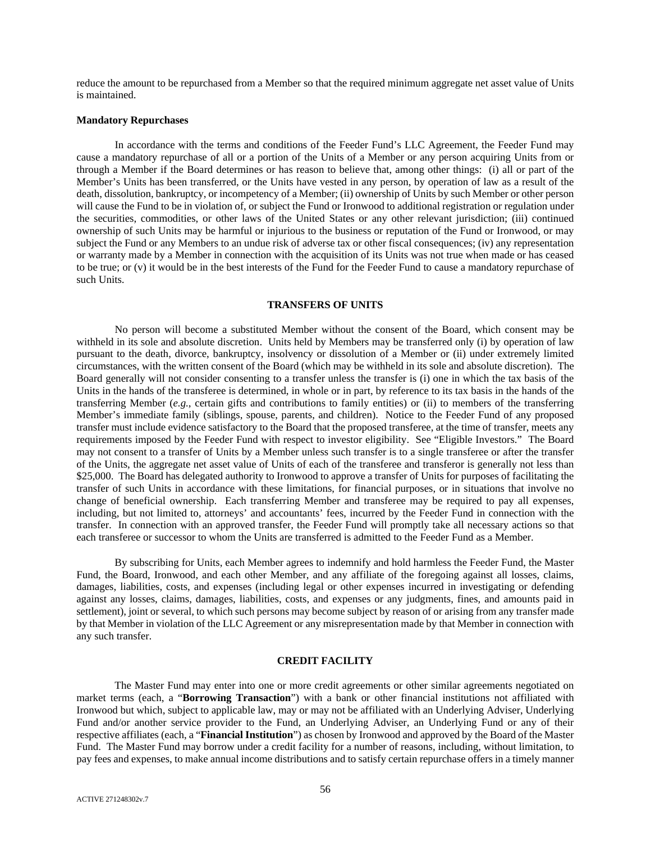reduce the amount to be repurchased from a Member so that the required minimum aggregate net asset value of Units is maintained.

### **Mandatory Repurchases**

In accordance with the terms and conditions of the Feeder Fund's LLC Agreement, the Feeder Fund may cause a mandatory repurchase of all or a portion of the Units of a Member or any person acquiring Units from or through a Member if the Board determines or has reason to believe that, among other things: (i) all or part of the Member's Units has been transferred, or the Units have vested in any person, by operation of law as a result of the death, dissolution, bankruptcy, or incompetency of a Member; (ii) ownership of Units by such Member or other person will cause the Fund to be in violation of, or subject the Fund or Ironwood to additional registration or regulation under the securities, commodities, or other laws of the United States or any other relevant jurisdiction; (iii) continued ownership of such Units may be harmful or injurious to the business or reputation of the Fund or Ironwood, or may subject the Fund or any Members to an undue risk of adverse tax or other fiscal consequences; (iv) any representation or warranty made by a Member in connection with the acquisition of its Units was not true when made or has ceased to be true; or (v) it would be in the best interests of the Fund for the Feeder Fund to cause a mandatory repurchase of such Units.

## **TRANSFERS OF UNITS**

No person will become a substituted Member without the consent of the Board, which consent may be withheld in its sole and absolute discretion. Units held by Members may be transferred only (i) by operation of law pursuant to the death, divorce, bankruptcy, insolvency or dissolution of a Member or (ii) under extremely limited circumstances, with the written consent of the Board (which may be withheld in its sole and absolute discretion). The Board generally will not consider consenting to a transfer unless the transfer is (i) one in which the tax basis of the Units in the hands of the transferee is determined, in whole or in part, by reference to its tax basis in the hands of the transferring Member (*e.g.*, certain gifts and contributions to family entities) or (ii) to members of the transferring Member's immediate family (siblings, spouse, parents, and children). Notice to the Feeder Fund of any proposed transfer must include evidence satisfactory to the Board that the proposed transferee, at the time of transfer, meets any requirements imposed by the Feeder Fund with respect to investor eligibility. See "Eligible Investors." The Board may not consent to a transfer of Units by a Member unless such transfer is to a single transferee or after the transfer of the Units, the aggregate net asset value of Units of each of the transferee and transferor is generally not less than \$25,000. The Board has delegated authority to Ironwood to approve a transfer of Units for purposes of facilitating the transfer of such Units in accordance with these limitations, for financial purposes, or in situations that involve no change of beneficial ownership. Each transferring Member and transferee may be required to pay all expenses, including, but not limited to, attorneys' and accountants' fees, incurred by the Feeder Fund in connection with the transfer. In connection with an approved transfer, the Feeder Fund will promptly take all necessary actions so that each transferee or successor to whom the Units are transferred is admitted to the Feeder Fund as a Member.

By subscribing for Units, each Member agrees to indemnify and hold harmless the Feeder Fund, the Master Fund, the Board, Ironwood, and each other Member, and any affiliate of the foregoing against all losses, claims, damages, liabilities, costs, and expenses (including legal or other expenses incurred in investigating or defending against any losses, claims, damages, liabilities, costs, and expenses or any judgments, fines, and amounts paid in settlement), joint or several, to which such persons may become subject by reason of or arising from any transfer made by that Member in violation of the LLC Agreement or any misrepresentation made by that Member in connection with any such transfer.

# **CREDIT FACILITY**

The Master Fund may enter into one or more credit agreements or other similar agreements negotiated on market terms (each, a "**Borrowing Transaction**") with a bank or other financial institutions not affiliated with Ironwood but which, subject to applicable law, may or may not be affiliated with an Underlying Adviser, Underlying Fund and/or another service provider to the Fund, an Underlying Adviser, an Underlying Fund or any of their respective affiliates (each, a "**Financial Institution**") as chosen by Ironwood and approved by the Board of the Master Fund. The Master Fund may borrow under a credit facility for a number of reasons, including, without limitation, to pay fees and expenses, to make annual income distributions and to satisfy certain repurchase offers in a timely manner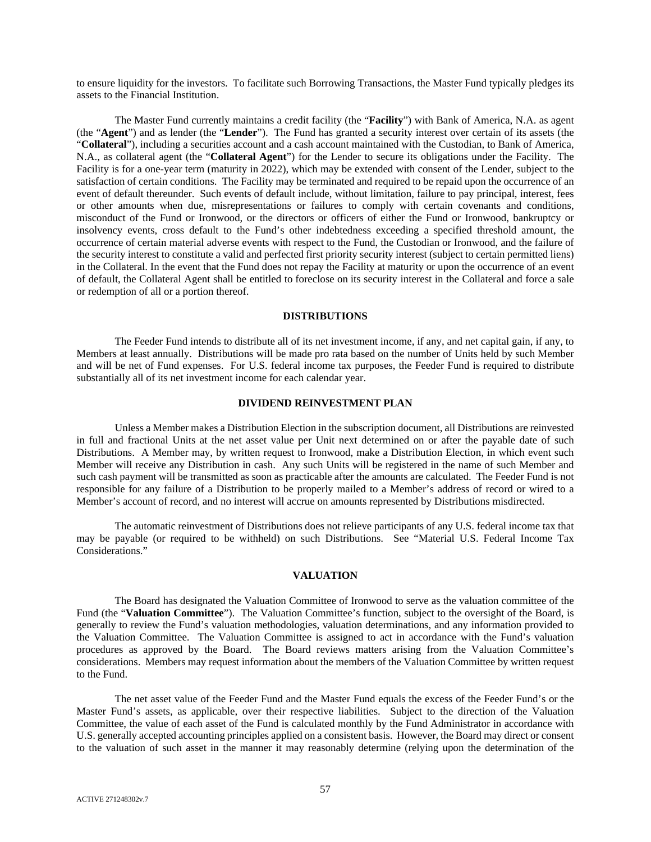to ensure liquidity for the investors. To facilitate such Borrowing Transactions, the Master Fund typically pledges its assets to the Financial Institution.

The Master Fund currently maintains a credit facility (the "**Facility**") with Bank of America, N.A. as agent (the "**Agent**") and as lender (the "**Lender**"). The Fund has granted a security interest over certain of its assets (the "**Collateral**"), including a securities account and a cash account maintained with the Custodian, to Bank of America, N.A., as collateral agent (the "**Collateral Agent**") for the Lender to secure its obligations under the Facility. The Facility is for a one-year term (maturity in 2022), which may be extended with consent of the Lender, subject to the satisfaction of certain conditions. The Facility may be terminated and required to be repaid upon the occurrence of an event of default thereunder. Such events of default include, without limitation, failure to pay principal, interest, fees or other amounts when due, misrepresentations or failures to comply with certain covenants and conditions, misconduct of the Fund or Ironwood, or the directors or officers of either the Fund or Ironwood, bankruptcy or insolvency events, cross default to the Fund's other indebtedness exceeding a specified threshold amount, the occurrence of certain material adverse events with respect to the Fund, the Custodian or Ironwood, and the failure of the security interest to constitute a valid and perfected first priority security interest (subject to certain permitted liens) in the Collateral. In the event that the Fund does not repay the Facility at maturity or upon the occurrence of an event of default, the Collateral Agent shall be entitled to foreclose on its security interest in the Collateral and force a sale or redemption of all or a portion thereof.

# **DISTRIBUTIONS**

The Feeder Fund intends to distribute all of its net investment income, if any, and net capital gain, if any, to Members at least annually. Distributions will be made pro rata based on the number of Units held by such Member and will be net of Fund expenses. For U.S. federal income tax purposes, the Feeder Fund is required to distribute substantially all of its net investment income for each calendar year.

# **DIVIDEND REINVESTMENT PLAN**

Unless a Member makes a Distribution Election in the subscription document, all Distributions are reinvested in full and fractional Units at the net asset value per Unit next determined on or after the payable date of such Distributions. A Member may, by written request to Ironwood, make a Distribution Election, in which event such Member will receive any Distribution in cash. Any such Units will be registered in the name of such Member and such cash payment will be transmitted as soon as practicable after the amounts are calculated. The Feeder Fund is not responsible for any failure of a Distribution to be properly mailed to a Member's address of record or wired to a Member's account of record, and no interest will accrue on amounts represented by Distributions misdirected.

The automatic reinvestment of Distributions does not relieve participants of any U.S. federal income tax that may be payable (or required to be withheld) on such Distributions. See "Material U.S. Federal Income Tax Considerations."

#### **VALUATION**

The Board has designated the Valuation Committee of Ironwood to serve as the valuation committee of the Fund (the "**Valuation Committee**"). The Valuation Committee's function, subject to the oversight of the Board, is generally to review the Fund's valuation methodologies, valuation determinations, and any information provided to the Valuation Committee. The Valuation Committee is assigned to act in accordance with the Fund's valuation procedures as approved by the Board. The Board reviews matters arising from the Valuation Committee's considerations. Members may request information about the members of the Valuation Committee by written request to the Fund.

The net asset value of the Feeder Fund and the Master Fund equals the excess of the Feeder Fund's or the Master Fund's assets, as applicable, over their respective liabilities. Subject to the direction of the Valuation Committee, the value of each asset of the Fund is calculated monthly by the Fund Administrator in accordance with U.S. generally accepted accounting principles applied on a consistent basis. However, the Board may direct or consent to the valuation of such asset in the manner it may reasonably determine (relying upon the determination of the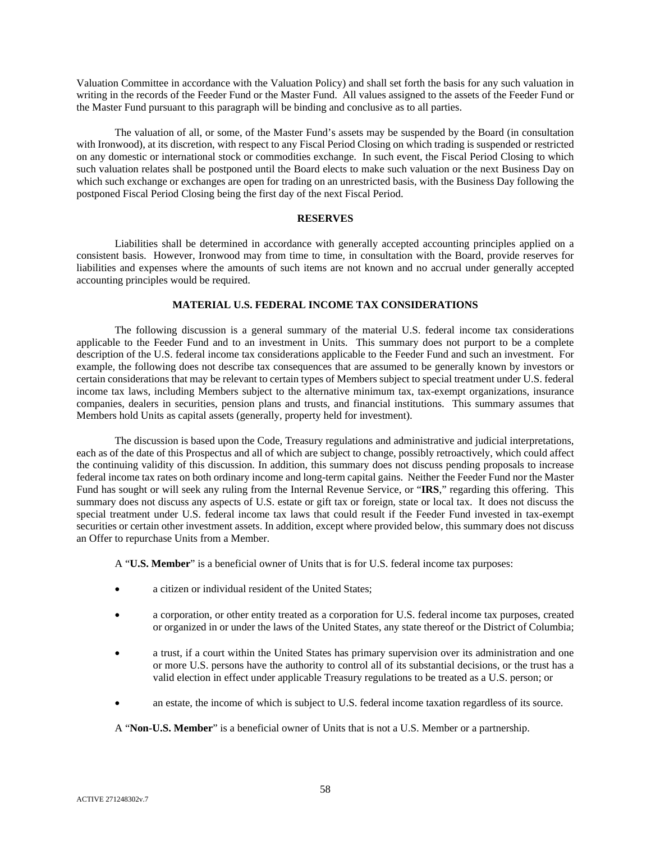Valuation Committee in accordance with the Valuation Policy) and shall set forth the basis for any such valuation in writing in the records of the Feeder Fund or the Master Fund. All values assigned to the assets of the Feeder Fund or the Master Fund pursuant to this paragraph will be binding and conclusive as to all parties.

The valuation of all, or some, of the Master Fund's assets may be suspended by the Board (in consultation with Ironwood), at its discretion, with respect to any Fiscal Period Closing on which trading is suspended or restricted on any domestic or international stock or commodities exchange. In such event, the Fiscal Period Closing to which such valuation relates shall be postponed until the Board elects to make such valuation or the next Business Day on which such exchange or exchanges are open for trading on an unrestricted basis, with the Business Day following the postponed Fiscal Period Closing being the first day of the next Fiscal Period.

# **RESERVES**

Liabilities shall be determined in accordance with generally accepted accounting principles applied on a consistent basis. However, Ironwood may from time to time, in consultation with the Board, provide reserves for liabilities and expenses where the amounts of such items are not known and no accrual under generally accepted accounting principles would be required.

## **MATERIAL U.S. FEDERAL INCOME TAX CONSIDERATIONS**

The following discussion is a general summary of the material U.S. federal income tax considerations applicable to the Feeder Fund and to an investment in Units. This summary does not purport to be a complete description of the U.S. federal income tax considerations applicable to the Feeder Fund and such an investment. For example, the following does not describe tax consequences that are assumed to be generally known by investors or certain considerations that may be relevant to certain types of Members subject to special treatment under U.S. federal income tax laws, including Members subject to the alternative minimum tax, tax-exempt organizations, insurance companies, dealers in securities, pension plans and trusts, and financial institutions. This summary assumes that Members hold Units as capital assets (generally, property held for investment).

The discussion is based upon the Code, Treasury regulations and administrative and judicial interpretations, each as of the date of this Prospectus and all of which are subject to change, possibly retroactively, which could affect the continuing validity of this discussion. In addition, this summary does not discuss pending proposals to increase federal income tax rates on both ordinary income and long-term capital gains. Neither the Feeder Fund nor the Master Fund has sought or will seek any ruling from the Internal Revenue Service, or "**IRS**," regarding this offering. This summary does not discuss any aspects of U.S. estate or gift tax or foreign, state or local tax. It does not discuss the special treatment under U.S. federal income tax laws that could result if the Feeder Fund invested in tax-exempt securities or certain other investment assets. In addition, except where provided below, this summary does not discuss an Offer to repurchase Units from a Member.

A "**U.S. Member**" is a beneficial owner of Units that is for U.S. federal income tax purposes:

- a citizen or individual resident of the United States;
- a corporation, or other entity treated as a corporation for U.S. federal income tax purposes, created or organized in or under the laws of the United States, any state thereof or the District of Columbia;
- a trust, if a court within the United States has primary supervision over its administration and one or more U.S. persons have the authority to control all of its substantial decisions, or the trust has a valid election in effect under applicable Treasury regulations to be treated as a U.S. person; or
- an estate, the income of which is subject to U.S. federal income taxation regardless of its source.

A "**Non-U.S. Member**" is a beneficial owner of Units that is not a U.S. Member or a partnership.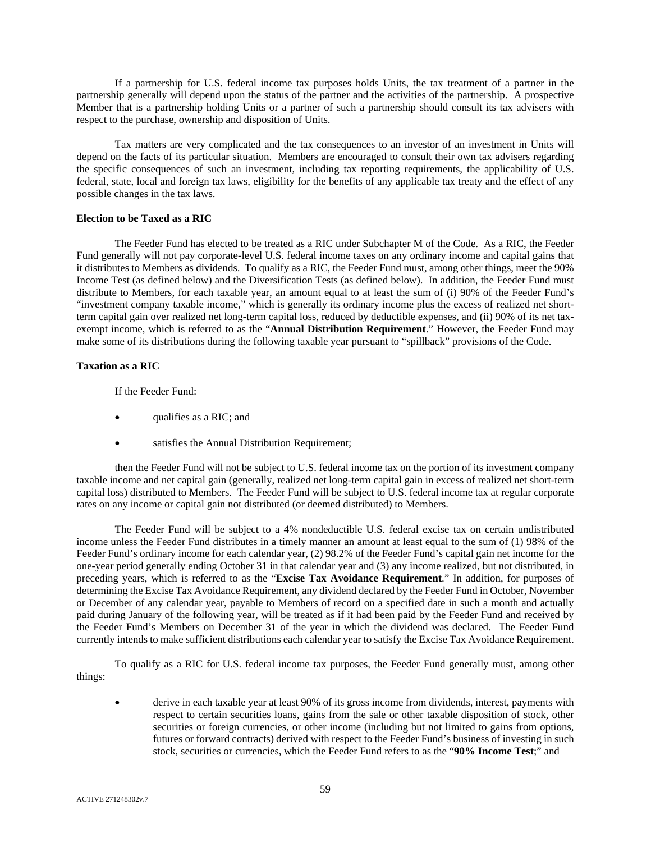If a partnership for U.S. federal income tax purposes holds Units, the tax treatment of a partner in the partnership generally will depend upon the status of the partner and the activities of the partnership. A prospective Member that is a partnership holding Units or a partner of such a partnership should consult its tax advisers with respect to the purchase, ownership and disposition of Units.

Tax matters are very complicated and the tax consequences to an investor of an investment in Units will depend on the facts of its particular situation. Members are encouraged to consult their own tax advisers regarding the specific consequences of such an investment, including tax reporting requirements, the applicability of U.S. federal, state, local and foreign tax laws, eligibility for the benefits of any applicable tax treaty and the effect of any possible changes in the tax laws.

## **Election to be Taxed as a RIC**

The Feeder Fund has elected to be treated as a RIC under Subchapter M of the Code. As a RIC, the Feeder Fund generally will not pay corporate-level U.S. federal income taxes on any ordinary income and capital gains that it distributes to Members as dividends. To qualify as a RIC, the Feeder Fund must, among other things, meet the 90% Income Test (as defined below) and the Diversification Tests (as defined below). In addition, the Feeder Fund must distribute to Members, for each taxable year, an amount equal to at least the sum of (i) 90% of the Feeder Fund's "investment company taxable income," which is generally its ordinary income plus the excess of realized net shortterm capital gain over realized net long-term capital loss, reduced by deductible expenses, and (ii) 90% of its net taxexempt income, which is referred to as the "**Annual Distribution Requirement**." However, the Feeder Fund may make some of its distributions during the following taxable year pursuant to "spillback" provisions of the Code.

### **Taxation as a RIC**

If the Feeder Fund:

- qualifies as a RIC; and
- satisfies the Annual Distribution Requirement;

then the Feeder Fund will not be subject to U.S. federal income tax on the portion of its investment company taxable income and net capital gain (generally, realized net long-term capital gain in excess of realized net short-term capital loss) distributed to Members. The Feeder Fund will be subject to U.S. federal income tax at regular corporate rates on any income or capital gain not distributed (or deemed distributed) to Members.

The Feeder Fund will be subject to a 4% nondeductible U.S. federal excise tax on certain undistributed income unless the Feeder Fund distributes in a timely manner an amount at least equal to the sum of (1) 98% of the Feeder Fund's ordinary income for each calendar year, (2) 98.2% of the Feeder Fund's capital gain net income for the one-year period generally ending October 31 in that calendar year and (3) any income realized, but not distributed, in preceding years, which is referred to as the "**Excise Tax Avoidance Requirement**." In addition, for purposes of determining the Excise Tax Avoidance Requirement, any dividend declared by the Feeder Fund in October, November or December of any calendar year, payable to Members of record on a specified date in such a month and actually paid during January of the following year, will be treated as if it had been paid by the Feeder Fund and received by the Feeder Fund's Members on December 31 of the year in which the dividend was declared. The Feeder Fund currently intends to make sufficient distributions each calendar year to satisfy the Excise Tax Avoidance Requirement.

To qualify as a RIC for U.S. federal income tax purposes, the Feeder Fund generally must, among other things:

• derive in each taxable year at least 90% of its gross income from dividends, interest, payments with respect to certain securities loans, gains from the sale or other taxable disposition of stock, other securities or foreign currencies, or other income (including but not limited to gains from options, futures or forward contracts) derived with respect to the Feeder Fund's business of investing in such stock, securities or currencies, which the Feeder Fund refers to as the "**90% Income Test**;" and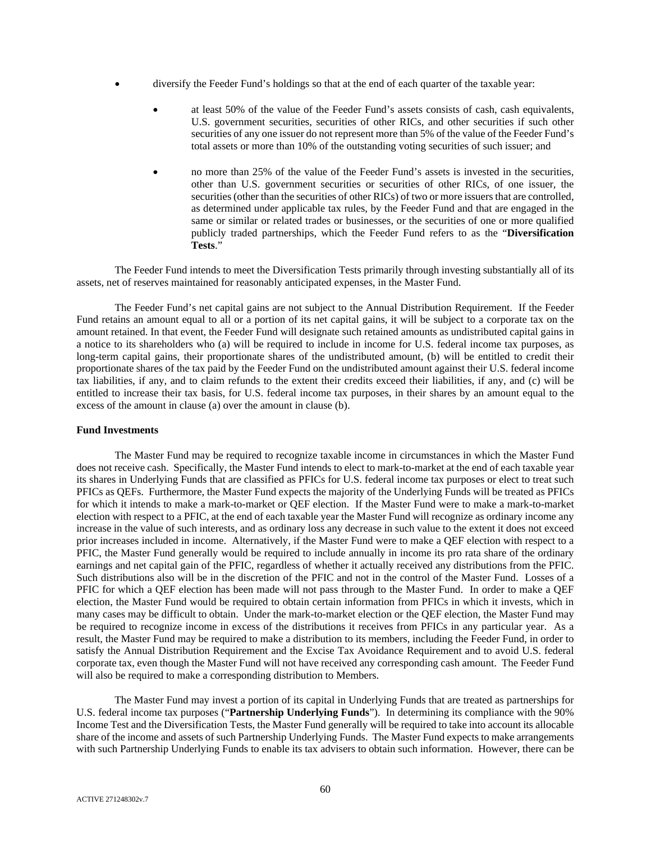- diversify the Feeder Fund's holdings so that at the end of each quarter of the taxable year:
	- at least 50% of the value of the Feeder Fund's assets consists of cash, cash equivalents, U.S. government securities, securities of other RICs, and other securities if such other securities of any one issuer do not represent more than 5% of the value of the Feeder Fund's total assets or more than 10% of the outstanding voting securities of such issuer; and
	- no more than 25% of the value of the Feeder Fund's assets is invested in the securities, other than U.S. government securities or securities of other RICs, of one issuer, the securities (other than the securities of other RICs) of two or more issuers that are controlled, as determined under applicable tax rules, by the Feeder Fund and that are engaged in the same or similar or related trades or businesses, or the securities of one or more qualified publicly traded partnerships, which the Feeder Fund refers to as the "**Diversification Tests**."

The Feeder Fund intends to meet the Diversification Tests primarily through investing substantially all of its assets, net of reserves maintained for reasonably anticipated expenses, in the Master Fund.

The Feeder Fund's net capital gains are not subject to the Annual Distribution Requirement. If the Feeder Fund retains an amount equal to all or a portion of its net capital gains, it will be subject to a corporate tax on the amount retained. In that event, the Feeder Fund will designate such retained amounts as undistributed capital gains in a notice to its shareholders who (a) will be required to include in income for U.S. federal income tax purposes, as long-term capital gains, their proportionate shares of the undistributed amount, (b) will be entitled to credit their proportionate shares of the tax paid by the Feeder Fund on the undistributed amount against their U.S. federal income tax liabilities, if any, and to claim refunds to the extent their credits exceed their liabilities, if any, and (c) will be entitled to increase their tax basis, for U.S. federal income tax purposes, in their shares by an amount equal to the excess of the amount in clause (a) over the amount in clause (b).

## **Fund Investments**

The Master Fund may be required to recognize taxable income in circumstances in which the Master Fund does not receive cash. Specifically, the Master Fund intends to elect to mark-to-market at the end of each taxable year its shares in Underlying Funds that are classified as PFICs for U.S. federal income tax purposes or elect to treat such PFICs as QEFs. Furthermore, the Master Fund expects the majority of the Underlying Funds will be treated as PFICs for which it intends to make a mark-to-market or QEF election. If the Master Fund were to make a mark-to-market election with respect to a PFIC, at the end of each taxable year the Master Fund will recognize as ordinary income any increase in the value of such interests, and as ordinary loss any decrease in such value to the extent it does not exceed prior increases included in income. Alternatively, if the Master Fund were to make a QEF election with respect to a PFIC, the Master Fund generally would be required to include annually in income its pro rata share of the ordinary earnings and net capital gain of the PFIC, regardless of whether it actually received any distributions from the PFIC. Such distributions also will be in the discretion of the PFIC and not in the control of the Master Fund. Losses of a PFIC for which a QEF election has been made will not pass through to the Master Fund. In order to make a QEF election, the Master Fund would be required to obtain certain information from PFICs in which it invests, which in many cases may be difficult to obtain. Under the mark-to-market election or the QEF election, the Master Fund may be required to recognize income in excess of the distributions it receives from PFICs in any particular year. As a result, the Master Fund may be required to make a distribution to its members, including the Feeder Fund, in order to satisfy the Annual Distribution Requirement and the Excise Tax Avoidance Requirement and to avoid U.S. federal corporate tax, even though the Master Fund will not have received any corresponding cash amount. The Feeder Fund will also be required to make a corresponding distribution to Members.

The Master Fund may invest a portion of its capital in Underlying Funds that are treated as partnerships for U.S. federal income tax purposes ("**Partnership Underlying Funds**"). In determining its compliance with the 90% Income Test and the Diversification Tests, the Master Fund generally will be required to take into account its allocable share of the income and assets of such Partnership Underlying Funds. The Master Fund expects to make arrangements with such Partnership Underlying Funds to enable its tax advisers to obtain such information. However, there can be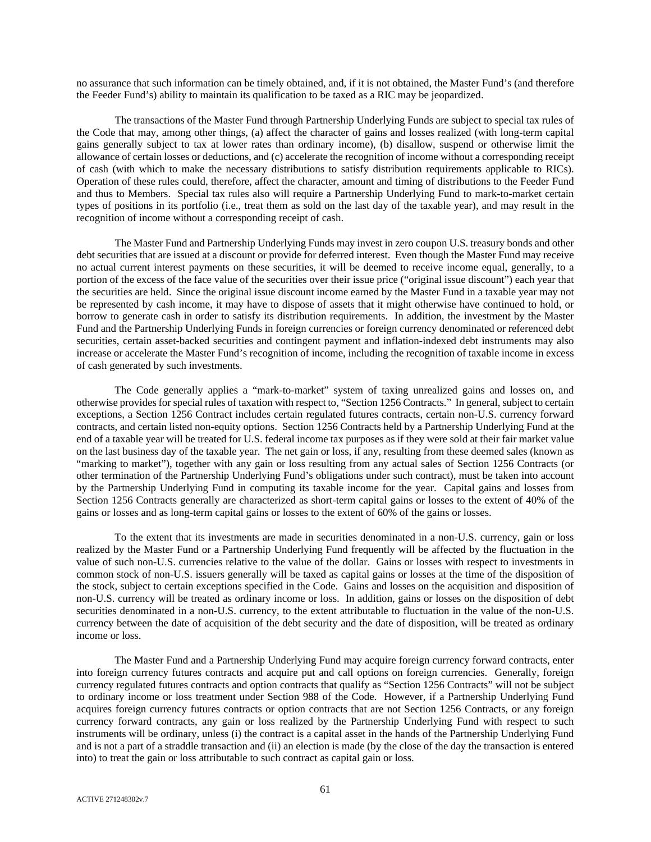no assurance that such information can be timely obtained, and, if it is not obtained, the Master Fund's (and therefore the Feeder Fund's) ability to maintain its qualification to be taxed as a RIC may be jeopardized.

The transactions of the Master Fund through Partnership Underlying Funds are subject to special tax rules of the Code that may, among other things, (a) affect the character of gains and losses realized (with long-term capital gains generally subject to tax at lower rates than ordinary income), (b) disallow, suspend or otherwise limit the allowance of certain losses or deductions, and (c) accelerate the recognition of income without a corresponding receipt of cash (with which to make the necessary distributions to satisfy distribution requirements applicable to RICs). Operation of these rules could, therefore, affect the character, amount and timing of distributions to the Feeder Fund and thus to Members. Special tax rules also will require a Partnership Underlying Fund to mark-to-market certain types of positions in its portfolio (i.e., treat them as sold on the last day of the taxable year), and may result in the recognition of income without a corresponding receipt of cash.

The Master Fund and Partnership Underlying Funds may invest in zero coupon U.S. treasury bonds and other debt securities that are issued at a discount or provide for deferred interest. Even though the Master Fund may receive no actual current interest payments on these securities, it will be deemed to receive income equal, generally, to a portion of the excess of the face value of the securities over their issue price ("original issue discount") each year that the securities are held. Since the original issue discount income earned by the Master Fund in a taxable year may not be represented by cash income, it may have to dispose of assets that it might otherwise have continued to hold, or borrow to generate cash in order to satisfy its distribution requirements. In addition, the investment by the Master Fund and the Partnership Underlying Funds in foreign currencies or foreign currency denominated or referenced debt securities, certain asset-backed securities and contingent payment and inflation-indexed debt instruments may also increase or accelerate the Master Fund's recognition of income, including the recognition of taxable income in excess of cash generated by such investments.

The Code generally applies a "mark-to-market" system of taxing unrealized gains and losses on, and otherwise provides for special rules of taxation with respect to, "Section 1256 Contracts." In general, subject to certain exceptions, a Section 1256 Contract includes certain regulated futures contracts, certain non-U.S. currency forward contracts, and certain listed non-equity options. Section 1256 Contracts held by a Partnership Underlying Fund at the end of a taxable year will be treated for U.S. federal income tax purposes as if they were sold at their fair market value on the last business day of the taxable year. The net gain or loss, if any, resulting from these deemed sales (known as "marking to market"), together with any gain or loss resulting from any actual sales of Section 1256 Contracts (or other termination of the Partnership Underlying Fund's obligations under such contract), must be taken into account by the Partnership Underlying Fund in computing its taxable income for the year. Capital gains and losses from Section 1256 Contracts generally are characterized as short-term capital gains or losses to the extent of 40% of the gains or losses and as long-term capital gains or losses to the extent of 60% of the gains or losses.

To the extent that its investments are made in securities denominated in a non-U.S. currency, gain or loss realized by the Master Fund or a Partnership Underlying Fund frequently will be affected by the fluctuation in the value of such non-U.S. currencies relative to the value of the dollar. Gains or losses with respect to investments in common stock of non-U.S. issuers generally will be taxed as capital gains or losses at the time of the disposition of the stock, subject to certain exceptions specified in the Code. Gains and losses on the acquisition and disposition of non-U.S. currency will be treated as ordinary income or loss. In addition, gains or losses on the disposition of debt securities denominated in a non-U.S. currency, to the extent attributable to fluctuation in the value of the non-U.S. currency between the date of acquisition of the debt security and the date of disposition, will be treated as ordinary income or loss.

The Master Fund and a Partnership Underlying Fund may acquire foreign currency forward contracts, enter into foreign currency futures contracts and acquire put and call options on foreign currencies. Generally, foreign currency regulated futures contracts and option contracts that qualify as "Section 1256 Contracts" will not be subject to ordinary income or loss treatment under Section 988 of the Code. However, if a Partnership Underlying Fund acquires foreign currency futures contracts or option contracts that are not Section 1256 Contracts, or any foreign currency forward contracts, any gain or loss realized by the Partnership Underlying Fund with respect to such instruments will be ordinary, unless (i) the contract is a capital asset in the hands of the Partnership Underlying Fund and is not a part of a straddle transaction and (ii) an election is made (by the close of the day the transaction is entered into) to treat the gain or loss attributable to such contract as capital gain or loss.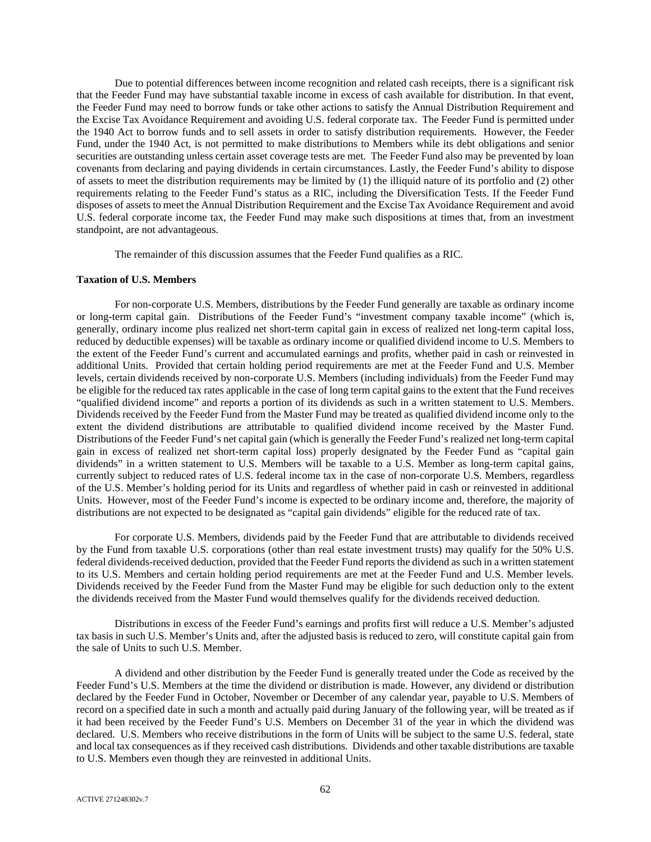Due to potential differences between income recognition and related cash receipts, there is a significant risk that the Feeder Fund may have substantial taxable income in excess of cash available for distribution. In that event, the Feeder Fund may need to borrow funds or take other actions to satisfy the Annual Distribution Requirement and the Excise Tax Avoidance Requirement and avoiding U.S. federal corporate tax. The Feeder Fund is permitted under the 1940 Act to borrow funds and to sell assets in order to satisfy distribution requirements. However, the Feeder Fund, under the 1940 Act, is not permitted to make distributions to Members while its debt obligations and senior securities are outstanding unless certain asset coverage tests are met. The Feeder Fund also may be prevented by loan covenants from declaring and paying dividends in certain circumstances. Lastly, the Feeder Fund's ability to dispose of assets to meet the distribution requirements may be limited by (1) the illiquid nature of its portfolio and (2) other requirements relating to the Feeder Fund's status as a RIC, including the Diversification Tests. If the Feeder Fund disposes of assets to meet the Annual Distribution Requirement and the Excise Tax Avoidance Requirement and avoid U.S. federal corporate income tax, the Feeder Fund may make such dispositions at times that, from an investment standpoint, are not advantageous.

The remainder of this discussion assumes that the Feeder Fund qualifies as a RIC.

## **Taxation of U.S. Members**

For non-corporate U.S. Members, distributions by the Feeder Fund generally are taxable as ordinary income or long-term capital gain. Distributions of the Feeder Fund's "investment company taxable income" (which is, generally, ordinary income plus realized net short-term capital gain in excess of realized net long-term capital loss, reduced by deductible expenses) will be taxable as ordinary income or qualified dividend income to U.S. Members to the extent of the Feeder Fund's current and accumulated earnings and profits, whether paid in cash or reinvested in additional Units. Provided that certain holding period requirements are met at the Feeder Fund and U.S. Member levels, certain dividends received by non-corporate U.S. Members (including individuals) from the Feeder Fund may be eligible for the reduced tax rates applicable in the case of long term capital gains to the extent that the Fund receives "qualified dividend income" and reports a portion of its dividends as such in a written statement to U.S. Members. Dividends received by the Feeder Fund from the Master Fund may be treated as qualified dividend income only to the extent the dividend distributions are attributable to qualified dividend income received by the Master Fund. Distributions of the Feeder Fund's net capital gain (which is generally the Feeder Fund's realized net long-term capital gain in excess of realized net short-term capital loss) properly designated by the Feeder Fund as "capital gain dividends" in a written statement to U.S. Members will be taxable to a U.S. Member as long-term capital gains, currently subject to reduced rates of U.S. federal income tax in the case of non-corporate U.S. Members, regardless of the U.S. Member's holding period for its Units and regardless of whether paid in cash or reinvested in additional Units. However, most of the Feeder Fund's income is expected to be ordinary income and, therefore, the majority of distributions are not expected to be designated as "capital gain dividends" eligible for the reduced rate of tax.

For corporate U.S. Members, dividends paid by the Feeder Fund that are attributable to dividends received by the Fund from taxable U.S. corporations (other than real estate investment trusts) may qualify for the 50% U.S. federal dividends-received deduction, provided that the Feeder Fund reports the dividend as such in a written statement to its U.S. Members and certain holding period requirements are met at the Feeder Fund and U.S. Member levels. Dividends received by the Feeder Fund from the Master Fund may be eligible for such deduction only to the extent the dividends received from the Master Fund would themselves qualify for the dividends received deduction.

Distributions in excess of the Feeder Fund's earnings and profits first will reduce a U.S. Member's adjusted tax basis in such U.S. Member's Units and, after the adjusted basis is reduced to zero, will constitute capital gain from the sale of Units to such U.S. Member.

A dividend and other distribution by the Feeder Fund is generally treated under the Code as received by the Feeder Fund's U.S. Members at the time the dividend or distribution is made. However, any dividend or distribution declared by the Feeder Fund in October, November or December of any calendar year, payable to U.S. Members of record on a specified date in such a month and actually paid during January of the following year, will be treated as if it had been received by the Feeder Fund's U.S. Members on December 31 of the year in which the dividend was declared. U.S. Members who receive distributions in the form of Units will be subject to the same U.S. federal, state and local tax consequences as if they received cash distributions. Dividends and other taxable distributions are taxable to U.S. Members even though they are reinvested in additional Units.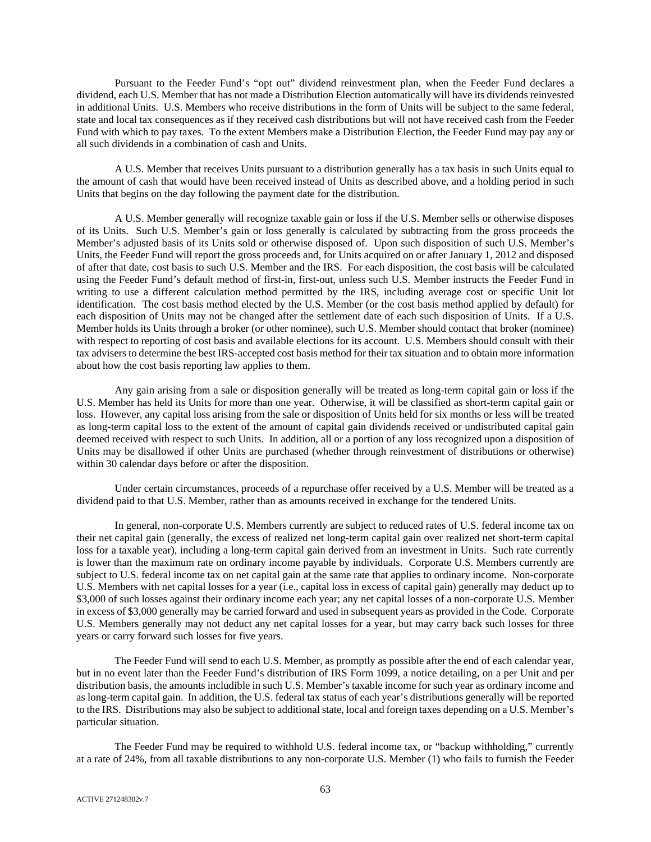Pursuant to the Feeder Fund's "opt out" dividend reinvestment plan, when the Feeder Fund declares a dividend, each U.S. Member that has not made a Distribution Election automatically will have its dividends reinvested in additional Units. U.S. Members who receive distributions in the form of Units will be subject to the same federal, state and local tax consequences as if they received cash distributions but will not have received cash from the Feeder Fund with which to pay taxes. To the extent Members make a Distribution Election, the Feeder Fund may pay any or all such dividends in a combination of cash and Units.

A U.S. Member that receives Units pursuant to a distribution generally has a tax basis in such Units equal to the amount of cash that would have been received instead of Units as described above, and a holding period in such Units that begins on the day following the payment date for the distribution.

A U.S. Member generally will recognize taxable gain or loss if the U.S. Member sells or otherwise disposes of its Units. Such U.S. Member's gain or loss generally is calculated by subtracting from the gross proceeds the Member's adjusted basis of its Units sold or otherwise disposed of. Upon such disposition of such U.S. Member's Units, the Feeder Fund will report the gross proceeds and, for Units acquired on or after January 1, 2012 and disposed of after that date, cost basis to such U.S. Member and the IRS. For each disposition, the cost basis will be calculated using the Feeder Fund's default method of first-in, first-out, unless such U.S. Member instructs the Feeder Fund in writing to use a different calculation method permitted by the IRS, including average cost or specific Unit lot identification. The cost basis method elected by the U.S. Member (or the cost basis method applied by default) for each disposition of Units may not be changed after the settlement date of each such disposition of Units. If a U.S. Member holds its Units through a broker (or other nominee), such U.S. Member should contact that broker (nominee) with respect to reporting of cost basis and available elections for its account. U.S. Members should consult with their tax advisers to determine the best IRS-accepted cost basis method for their tax situation and to obtain more information about how the cost basis reporting law applies to them.

Any gain arising from a sale or disposition generally will be treated as long-term capital gain or loss if the U.S. Member has held its Units for more than one year. Otherwise, it will be classified as short-term capital gain or loss. However, any capital loss arising from the sale or disposition of Units held for six months or less will be treated as long-term capital loss to the extent of the amount of capital gain dividends received or undistributed capital gain deemed received with respect to such Units. In addition, all or a portion of any loss recognized upon a disposition of Units may be disallowed if other Units are purchased (whether through reinvestment of distributions or otherwise) within 30 calendar days before or after the disposition.

Under certain circumstances, proceeds of a repurchase offer received by a U.S. Member will be treated as a dividend paid to that U.S. Member, rather than as amounts received in exchange for the tendered Units.

In general, non-corporate U.S. Members currently are subject to reduced rates of U.S. federal income tax on their net capital gain (generally, the excess of realized net long-term capital gain over realized net short-term capital loss for a taxable year), including a long-term capital gain derived from an investment in Units. Such rate currently is lower than the maximum rate on ordinary income payable by individuals. Corporate U.S. Members currently are subject to U.S. federal income tax on net capital gain at the same rate that applies to ordinary income. Non-corporate U.S. Members with net capital losses for a year (i.e., capital loss in excess of capital gain) generally may deduct up to \$3,000 of such losses against their ordinary income each year; any net capital losses of a non-corporate U.S. Member in excess of \$3,000 generally may be carried forward and used in subsequent years as provided in the Code. Corporate U.S. Members generally may not deduct any net capital losses for a year, but may carry back such losses for three years or carry forward such losses for five years.

The Feeder Fund will send to each U.S. Member, as promptly as possible after the end of each calendar year, but in no event later than the Feeder Fund's distribution of IRS Form 1099, a notice detailing, on a per Unit and per distribution basis, the amounts includible in such U.S. Member's taxable income for such year as ordinary income and as long-term capital gain. In addition, the U.S. federal tax status of each year's distributions generally will be reported to the IRS. Distributions may also be subject to additional state, local and foreign taxes depending on a U.S. Member's particular situation.

The Feeder Fund may be required to withhold U.S. federal income tax, or "backup withholding," currently at a rate of 24%, from all taxable distributions to any non-corporate U.S. Member (1) who fails to furnish the Feeder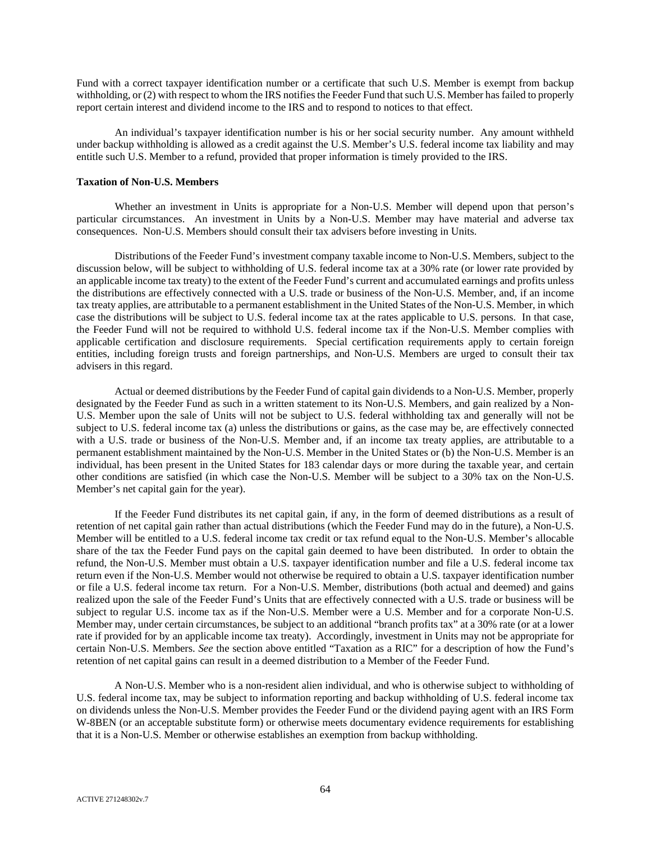Fund with a correct taxpayer identification number or a certificate that such U.S. Member is exempt from backup withholding, or (2) with respect to whom the IRS notifies the Feeder Fund that such U.S. Member has failed to properly report certain interest and dividend income to the IRS and to respond to notices to that effect.

An individual's taxpayer identification number is his or her social security number. Any amount withheld under backup withholding is allowed as a credit against the U.S. Member's U.S. federal income tax liability and may entitle such U.S. Member to a refund, provided that proper information is timely provided to the IRS.

# **Taxation of Non-U.S. Members**

Whether an investment in Units is appropriate for a Non-U.S. Member will depend upon that person's particular circumstances. An investment in Units by a Non-U.S. Member may have material and adverse tax consequences. Non-U.S. Members should consult their tax advisers before investing in Units.

Distributions of the Feeder Fund's investment company taxable income to Non-U.S. Members, subject to the discussion below, will be subject to withholding of U.S. federal income tax at a 30% rate (or lower rate provided by an applicable income tax treaty) to the extent of the Feeder Fund's current and accumulated earnings and profits unless the distributions are effectively connected with a U.S. trade or business of the Non-U.S. Member, and, if an income tax treaty applies, are attributable to a permanent establishment in the United States of the Non-U.S. Member, in which case the distributions will be subject to U.S. federal income tax at the rates applicable to U.S. persons. In that case, the Feeder Fund will not be required to withhold U.S. federal income tax if the Non-U.S. Member complies with applicable certification and disclosure requirements. Special certification requirements apply to certain foreign entities, including foreign trusts and foreign partnerships, and Non-U.S. Members are urged to consult their tax advisers in this regard.

Actual or deemed distributions by the Feeder Fund of capital gain dividends to a Non-U.S. Member, properly designated by the Feeder Fund as such in a written statement to its Non-U.S. Members, and gain realized by a Non-U.S. Member upon the sale of Units will not be subject to U.S. federal withholding tax and generally will not be subject to U.S. federal income tax (a) unless the distributions or gains, as the case may be, are effectively connected with a U.S. trade or business of the Non-U.S. Member and, if an income tax treaty applies, are attributable to a permanent establishment maintained by the Non-U.S. Member in the United States or (b) the Non-U.S. Member is an individual, has been present in the United States for 183 calendar days or more during the taxable year, and certain other conditions are satisfied (in which case the Non-U.S. Member will be subject to a 30% tax on the Non-U.S. Member's net capital gain for the year).

If the Feeder Fund distributes its net capital gain, if any, in the form of deemed distributions as a result of retention of net capital gain rather than actual distributions (which the Feeder Fund may do in the future), a Non-U.S. Member will be entitled to a U.S. federal income tax credit or tax refund equal to the Non-U.S. Member's allocable share of the tax the Feeder Fund pays on the capital gain deemed to have been distributed. In order to obtain the refund, the Non-U.S. Member must obtain a U.S. taxpayer identification number and file a U.S. federal income tax return even if the Non-U.S. Member would not otherwise be required to obtain a U.S. taxpayer identification number or file a U.S. federal income tax return. For a Non-U.S. Member, distributions (both actual and deemed) and gains realized upon the sale of the Feeder Fund's Units that are effectively connected with a U.S. trade or business will be subject to regular U.S. income tax as if the Non-U.S. Member were a U.S. Member and for a corporate Non-U.S. Member may, under certain circumstances, be subject to an additional "branch profits tax" at a 30% rate (or at a lower rate if provided for by an applicable income tax treaty). Accordingly, investment in Units may not be appropriate for certain Non-U.S. Members. *See* the section above entitled "Taxation as a RIC" for a description of how the Fund's retention of net capital gains can result in a deemed distribution to a Member of the Feeder Fund.

A Non-U.S. Member who is a non-resident alien individual, and who is otherwise subject to withholding of U.S. federal income tax, may be subject to information reporting and backup withholding of U.S. federal income tax on dividends unless the Non-U.S. Member provides the Feeder Fund or the dividend paying agent with an IRS Form W-8BEN (or an acceptable substitute form) or otherwise meets documentary evidence requirements for establishing that it is a Non-U.S. Member or otherwise establishes an exemption from backup withholding.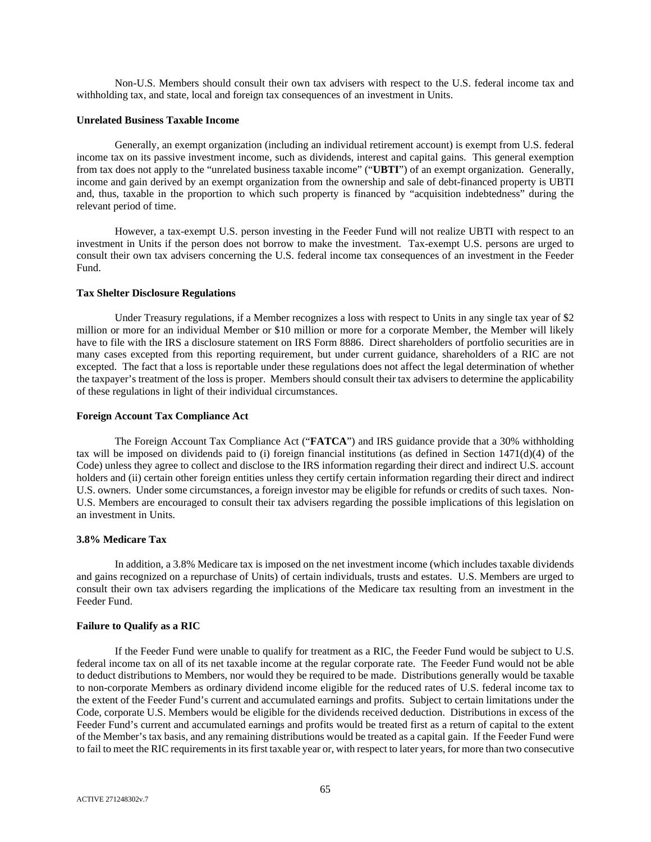Non-U.S. Members should consult their own tax advisers with respect to the U.S. federal income tax and withholding tax, and state, local and foreign tax consequences of an investment in Units.

### **Unrelated Business Taxable Income**

Generally, an exempt organization (including an individual retirement account) is exempt from U.S. federal income tax on its passive investment income, such as dividends, interest and capital gains. This general exemption from tax does not apply to the "unrelated business taxable income" ("**UBTI**") of an exempt organization. Generally, income and gain derived by an exempt organization from the ownership and sale of debt-financed property is UBTI and, thus, taxable in the proportion to which such property is financed by "acquisition indebtedness" during the relevant period of time.

However, a tax-exempt U.S. person investing in the Feeder Fund will not realize UBTI with respect to an investment in Units if the person does not borrow to make the investment. Tax-exempt U.S. persons are urged to consult their own tax advisers concerning the U.S. federal income tax consequences of an investment in the Feeder Fund.

## **Tax Shelter Disclosure Regulations**

Under Treasury regulations, if a Member recognizes a loss with respect to Units in any single tax year of \$2 million or more for an individual Member or \$10 million or more for a corporate Member, the Member will likely have to file with the IRS a disclosure statement on IRS Form 8886. Direct shareholders of portfolio securities are in many cases excepted from this reporting requirement, but under current guidance, shareholders of a RIC are not excepted. The fact that a loss is reportable under these regulations does not affect the legal determination of whether the taxpayer's treatment of the loss is proper. Members should consult their tax advisers to determine the applicability of these regulations in light of their individual circumstances.

### **Foreign Account Tax Compliance Act**

The Foreign Account Tax Compliance Act ("**FATCA**") and IRS guidance provide that a 30% withholding tax will be imposed on dividends paid to (i) foreign financial institutions (as defined in Section 1471(d)(4) of the Code) unless they agree to collect and disclose to the IRS information regarding their direct and indirect U.S. account holders and (ii) certain other foreign entities unless they certify certain information regarding their direct and indirect U.S. owners. Under some circumstances, a foreign investor may be eligible for refunds or credits of such taxes. Non-U.S. Members are encouraged to consult their tax advisers regarding the possible implications of this legislation on an investment in Units.

### **3.8% Medicare Tax**

In addition, a 3.8% Medicare tax is imposed on the net investment income (which includes taxable dividends and gains recognized on a repurchase of Units) of certain individuals, trusts and estates. U.S. Members are urged to consult their own tax advisers regarding the implications of the Medicare tax resulting from an investment in the Feeder Fund.

## **Failure to Qualify as a RIC**

If the Feeder Fund were unable to qualify for treatment as a RIC, the Feeder Fund would be subject to U.S. federal income tax on all of its net taxable income at the regular corporate rate. The Feeder Fund would not be able to deduct distributions to Members, nor would they be required to be made. Distributions generally would be taxable to non-corporate Members as ordinary dividend income eligible for the reduced rates of U.S. federal income tax to the extent of the Feeder Fund's current and accumulated earnings and profits. Subject to certain limitations under the Code, corporate U.S. Members would be eligible for the dividends received deduction. Distributions in excess of the Feeder Fund's current and accumulated earnings and profits would be treated first as a return of capital to the extent of the Member's tax basis, and any remaining distributions would be treated as a capital gain. If the Feeder Fund were to fail to meet the RIC requirements in its first taxable year or, with respect to later years, for more than two consecutive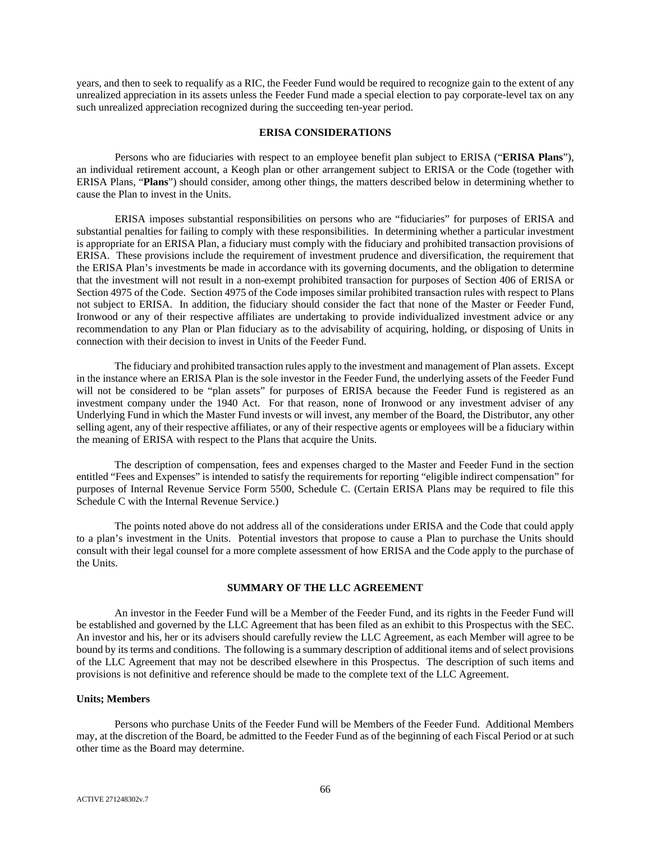years, and then to seek to requalify as a RIC, the Feeder Fund would be required to recognize gain to the extent of any unrealized appreciation in its assets unless the Feeder Fund made a special election to pay corporate-level tax on any such unrealized appreciation recognized during the succeeding ten-year period.

# **ERISA CONSIDERATIONS**

Persons who are fiduciaries with respect to an employee benefit plan subject to ERISA ("**ERISA Plans**"), an individual retirement account, a Keogh plan or other arrangement subject to ERISA or the Code (together with ERISA Plans, "**Plans**") should consider, among other things, the matters described below in determining whether to cause the Plan to invest in the Units.

ERISA imposes substantial responsibilities on persons who are "fiduciaries" for purposes of ERISA and substantial penalties for failing to comply with these responsibilities. In determining whether a particular investment is appropriate for an ERISA Plan, a fiduciary must comply with the fiduciary and prohibited transaction provisions of ERISA. These provisions include the requirement of investment prudence and diversification, the requirement that the ERISA Plan's investments be made in accordance with its governing documents, and the obligation to determine that the investment will not result in a non-exempt prohibited transaction for purposes of Section 406 of ERISA or Section 4975 of the Code. Section 4975 of the Code imposes similar prohibited transaction rules with respect to Plans not subject to ERISA. In addition, the fiduciary should consider the fact that none of the Master or Feeder Fund, Ironwood or any of their respective affiliates are undertaking to provide individualized investment advice or any recommendation to any Plan or Plan fiduciary as to the advisability of acquiring, holding, or disposing of Units in connection with their decision to invest in Units of the Feeder Fund.

The fiduciary and prohibited transaction rules apply to the investment and management of Plan assets. Except in the instance where an ERISA Plan is the sole investor in the Feeder Fund, the underlying assets of the Feeder Fund will not be considered to be "plan assets" for purposes of ERISA because the Feeder Fund is registered as an investment company under the 1940 Act. For that reason, none of Ironwood or any investment adviser of any Underlying Fund in which the Master Fund invests or will invest, any member of the Board, the Distributor, any other selling agent, any of their respective affiliates, or any of their respective agents or employees will be a fiduciary within the meaning of ERISA with respect to the Plans that acquire the Units.

The description of compensation, fees and expenses charged to the Master and Feeder Fund in the section entitled "Fees and Expenses" is intended to satisfy the requirements for reporting "eligible indirect compensation" for purposes of Internal Revenue Service Form 5500, Schedule C. (Certain ERISA Plans may be required to file this Schedule C with the Internal Revenue Service.)

The points noted above do not address all of the considerations under ERISA and the Code that could apply to a plan's investment in the Units. Potential investors that propose to cause a Plan to purchase the Units should consult with their legal counsel for a more complete assessment of how ERISA and the Code apply to the purchase of the Units.

# **SUMMARY OF THE LLC AGREEMENT**

An investor in the Feeder Fund will be a Member of the Feeder Fund, and its rights in the Feeder Fund will be established and governed by the LLC Agreement that has been filed as an exhibit to this Prospectus with the SEC. An investor and his, her or its advisers should carefully review the LLC Agreement, as each Member will agree to be bound by its terms and conditions. The following is a summary description of additional items and of select provisions of the LLC Agreement that may not be described elsewhere in this Prospectus. The description of such items and provisions is not definitive and reference should be made to the complete text of the LLC Agreement.

#### **Units; Members**

Persons who purchase Units of the Feeder Fund will be Members of the Feeder Fund. Additional Members may, at the discretion of the Board, be admitted to the Feeder Fund as of the beginning of each Fiscal Period or at such other time as the Board may determine.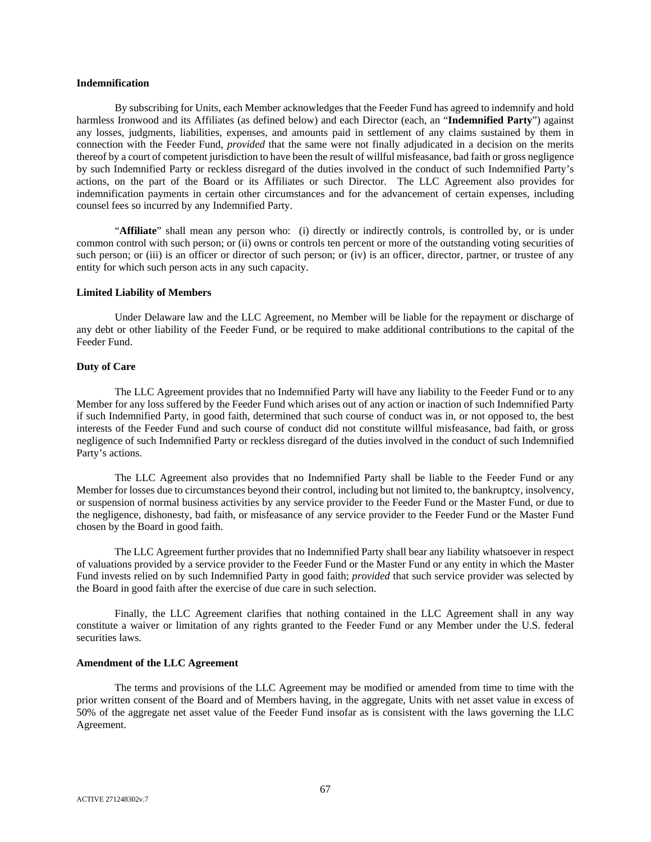## **Indemnification**

By subscribing for Units, each Member acknowledges that the Feeder Fund has agreed to indemnify and hold harmless Ironwood and its Affiliates (as defined below) and each Director (each, an "**Indemnified Party**") against any losses, judgments, liabilities, expenses, and amounts paid in settlement of any claims sustained by them in connection with the Feeder Fund, *provided* that the same were not finally adjudicated in a decision on the merits thereof by a court of competent jurisdiction to have been the result of willful misfeasance, bad faith or gross negligence by such Indemnified Party or reckless disregard of the duties involved in the conduct of such Indemnified Party's actions, on the part of the Board or its Affiliates or such Director. The LLC Agreement also provides for indemnification payments in certain other circumstances and for the advancement of certain expenses, including counsel fees so incurred by any Indemnified Party.

"**Affiliate**" shall mean any person who: (i) directly or indirectly controls, is controlled by, or is under common control with such person; or (ii) owns or controls ten percent or more of the outstanding voting securities of such person; or (iii) is an officer or director of such person; or (iv) is an officer, director, partner, or trustee of any entity for which such person acts in any such capacity.

### **Limited Liability of Members**

Under Delaware law and the LLC Agreement, no Member will be liable for the repayment or discharge of any debt or other liability of the Feeder Fund, or be required to make additional contributions to the capital of the Feeder Fund.

#### **Duty of Care**

The LLC Agreement provides that no Indemnified Party will have any liability to the Feeder Fund or to any Member for any loss suffered by the Feeder Fund which arises out of any action or inaction of such Indemnified Party if such Indemnified Party, in good faith, determined that such course of conduct was in, or not opposed to, the best interests of the Feeder Fund and such course of conduct did not constitute willful misfeasance, bad faith, or gross negligence of such Indemnified Party or reckless disregard of the duties involved in the conduct of such Indemnified Party's actions.

The LLC Agreement also provides that no Indemnified Party shall be liable to the Feeder Fund or any Member for losses due to circumstances beyond their control, including but not limited to, the bankruptcy, insolvency, or suspension of normal business activities by any service provider to the Feeder Fund or the Master Fund, or due to the negligence, dishonesty, bad faith, or misfeasance of any service provider to the Feeder Fund or the Master Fund chosen by the Board in good faith.

The LLC Agreement further provides that no Indemnified Party shall bear any liability whatsoever in respect of valuations provided by a service provider to the Feeder Fund or the Master Fund or any entity in which the Master Fund invests relied on by such Indemnified Party in good faith; *provided* that such service provider was selected by the Board in good faith after the exercise of due care in such selection.

Finally, the LLC Agreement clarifies that nothing contained in the LLC Agreement shall in any way constitute a waiver or limitation of any rights granted to the Feeder Fund or any Member under the U.S. federal securities laws.

### **Amendment of the LLC Agreement**

The terms and provisions of the LLC Agreement may be modified or amended from time to time with the prior written consent of the Board and of Members having, in the aggregate, Units with net asset value in excess of 50% of the aggregate net asset value of the Feeder Fund insofar as is consistent with the laws governing the LLC Agreement.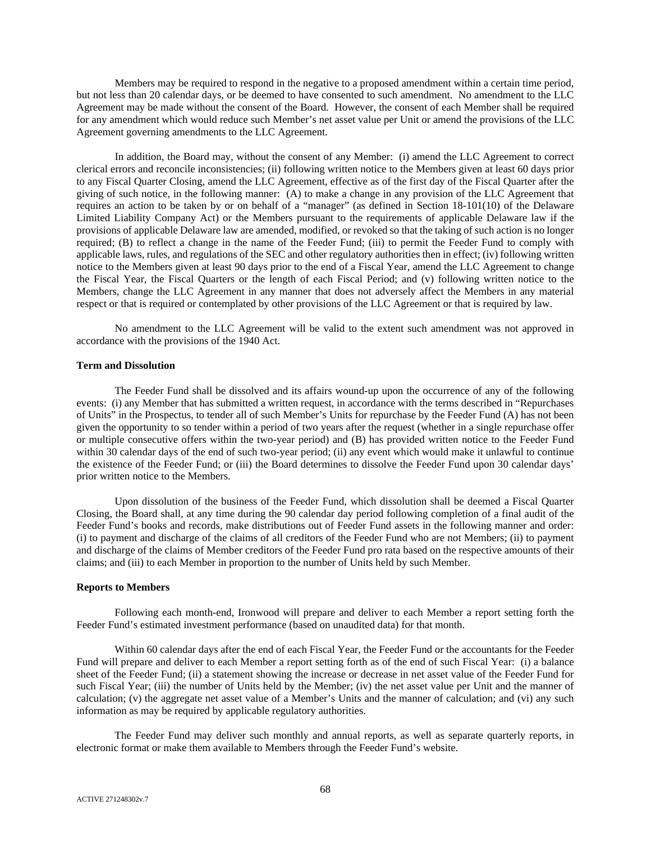Members may be required to respond in the negative to a proposed amendment within a certain time period, but not less than 20 calendar days, or be deemed to have consented to such amendment. No amendment to the LLC Agreement may be made without the consent of the Board. However, the consent of each Member shall be required for any amendment which would reduce such Member's net asset value per Unit or amend the provisions of the LLC Agreement governing amendments to the LLC Agreement.

In addition, the Board may, without the consent of any Member: (i) amend the LLC Agreement to correct clerical errors and reconcile inconsistencies; (ii) following written notice to the Members given at least 60 days prior to any Fiscal Quarter Closing, amend the LLC Agreement, effective as of the first day of the Fiscal Quarter after the giving of such notice, in the following manner: (A) to make a change in any provision of the LLC Agreement that requires an action to be taken by or on behalf of a "manager" (as defined in Section 18-101(10) of the Delaware Limited Liability Company Act) or the Members pursuant to the requirements of applicable Delaware law if the provisions of applicable Delaware law are amended, modified, or revoked so that the taking of such action is no longer required; (B) to reflect a change in the name of the Feeder Fund; (iii) to permit the Feeder Fund to comply with applicable laws, rules, and regulations of the SEC and other regulatory authorities then in effect; (iv) following written notice to the Members given at least 90 days prior to the end of a Fiscal Year, amend the LLC Agreement to change the Fiscal Year, the Fiscal Quarters or the length of each Fiscal Period; and (v) following written notice to the Members, change the LLC Agreement in any manner that does not adversely affect the Members in any material respect or that is required or contemplated by other provisions of the LLC Agreement or that is required by law.

No amendment to the LLC Agreement will be valid to the extent such amendment was not approved in accordance with the provisions of the 1940 Act.

# **Term and Dissolution**

The Feeder Fund shall be dissolved and its affairs wound-up upon the occurrence of any of the following events: (i) any Member that has submitted a written request, in accordance with the terms described in "Repurchases of Units" in the Prospectus, to tender all of such Member's Units for repurchase by the Feeder Fund (A) has not been given the opportunity to so tender within a period of two years after the request (whether in a single repurchase offer or multiple consecutive offers within the two-year period) and (B) has provided written notice to the Feeder Fund within 30 calendar days of the end of such two-year period; (ii) any event which would make it unlawful to continue the existence of the Feeder Fund; or (iii) the Board determines to dissolve the Feeder Fund upon 30 calendar days' prior written notice to the Members.

Upon dissolution of the business of the Feeder Fund, which dissolution shall be deemed a Fiscal Quarter Closing, the Board shall, at any time during the 90 calendar day period following completion of a final audit of the Feeder Fund's books and records, make distributions out of Feeder Fund assets in the following manner and order: (i) to payment and discharge of the claims of all creditors of the Feeder Fund who are not Members; (ii) to payment and discharge of the claims of Member creditors of the Feeder Fund pro rata based on the respective amounts of their claims; and (iii) to each Member in proportion to the number of Units held by such Member.

#### **Reports to Members**

Following each month-end, Ironwood will prepare and deliver to each Member a report setting forth the Feeder Fund's estimated investment performance (based on unaudited data) for that month.

Within 60 calendar days after the end of each Fiscal Year, the Feeder Fund or the accountants for the Feeder Fund will prepare and deliver to each Member a report setting forth as of the end of such Fiscal Year: (i) a balance sheet of the Feeder Fund; (ii) a statement showing the increase or decrease in net asset value of the Feeder Fund for such Fiscal Year; (iii) the number of Units held by the Member; (iv) the net asset value per Unit and the manner of calculation; (v) the aggregate net asset value of a Member's Units and the manner of calculation; and (vi) any such information as may be required by applicable regulatory authorities.

The Feeder Fund may deliver such monthly and annual reports, as well as separate quarterly reports, in electronic format or make them available to Members through the Feeder Fund's website.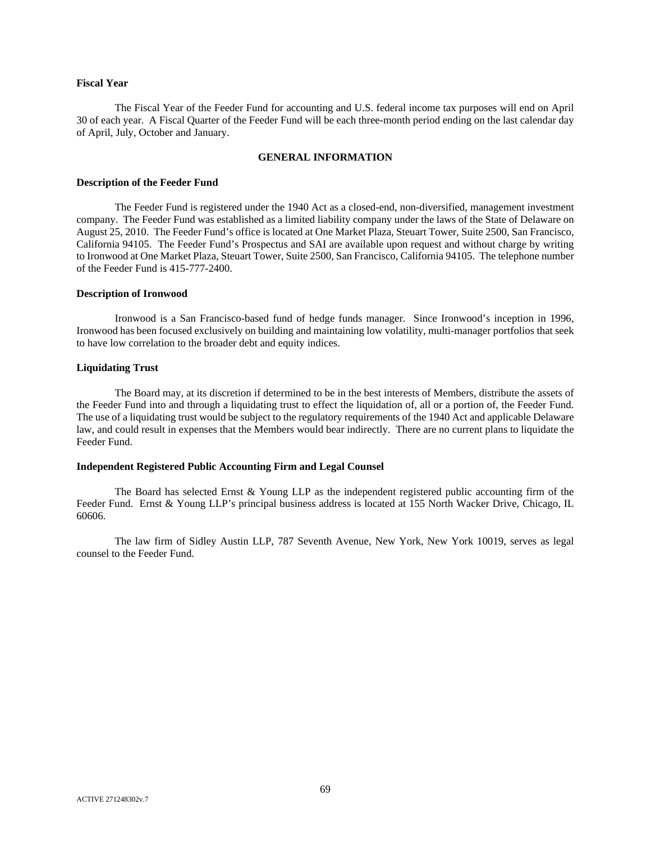# **Fiscal Year**

The Fiscal Year of the Feeder Fund for accounting and U.S. federal income tax purposes will end on April 30 of each year. A Fiscal Quarter of the Feeder Fund will be each three-month period ending on the last calendar day of April, July, October and January.

# **GENERAL INFORMATION**

#### **Description of the Feeder Fund**

The Feeder Fund is registered under the 1940 Act as a closed-end, non-diversified, management investment company. The Feeder Fund was established as a limited liability company under the laws of the State of Delaware on August 25, 2010. The Feeder Fund's office is located at One Market Plaza, Steuart Tower, Suite 2500, San Francisco, California 94105. The Feeder Fund's Prospectus and SAI are available upon request and without charge by writing to Ironwood at One Market Plaza, Steuart Tower, Suite 2500, San Francisco, California 94105. The telephone number of the Feeder Fund is 415-777-2400.

#### **Description of Ironwood**

Ironwood is a San Francisco-based fund of hedge funds manager. Since Ironwood's inception in 1996, Ironwood has been focused exclusively on building and maintaining low volatility, multi-manager portfolios that seek to have low correlation to the broader debt and equity indices.

# **Liquidating Trust**

The Board may, at its discretion if determined to be in the best interests of Members, distribute the assets of the Feeder Fund into and through a liquidating trust to effect the liquidation of, all or a portion of, the Feeder Fund. The use of a liquidating trust would be subject to the regulatory requirements of the 1940 Act and applicable Delaware law, and could result in expenses that the Members would bear indirectly. There are no current plans to liquidate the Feeder Fund.

### **Independent Registered Public Accounting Firm and Legal Counsel**

The Board has selected Ernst & Young LLP as the independent registered public accounting firm of the Feeder Fund. Ernst & Young LLP's principal business address is located at 155 North Wacker Drive, Chicago, IL 60606.

The law firm of Sidley Austin LLP, 787 Seventh Avenue, New York, New York 10019, serves as legal counsel to the Feeder Fund.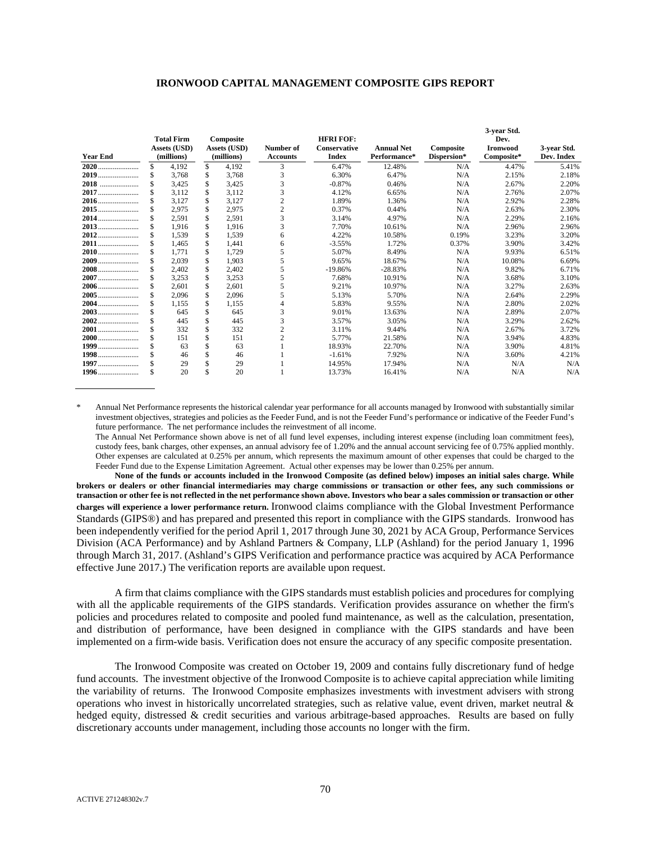# **IRONWOOD CAPITAL MANAGEMENT COMPOSITE GIPS REPORT**

| <b>Year End</b> | <b>Total Firm</b><br>Assets (USD)<br>(millions) | Composite<br>Assets (USD)<br>(millions) | Number of<br><b>Accounts</b> | <b>HFRI FOF:</b><br><b>Conservative</b><br><b>Index</b> | <b>Annual Net</b><br>Performance* | Composite<br>Dispersion* | 3-year Std.<br>Dev.<br><b>Ironwood</b><br>Composite* | 3-year Std.<br>Dev. Index |
|-----------------|-------------------------------------------------|-----------------------------------------|------------------------------|---------------------------------------------------------|-----------------------------------|--------------------------|------------------------------------------------------|---------------------------|
|                 | \$<br>4.192                                     | \$<br>4.192                             | 3                            | 6.47%                                                   | 12.48%                            | N/A                      | 4.47%                                                | 5.41%                     |
|                 | 3.768                                           | \$<br>3.768                             | 3                            | 6.30%                                                   | 6.47%                             | N/A                      | 2.15%                                                | 2.18%                     |
| 2018            | 3.425                                           | \$<br>3.425                             | 3                            | $-0.87%$                                                | 0.46%                             | N/A                      | 2.67%                                                | 2.20%                     |
|                 | 3,112                                           | \$<br>3,112                             | 3                            | 4.12%                                                   | 6.65%                             | N/A                      | 2.76%                                                | 2.07%                     |
|                 | 3.127                                           | \$<br>3,127                             | $\overline{2}$               | 1.89%                                                   | 1.36%                             | N/A                      | 2.92%                                                | 2.28%                     |
|                 | 2,975                                           | \$<br>2,975                             | $\overline{c}$               | 0.37%                                                   | 0.44%                             | N/A                      | 2.63%                                                | 2.30%                     |
|                 | 2.591                                           | \$<br>2,591                             | 3                            | 3.14%                                                   | 4.97%                             | N/A                      | 2.29%                                                | 2.16%                     |
|                 | 1.916                                           | \$<br>1.916                             | 3                            | 7.70%                                                   | 10.61%                            | N/A                      | 2.96%                                                | 2.96%                     |
|                 | 1.539                                           | \$<br>1.539                             | 6                            | 4.22%                                                   | 10.58%                            | 0.19%                    | 3.23%                                                | 3.20%                     |
|                 | 1.465                                           | \$<br>1.441                             | 6                            | $-3.55%$                                                | 1.72%                             | 0.37%                    | 3.90%                                                | 3.42%                     |
|                 | 1.771                                           | \$<br>1.729                             |                              | 5.07%                                                   | 8.49%                             | N/A                      | 9.93%                                                | 6.51%                     |
|                 | 2,039                                           | \$<br>1.903                             |                              | 9.65%                                                   | 18.67%                            | N/A                      | 10.08%                                               | 6.69%                     |
|                 | 2.402                                           | \$<br>2,402                             |                              | $-19.86%$                                               | $-28.83%$                         | N/A                      | 9.82%                                                | 6.71%                     |
| 2007            | 3,253                                           | \$<br>3,253                             |                              | 7.68%                                                   | 10.91%                            | N/A                      | 3.68%                                                | 3.10%                     |
| 2006            | 2.601                                           | \$<br>2,601                             |                              | 9.21%                                                   | 10.97%                            | N/A                      | 3.27%                                                | 2.63%                     |
|                 | 2.096                                           | \$<br>2,096                             | 5                            | 5.13%                                                   | 5.70%                             | N/A                      | 2.64%                                                | 2.29%                     |
| $2004$          | 1.155                                           | \$<br>1,155                             |                              | 5.83%                                                   | 9.55%                             | N/A                      | 2.80%                                                | 2.02%                     |
|                 | 645                                             | \$<br>645                               | 3                            | 9.01%                                                   | 13.63%                            | N/A                      | 2.89%                                                | 2.07%                     |
|                 | 445                                             | \$<br>445                               | 3                            | 3.57%                                                   | 3.05%                             | N/A                      | 3.29%                                                | 2.62%                     |
| $2001$          | 332                                             | \$<br>332                               | $\overline{c}$               | 3.11%                                                   | 9.44%                             | N/A                      | 2.67%                                                | 3.72%                     |
| $2000$          | 151                                             | \$<br>151                               | 2                            | 5.77%                                                   | 21.58%                            | N/A                      | 3.94%                                                | 4.83%                     |
| 1999            | 63                                              | \$<br>63                                |                              | 18.93%                                                  | 22.70%                            | N/A                      | 3.90%                                                | 4.81%                     |
|                 | 46                                              | \$<br>46                                |                              | $-1.61%$                                                | 7.92%                             | N/A                      | 3.60%                                                | 4.21%                     |
| 1997            | 29                                              | \$<br>29                                |                              | 14.95%                                                  | 17.94%                            | N/A                      | N/A                                                  | N/A                       |
| 1996            | 20                                              | 20                                      |                              | 13.73%                                                  | 16.41%                            | N/A                      | N/A                                                  | N/A                       |

\* Annual Net Performance represents the historical calendar year performance for all accounts managed by Ironwood with substantially similar investment objectives, strategies and policies as the Feeder Fund, and is not the Feeder Fund's performance or indicative of the Feeder Fund's future performance. The net performance includes the reinvestment of all income.

The Annual Net Performance shown above is net of all fund level expenses, including interest expense (including loan commitment fees), custody fees, bank charges, other expenses, an annual advisory fee of 1.20% and the annual account servicing fee of 0.75% applied monthly. Other expenses are calculated at 0.25% per annum, which represents the maximum amount of other expenses that could be charged to the Feeder Fund due to the Expense Limitation Agreement. Actual other expenses may be lower than 0.25% per annum.

**None of the funds or accounts included in the Ironwood Composite (as defined below) imposes an initial sales charge. While brokers or dealers or other financial intermediaries may charge commissions or transaction or other fees, any such commissions or transaction or other fee is not reflected in the net performance shown above. Investors who bear a sales commission or transaction or other charges will experience a lower performance return.** Ironwood claims compliance with the Global Investment Performance Standards (GIPS®) and has prepared and presented this report in compliance with the GIPS standards. Ironwood has been independently verified for the period April 1, 2017 through June 30, 2021 by ACA Group, Performance Services Division (ACA Performance) and by Ashland Partners & Company, LLP (Ashland) for the period January 1, 1996 through March 31, 2017. (Ashland's GIPS Verification and performance practice was acquired by ACA Performance effective June 2017.) The verification reports are available upon request.

A firm that claims compliance with the GIPS standards must establish policies and procedures for complying with all the applicable requirements of the GIPS standards. Verification provides assurance on whether the firm's policies and procedures related to composite and pooled fund maintenance, as well as the calculation, presentation, and distribution of performance, have been designed in compliance with the GIPS standards and have been implemented on a firm-wide basis. Verification does not ensure the accuracy of any specific composite presentation.

The Ironwood Composite was created on October 19, 2009 and contains fully discretionary fund of hedge fund accounts. The investment objective of the Ironwood Composite is to achieve capital appreciation while limiting the variability of returns. The Ironwood Composite emphasizes investments with investment advisers with strong operations who invest in historically uncorrelated strategies, such as relative value, event driven, market neutral  $\&$ hedged equity, distressed & credit securities and various arbitrage-based approaches. Results are based on fully discretionary accounts under management, including those accounts no longer with the firm.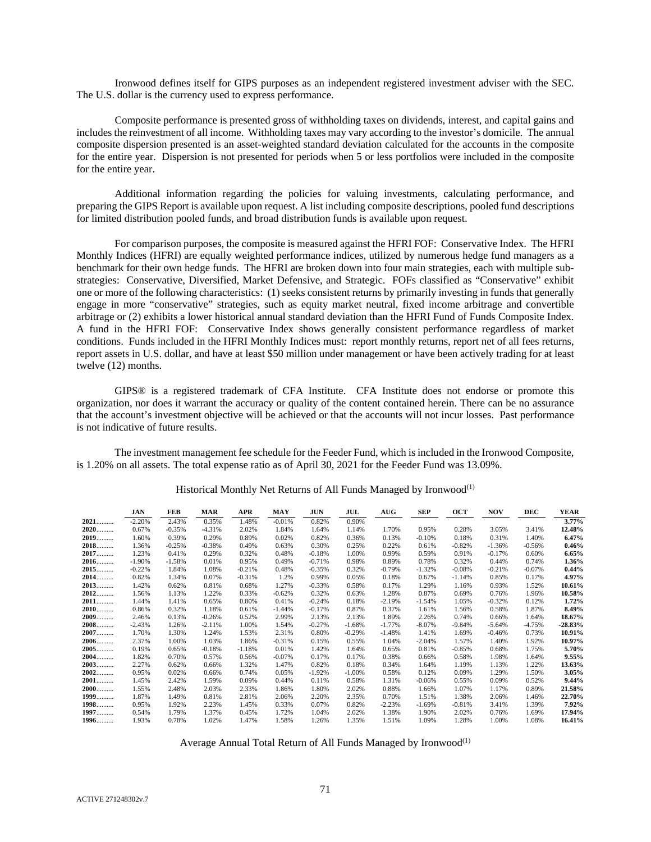Ironwood defines itself for GIPS purposes as an independent registered investment adviser with the SEC. The U.S. dollar is the currency used to express performance.

Composite performance is presented gross of withholding taxes on dividends, interest, and capital gains and includes the reinvestment of all income. Withholding taxes may vary according to the investor's domicile. The annual composite dispersion presented is an asset-weighted standard deviation calculated for the accounts in the composite for the entire year. Dispersion is not presented for periods when 5 or less portfolios were included in the composite for the entire year.

Additional information regarding the policies for valuing investments, calculating performance, and preparing the GIPS Report is available upon request. A list including composite descriptions, pooled fund descriptions for limited distribution pooled funds, and broad distribution funds is available upon request.

For comparison purposes, the composite is measured against the HFRI FOF: Conservative Index. The HFRI Monthly Indices (HFRI) are equally weighted performance indices, utilized by numerous hedge fund managers as a benchmark for their own hedge funds. The HFRI are broken down into four main strategies, each with multiple substrategies: Conservative, Diversified, Market Defensive, and Strategic. FOFs classified as "Conservative" exhibit one or more of the following characteristics: (1) seeks consistent returns by primarily investing in funds that generally engage in more "conservative" strategies, such as equity market neutral, fixed income arbitrage and convertible arbitrage or (2) exhibits a lower historical annual standard deviation than the HFRI Fund of Funds Composite Index. A fund in the HFRI FOF: Conservative Index shows generally consistent performance regardless of market conditions. Funds included in the HFRI Monthly Indices must: report monthly returns, report net of all fees returns, report assets in U.S. dollar, and have at least \$50 million under management or have been actively trading for at least twelve (12) months.

GIPS® is a registered trademark of CFA Institute. CFA Institute does not endorse or promote this organization, nor does it warrant the accuracy or quality of the content contained herein. There can be no assurance that the account's investment objective will be achieved or that the accounts will not incur losses. Past performance is not indicative of future results.

The investment management fee schedule for the Feeder Fund, which is included in the Ironwood Composite, is 1.20% on all assets. The total expense ratio as of April 30, 2021 for the Feeder Fund was 13.09%.

|        | JAN      | FEB      | <b>MAR</b> | APR      | <b>MAY</b> | JUN      | JUL      | AUG      | <b>SEP</b> | <b>OCT</b> | <b>NOV</b> | DEC      | YEAR      |
|--------|----------|----------|------------|----------|------------|----------|----------|----------|------------|------------|------------|----------|-----------|
| 2021   | $-2.20%$ | 2.43%    | 0.35%      | 1.48%    | $-0.01%$   | 0.82%    | 0.90%    |          |            |            |            |          | 3.77%     |
| $2020$ | 0.67%    | $-0.35%$ | $-4.31%$   | 2.02%    | 1.84%      | 1.64%    | 1.14%    | 1.70%    | 0.95%      | 0.28%      | 3.05%      | 3.41%    | 12.48%    |
| 2019   | 1.60%    | 0.39%    | 0.29%      | 0.89%    | 0.02%      | 0.82%    | 0.36%    | 0.13%    | $-0.10%$   | 0.18%      | 0.31%      | 1.40%    | 6.47%     |
| $2018$ | 1.36%    | $-0.25%$ | $-0.38%$   | 0.49%    | 0.63%      | 0.30%    | 0.25%    | 0.22%    | 0.61%      | $-0.82%$   | $-1.36%$   | $-0.56%$ | 0.46%     |
| $2017$ | 1.23%    | 0.41%    | 0.29%      | 0.32%    | 0.48%      | $-0.18%$ | 1.00%    | 0.99%    | 0.59%      | 0.91%      | $-0.17%$   | 0.60%    | 6.65%     |
| 2016   | $-1.90%$ | $-1.58%$ | 0.01%      | 0.95%    | 0.49%      | $-0.71%$ | 0.98%    | 0.89%    | 0.78%      | 0.32%      | 0.44%      | 0.74%    | 1.36%     |
| 2015   | $-0.22%$ | 1.84%    | 1.08%      | $-0.21%$ | 0.48%      | $-0.35%$ | 0.32%    | $-0.79%$ | $-1.32%$   | $-0.08%$   | $-0.21%$   | $-0.07%$ | 0.44%     |
| $2014$ | 0.82%    | 1.34%    | 0.07%      | $-0.31%$ | 1.2%       | 0.99%    | 0.05%    | 0.18%    | 0.67%      | $-1.14%$   | 0.85%      | 0.17%    | 4.97%     |
| 2013   | 1.42%    | 0.62%    | 0.81%      | 0.68%    | 1.27%      | $-0.33%$ | 0.58%    | 0.17%    | 1.29%      | 1.16%      | 0.93%      | 1.52%    | 10.61%    |
| 2012   | 1.56%    | 1.13%    | 1.22%      | 0.33%    | $-0.62%$   | 0.32%    | 0.63%    | 1.28%    | 0.87%      | 0.69%      | 0.76%      | 1.96%    | 10.58%    |
| 2011   | 1.44%    | 1.41%    | 0.65%      | 0.80%    | 0.41%      | $-0.24%$ | 0.18%    | $-2.19%$ | $-1.54%$   | 1.05%      | $-0.32%$   | 0.12%    | 1.72%     |
| 2010   | 0.86%    | 0.32%    | 1.18%      | 0.61%    | $-1.44%$   | $-0.17%$ | 0.87%    | 0.37%    | 1.61%      | 1.56%      | 0.58%      | 1.87%    | 8.49%     |
| 2009   | 2.46%    | 0.13%    | $-0.26%$   | 0.52%    | 2.99%      | 2.13%    | 2.13%    | 1.89%    | 2.26%      | 0.74%      | 0.66%      | 1.64%    | 18.67%    |
| $2008$ | $-2.43%$ | 1.26%    | $-2.11%$   | 1.00%    | 1.54%      | $-0.27%$ | $-1.68%$ | $-1.77%$ | $-8.07%$   | $-9.84%$   | $-5.64%$   | $-4.75%$ | $-28.83%$ |
| $2007$ | 1.70%    | 1.30%    | 1.24%      | 1.53%    | 2.31%      | 0.80%    | $-0.29%$ | $-1.48%$ | 1.41%      | 1.69%      | $-0.46%$   | 0.73%    | 10.91%    |
| 2006   | 2.37%    | 1.00%    | 1.03%      | 1.86%    | $-0.31%$   | 0.15%    | 0.55%    | 1.04%    | $-2.04%$   | 1.57%      | 1.40%      | 1.92%    | 10.97%    |
| $2005$ | 0.19%    | 0.65%    | $-0.18%$   | $-1.18%$ | 0.01%      | 1.42%    | 1.64%    | 0.65%    | 0.81%      | $-0.85%$   | 0.68%      | 1.75%    | 5.70%     |
| 2004   | 1.82%    | 0.70%    | 0.57%      | 0.56%    | $-0.07%$   | 0.17%    | 0.17%    | 0.38%    | 0.66%      | 0.58%      | 1.98%      | 1.64%    | 9.55%     |
| 2003   | 2.27%    | 0.62%    | 0.66%      | 1.32%    | 1.47%      | 0.82%    | 0.18%    | 0.34%    | 1.64%      | 1.19%      | 1.13%      | 1.22%    | 13.63%    |
| $2002$ | 0.95%    | 0.02%    | 0.66%      | 0.74%    | 0.05%      | $-1.92%$ | $-1.00%$ | 0.58%    | 0.12%      | 0.09%      | 1.29%      | 1.50%    | 3.05%     |
| 2001   | 1.45%    | 2.42%    | 1.59%      | 0.09%    | 0.44%      | 0.11%    | 0.58%    | 1.31%    | $-0.06%$   | 0.55%      | 0.09%      | 0.52%    | 9.44%     |
| 2000   | 1.55%    | 2.48%    | 2.03%      | 2.33%    | 1.86%      | 1.80%    | 2.02%    | 0.88%    | 1.66%      | 1.07%      | 1.17%      | 0.89%    | 21.58%    |
| 1999   | 1.87%    | 1.49%    | 0.81%      | 2.81%    | 2.06%      | 2.20%    | 2.35%    | 0.70%    | 1.51%      | 1.38%      | 2.06%      | 1.46%    | 22.70%    |
| 1998   | 0.95%    | 1.92%    | 2.23%      | 1.45%    | 0.33%      | 0.07%    | 0.82%    | $-2.23%$ | $-1.69%$   | $-0.81%$   | 3.41%      | 1.39%    | 7.92%     |
| 1997   | 0.54%    | 1.79%    | 1.37%      | 0.45%    | 1.72%      | 1.04%    | 2.02%    | 1.38%    | 1.90%      | 2.02%      | 0.76%      | 1.69%    | 17.94%    |
| 1996   | 1.93%    | 0.78%    | 1.02%      | 1.47%    | 1.58%      | 1.26%    | 1.35%    | 1.51%    | 1.09%      | 1.28%      | 1.00%      | 1.08%    | 16.41%    |

Historical Monthly Net Returns of All Funds Managed by Ironwood<sup>(1)</sup>

Average Annual Total Return of All Funds Managed by Ironwood<sup>(1)</sup>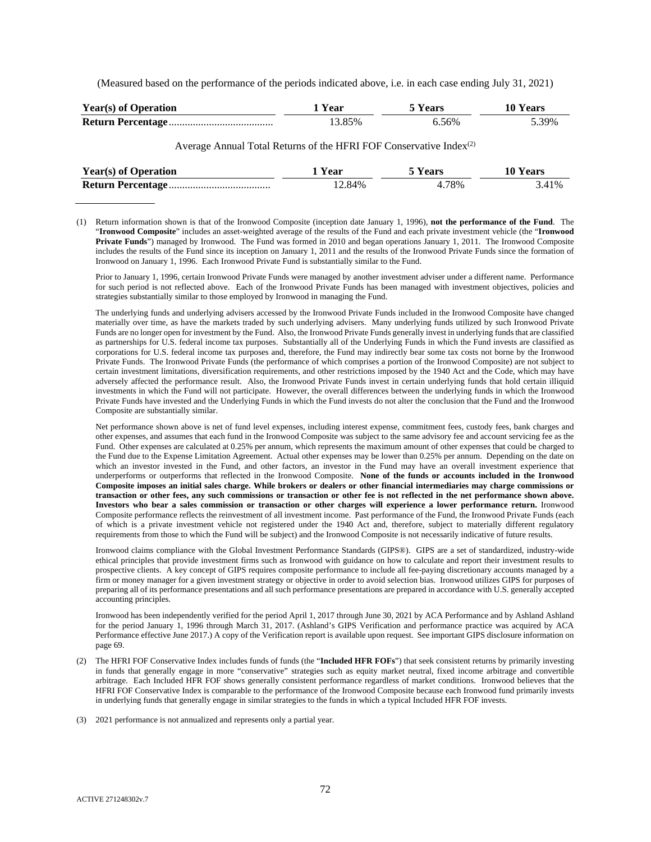(Measured based on the performance of the periods indicated above, i.e. in each case ending July 31, 2021)

| <b>Year(s)</b> of Operation | Year  | 5 Years | 10 Years |
|-----------------------------|-------|---------|----------|
|                             | 3.85% | 6.56%   | 5.39%    |

## Average Annual Total Returns of the HFRI FOF Conservative Index<sup>(2)</sup>

| <b>Year(s)</b> of Operation | 1 Year | 5 Years | <b>10 Years</b> |
|-----------------------------|--------|---------|-----------------|
|                             | 12.84% | 4.78%   | 3.41%           |

(1) Return information shown is that of the Ironwood Composite (inception date January 1, 1996), **not the performance of the Fund**. The "**Ironwood Composite**" includes an asset-weighted average of the results of the Fund and each private investment vehicle (the "**Ironwood Private Funds**") managed by Ironwood. The Fund was formed in 2010 and began operations January 1, 2011. The Ironwood Composite includes the results of the Fund since its inception on January 1, 2011 and the results of the Ironwood Private Funds since the formation of Ironwood on January 1, 1996. Each Ironwood Private Fund is substantially similar to the Fund.

Prior to January 1, 1996, certain Ironwood Private Funds were managed by another investment adviser under a different name. Performance for such period is not reflected above. Each of the Ironwood Private Funds has been managed with investment objectives, policies and strategies substantially similar to those employed by Ironwood in managing the Fund.

The underlying funds and underlying advisers accessed by the Ironwood Private Funds included in the Ironwood Composite have changed materially over time, as have the markets traded by such underlying advisers. Many underlying funds utilized by such Ironwood Private Funds are no longer open for investment by the Fund. Also, the Ironwood Private Funds generally invest in underlying funds that are classified as partnerships for U.S. federal income tax purposes. Substantially all of the Underlying Funds in which the Fund invests are classified as corporations for U.S. federal income tax purposes and, therefore, the Fund may indirectly bear some tax costs not borne by the Ironwood Private Funds. The Ironwood Private Funds (the performance of which comprises a portion of the Ironwood Composite) are not subject to certain investment limitations, diversification requirements, and other restrictions imposed by the 1940 Act and the Code, which may have adversely affected the performance result. Also, the Ironwood Private Funds invest in certain underlying funds that hold certain illiquid investments in which the Fund will not participate. However, the overall differences between the underlying funds in which the Ironwood Private Funds have invested and the Underlying Funds in which the Fund invests do not alter the conclusion that the Fund and the Ironwood Composite are substantially similar.

Net performance shown above is net of fund level expenses, including interest expense, commitment fees, custody fees, bank charges and other expenses, and assumes that each fund in the Ironwood Composite was subject to the same advisory fee and account servicing fee as the Fund. Other expenses are calculated at 0.25% per annum, which represents the maximum amount of other expenses that could be charged to the Fund due to the Expense Limitation Agreement. Actual other expenses may be lower than 0.25% per annum. Depending on the date on which an investor invested in the Fund, and other factors, an investor in the Fund may have an overall investment experience that underperforms or outperforms that reflected in the Ironwood Composite. **None of the funds or accounts included in the Ironwood Composite imposes an initial sales charge. While brokers or dealers or other financial intermediaries may charge commissions or transaction or other fees, any such commissions or transaction or other fee is not reflected in the net performance shown above. Investors who bear a sales commission or transaction or other charges will experience a lower performance return.** Ironwood Composite performance reflects the reinvestment of all investment income. Past performance of the Fund, the Ironwood Private Funds (each of which is a private investment vehicle not registered under the 1940 Act and, therefore, subject to materially different regulatory requirements from those to which the Fund will be subject) and the Ironwood Composite is not necessarily indicative of future results.

Ironwood claims compliance with the Global Investment Performance Standards (GIPS®). GIPS are a set of standardized, industry-wide ethical principles that provide investment firms such as Ironwood with guidance on how to calculate and report their investment results to prospective clients. A key concept of GIPS requires composite performance to include all fee-paying discretionary accounts managed by a firm or money manager for a given investment strategy or objective in order to avoid selection bias. Ironwood utilizes GIPS for purposes of preparing all of its performance presentations and all such performance presentations are prepared in accordance with U.S. generally accepted accounting principles.

Ironwood has been independently verified for the period April 1, 2017 through June 30, 2021 by ACA Performance and by Ashland Ashland for the period January 1, 1996 through March 31, 2017. (Ashland's GIPS Verification and performance practice was acquired by ACA Performance effective June 2017.) A copy of the Verification report is available upon request. See important GIPS disclosure information on page 69.

- (2) The HFRI FOF Conservative Index includes funds of funds (the "**Included HFR FOFs**") that seek consistent returns by primarily investing in funds that generally engage in more "conservative" strategies such as equity market neutral, fixed income arbitrage and convertible arbitrage. Each Included HFR FOF shows generally consistent performance regardless of market conditions. Ironwood believes that the HFRI FOF Conservative Index is comparable to the performance of the Ironwood Composite because each Ironwood fund primarily invests in underlying funds that generally engage in similar strategies to the funds in which a typical Included HFR FOF invests.
- (3) 2021 performance is not annualized and represents only a partial year.